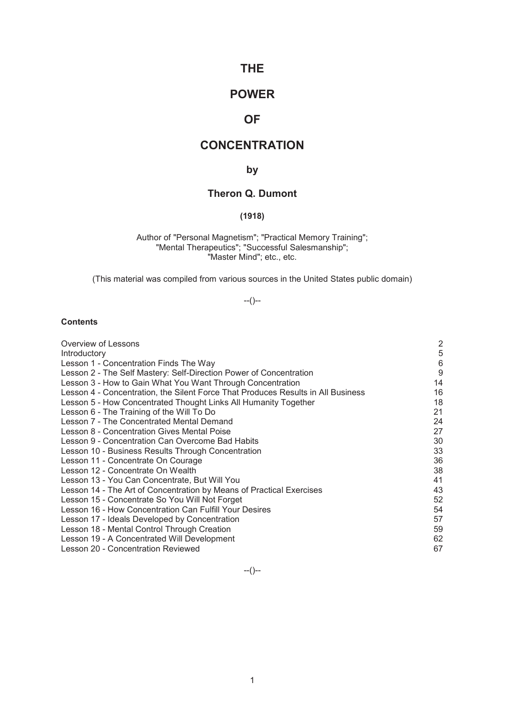# **THE**

# **POWER**

# **OF**

# **CONCENTRATION**

# **by**

# **Theron Q. Dumont**

# **(1918)**

Author of "Personal Magnetism"; "Practical Memory Training"; "Mental Therapeutics"; "Successful Salesmanship"; "Master Mind"; etc., etc.

(This material was compiled from various sources in the United States public domain)

# --()--

# **Contents**

| Overview of Lessons                                                              | $\overline{c}$ |
|----------------------------------------------------------------------------------|----------------|
| Introductory                                                                     | 5              |
| Lesson 1 - Concentration Finds The Way                                           | 6              |
| Lesson 2 - The Self Mastery: Self-Direction Power of Concentration               | 9              |
| Lesson 3 - How to Gain What You Want Through Concentration                       | 14             |
| Lesson 4 - Concentration, the Silent Force That Produces Results in All Business | 16             |
| Lesson 5 - How Concentrated Thought Links All Humanity Together                  | 18             |
| Lesson 6 - The Training of the Will To Do                                        | 21             |
| Lesson 7 - The Concentrated Mental Demand                                        | 24             |
| Lesson 8 - Concentration Gives Mental Poise                                      | 27             |
| Lesson 9 - Concentration Can Overcome Bad Habits                                 | 30             |
| Lesson 10 - Business Results Through Concentration                               | 33             |
| Lesson 11 - Concentrate On Courage                                               | 36             |
| Lesson 12 - Concentrate On Wealth                                                | 38             |
| Lesson 13 - You Can Concentrate, But Will You                                    | 41             |
| Lesson 14 - The Art of Concentration by Means of Practical Exercises             | 43             |
| Lesson 15 - Concentrate So You Will Not Forget                                   | 52             |
| Lesson 16 - How Concentration Can Fulfill Your Desires                           | 54             |
| Lesson 17 - Ideals Developed by Concentration                                    | 57             |
| Lesson 18 - Mental Control Through Creation                                      | 59             |
| Lesson 19 - A Concentrated Will Development                                      | 62             |
| Lesson 20 - Concentration Reviewed                                               | 67             |

--()--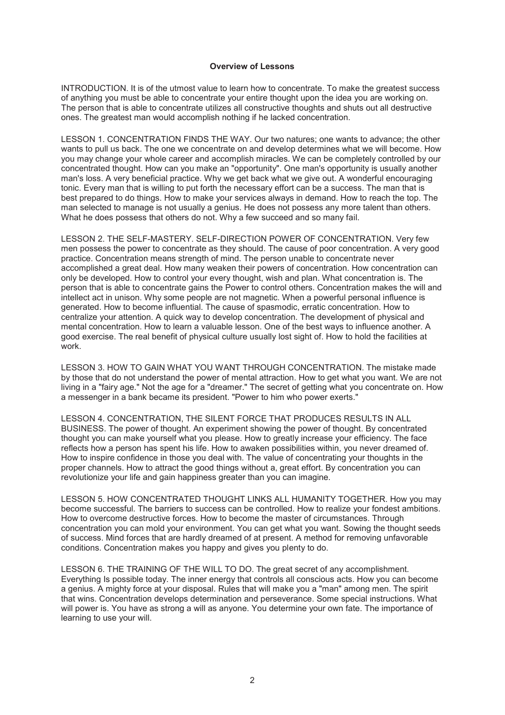#### **Overview of Lessons**

INTRODUCTION. It is of the utmost value to learn how to concentrate. To make the greatest success of anything you must be able to concentrate your entire thought upon the idea you are working on. The person that is able to concentrate utilizes all constructive thoughts and shuts out all destructive ones. The greatest man would accomplish nothing if he lacked concentration.

LESSON 1. CONCENTRATION FINDS THE WAY. Our two natures; one wants to advance; the other wants to pull us back. The one we concentrate on and develop determines what we will become. How you may change your whole career and accomplish miracles. We can be completely controlled by our concentrated thought. How can you make an "opportunity". One man's opportunity is usually another man's loss. A very beneficial practice. Why we get back what we give out. A wonderful encouraging tonic. Every man that is willing to put forth the necessary effort can be a success. The man that is best prepared to do things. How to make your services always in demand. How to reach the top. The man selected to manage is not usually a genius. He does not possess any more talent than others. What he does possess that others do not. Why a few succeed and so many fail.

LESSON 2. THE SELF-MASTERY. SELF-DIRECTION POWER OF CONCENTRATION. Very few men possess the power to concentrate as they should. The cause of poor concentration. A very good practice. Concentration means strength of mind. The person unable to concentrate never accomplished a great deal. How many weaken their powers of concentration. How concentration can only be developed. How to control your every thought, wish and plan. What concentration is. The person that is able to concentrate gains the Power to control others. Concentration makes the will and intellect act in unison. Why some people are not magnetic. When a powerful personal influence is generated. How to become influential. The cause of spasmodic, erratic concentration. How to centralize your attention. A quick way to develop concentration. The development of physical and mental concentration. How to learn a valuable lesson. One of the best ways to influence another. A good exercise. The real benefit of physical culture usually lost sight of. How to hold the facilities at work.

LESSON 3. HOW TO GAIN WHAT YOU WANT THROUGH CONCENTRATION. The mistake made by those that do not understand the power of mental attraction. How to get what you want. We are not living in a "fairy age." Not the age for a "dreamer." The secret of getting what you concentrate on. How a messenger in a bank became its president. "Power to him who power exerts."

LESSON 4. CONCENTRATION, THE SILENT FORCE THAT PRODUCES RESULTS IN ALL BUSINESS. The power of thought. An experiment showing the power of thought. By concentrated thought you can make yourself what you please. How to greatly increase your efficiency. The face reflects how a person has spent his life. How to awaken possibilities within, you never dreamed of. How to inspire confidence in those you deal with. The value of concentrating your thoughts in the proper channels. How to attract the good things without a, great effort. By concentration you can revolutionize your life and gain happiness greater than you can imagine.

LESSON 5. HOW CONCENTRATED THOUGHT LINKS ALL HUMANITY TOGETHER. How you may become successful. The barriers to success can be controlled. How to realize your fondest ambitions. How to overcome destructive forces. How to become the master of circumstances. Through concentration you can mold your environment. You can get what you want. Sowing the thought seeds of success. Mind forces that are hardly dreamed of at present. A method for removing unfavorable conditions. Concentration makes you happy and gives you plenty to do.

LESSON 6. THE TRAINING OF THE WILL TO DO. The great secret of any accomplishment. Everything Is possible today. The inner energy that controls all conscious acts. How you can become a genius. A mighty force at your disposal. Rules that will make you a "man" among men. The spirit that wins. Concentration develops determination and perseverance. Some special instructions. What will power is. You have as strong a will as anyone. You determine your own fate. The importance of learning to use your will.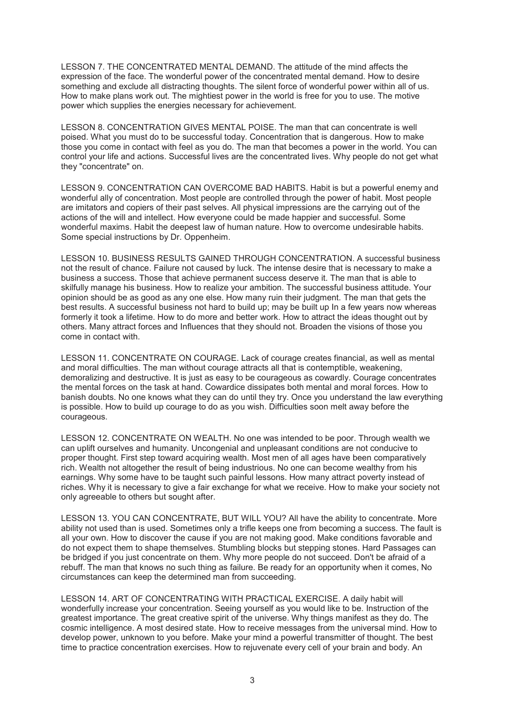LESSON 7. THE CONCENTRATED MENTAL DEMAND. The attitude of the mind affects the expression of the face. The wonderful power of the concentrated mental demand. How to desire something and exclude all distracting thoughts. The silent force of wonderful power within all of us. How to make plans work out. The mightiest power in the world is free for you to use. The motive power which supplies the energies necessary for achievement.

LESSON 8. CONCENTRATION GIVES MENTAL POISE. The man that can concentrate is well poised. What you must do to be successful today. Concentration that is dangerous. How to make those you come in contact with feel as you do. The man that becomes a power in the world. You can control your life and actions. Successful lives are the concentrated lives. Why people do not get what they "concentrate" on.

LESSON 9. CONCENTRATION CAN OVERCOME BAD HABITS. Habit is but a powerful enemy and wonderful ally of concentration. Most people are controlled through the power of habit. Most people are imitators and copiers of their past selves. All physical impressions are the carrying out of the actions of the will and intellect. How everyone could be made happier and successful. Some wonderful maxims. Habit the deepest law of human nature. How to overcome undesirable habits. Some special instructions by Dr. Oppenheim.

LESSON 10. BUSINESS RESULTS GAINED THROUGH CONCENTRATION. A successful business not the result of chance. Failure not caused by luck. The intense desire that is necessary to make a business a success. Those that achieve permanent success deserve it. The man that is able to skilfully manage his business. How to realize your ambition. The successful business attitude. Your opinion should be as good as any one else. How many ruin their judgment. The man that gets the best results. A successful business not hard to build up; may be built up In a few years now whereas formerly it took a lifetime. How to do more and better work. How to attract the ideas thought out by others. Many attract forces and Influences that they should not. Broaden the visions of those you come in contact with.

LESSON 11. CONCENTRATE ON COURAGE. Lack of courage creates financial, as well as mental and moral difficulties. The man without courage attracts all that is contemptible, weakening, demoralizing and destructive. It is just as easy to be courageous as cowardly. Courage concentrates the mental forces on the task at hand. Cowardice dissipates both mental and moral forces. How to banish doubts. No one knows what they can do until they try. Once you understand the law everything is possible. How to build up courage to do as you wish. Difficulties soon melt away before the courageous.

LESSON 12. CONCENTRATE ON WEALTH. No one was intended to be poor. Through wealth we can uplift ourselves and humanity. Uncongenial and unpleasant conditions are not conducive to proper thought. First step toward acquiring wealth. Most men of all ages have been comparatively rich. Wealth not altogether the result of being industrious. No one can become wealthy from his earnings. Why some have to be taught such painful lessons. How many attract poverty instead of riches. Why it is necessary to give a fair exchange for what we receive. How to make your society not only agreeable to others but sought after.

LESSON 13. YOU CAN CONCENTRATE, BUT WILL YOU? All have the ability to concentrate. More ability not used than is used. Sometimes only a trifle keeps one from becoming a success. The fault is all your own. How to discover the cause if you are not making good. Make conditions favorable and do not expect them to shape themselves. Stumbling blocks but stepping stones. Hard Passages can be bridged if you just concentrate on them. Why more people do not succeed. Don't be afraid of a rebuff. The man that knows no such thing as failure. Be ready for an opportunity when it comes, No circumstances can keep the determined man from succeeding.

LESSON 14. ART OF CONCENTRATING WITH PRACTICAL EXERCISE. A daily habit will wonderfully increase your concentration. Seeing yourself as you would like to be. Instruction of the greatest importance. The great creative spirit of the universe. Why things manifest as they do. The cosmic intelligence. A most desired state. How to receive messages from the universal mind. How to develop power, unknown to you before. Make your mind a powerful transmitter of thought. The best time to practice concentration exercises. How to rejuvenate every cell of your brain and body. An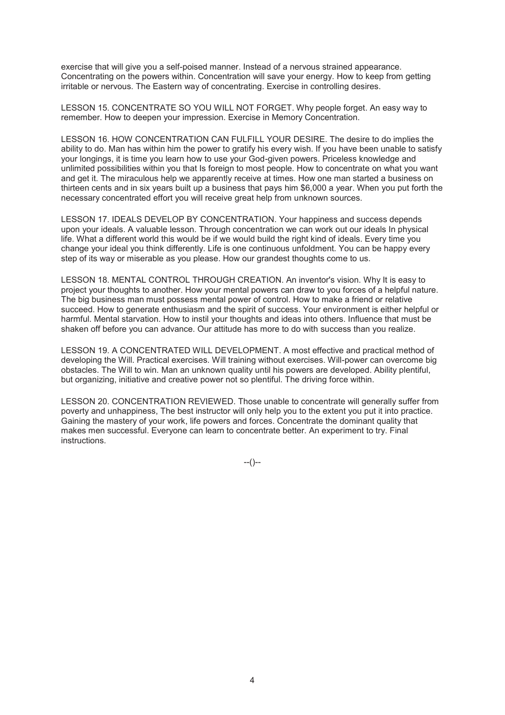exercise that will give you a self-poised manner. Instead of a nervous strained appearance. Concentrating on the powers within. Concentration will save your energy. How to keep from getting irritable or nervous. The Eastern way of concentrating. Exercise in controlling desires.

LESSON 15. CONCENTRATE SO YOU WILL NOT FORGET. Why people forget. An easy way to remember. How to deepen your impression. Exercise in Memory Concentration.

LESSON 16. HOW CONCENTRATION CAN FULFILL YOUR DESIRE. The desire to do implies the ability to do. Man has within him the power to gratify his every wish. If you have been unable to satisfy your longings, it is time you learn how to use your God-given powers. Priceless knowledge and unlimited possibilities within you that Is foreign to most people. How to concentrate on what you want and get it. The miraculous help we apparently receive at times. How one man started a business on thirteen cents and in six years built up a business that pays him \$6,000 a year. When you put forth the necessary concentrated effort you will receive great help from unknown sources.

LESSON 17. IDEALS DEVELOP BY CONCENTRATION. Your happiness and success depends upon your ideals. A valuable lesson. Through concentration we can work out our ideals In physical life. What a different world this would be if we would build the right kind of ideals. Every time you change your ideal you think differently. Life is one continuous unfoldment. You can be happy every step of its way or miserable as you please. How our grandest thoughts come to us.

LESSON 18. MENTAL CONTROL THROUGH CREATION. An inventor's vision. Why It is easy to project your thoughts to another. How your mental powers can draw to you forces of a helpful nature. The big business man must possess mental power of control. How to make a friend or relative succeed. How to generate enthusiasm and the spirit of success. Your environment is either helpful or harmful. Mental starvation. How to instil your thoughts and ideas into others. Influence that must be shaken off before you can advance. Our attitude has more to do with success than you realize.

LESSON 19. A CONCENTRATED WILL DEVELOPMENT. A most effective and practical method of developing the Will. Practical exercises. Will training without exercises. Will-power can overcome big obstacles. The Will to win. Man an unknown quality until his powers are developed. Ability plentiful, but organizing, initiative and creative power not so plentiful. The driving force within.

LESSON 20. CONCENTRATION REVIEWED. Those unable to concentrate will generally suffer from poverty and unhappiness, The best instructor will only help you to the extent you put it into practice. Gaining the mastery of your work, life powers and forces. Concentrate the dominant quality that makes men successful. Everyone can learn to concentrate better. An experiment to try. Final instructions.

 $-(-)$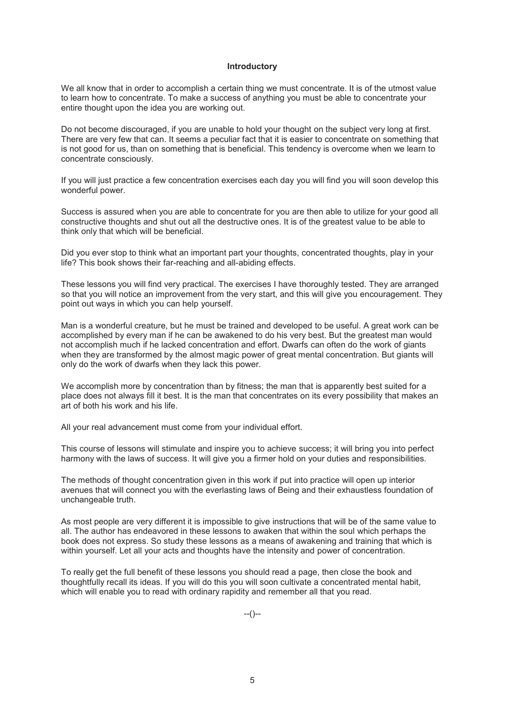#### **Introductory**

We all know that in order to accomplish a certain thing we must concentrate. It is of the utmost value to learn how to concentrate. To make a success of anything you must be able to concentrate your entire thought upon the idea you are working out.

Do not become discouraged, if you are unable to hold your thought on the subject very long at first. There are very few that can. It seems a peculiar fact that it is easier to concentrate on something that is not good for us, than on something that is beneficial. This tendency is overcome when we learn to concentrate consciously.

If you will just practice a few concentration exercises each day you will find you will soon develop this wonderful power.

Success is assured when you are able to concentrate for you are then able to utilize for your good all constructive thoughts and shut out all the destructive ones. It is of the greatest value to be able to think only that which will be beneficial.

Did you ever stop to think what an important part your thoughts, concentrated thoughts, play in your life? This book shows their far-reaching and all-abiding effects.

These lessons you will find very practical. The exercises I have thoroughly tested. They are arranged so that you will notice an improvement from the very start, and this will give you encouragement. They point out ways in which you can help yourself.

Man is a wonderful creature, but he must be trained and developed to be useful. A great work can be accomplished by every man if he can be awakened to do his very best. But the greatest man would not accomplish much if he lacked concentration and effort. Dwarfs can often do the work of giants when they are transformed by the almost magic power of great mental concentration. But giants will only do the work of dwarfs when they lack this power.

We accomplish more by concentration than by fitness; the man that is apparently best suited for a place does not always fill it best. It is the man that concentrates on its every possibility that makes an art of both his work and his life.

All your real advancement must come from your individual effort.

This course of lessons will stimulate and inspire you to achieve success; it will bring you into perfect harmony with the laws of success. It will give you a firmer hold on your duties and responsibilities.

The methods of thought concentration given in this work if put into practice will open up interior avenues that will connect you with the everlasting laws of Being and their exhaustless foundation of unchangeable truth.

As most people are very different it is impossible to give instructions that will be of the same value to all. The author has endeavored in these lessons to awaken that within the soul which perhaps the book does not express. So study these lessons as a means of awakening and training that which is within yourself. Let all your acts and thoughts have the intensity and power of concentration.

To really get the full benefit of these lessons you should read a page, then close the book and thoughtfully recall its ideas. If you will do this you will soon cultivate a concentrated mental habit, which will enable you to read with ordinary rapidity and remember all that you read.

 $-(-)$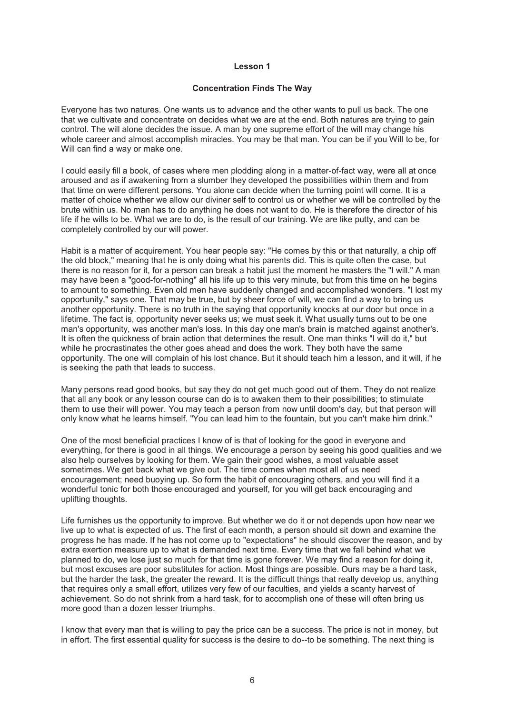#### **Concentration Finds The Way**

Everyone has two natures. One wants us to advance and the other wants to pull us back. The one that we cultivate and concentrate on decides what we are at the end. Both natures are trying to gain control. The will alone decides the issue. A man by one supreme effort of the will may change his whole career and almost accomplish miracles. You may be that man. You can be if you Will to be, for Will can find a way or make one.

I could easily fill a book, of cases where men plodding along in a matter-of-fact way, were all at once aroused and as if awakening from a slumber they developed the possibilities within them and from that time on were different persons. You alone can decide when the turning point will come. It is a matter of choice whether we allow our diviner self to control us or whether we will be controlled by the brute within us. No man has to do anything he does not want to do. He is therefore the director of his life if he wills to be. What we are to do, is the result of our training. We are like putty, and can be completely controlled by our will power.

Habit is a matter of acquirement. You hear people say: "He comes by this or that naturally, a chip off the old block," meaning that he is only doing what his parents did. This is quite often the case, but there is no reason for it, for a person can break a habit just the moment he masters the "I will." A man may have been a "good-for-nothing" all his life up to this very minute, but from this time on he begins to amount to something. Even old men have suddenly changed and accomplished wonders. "I lost my opportunity," says one. That may be true, but by sheer force of will, we can find a way to bring us another opportunity. There is no truth in the saying that opportunity knocks at our door but once in a lifetime. The fact is, opportunity never seeks us; we must seek it. What usually turns out to be one man's opportunity, was another man's loss. In this day one man's brain is matched against another's. It is often the quickness of brain action that determines the result. One man thinks "I will do it," but while he procrastinates the other goes ahead and does the work. They both have the same opportunity. The one will complain of his lost chance. But it should teach him a lesson, and it will, if he is seeking the path that leads to success.

Many persons read good books, but say they do not get much good out of them. They do not realize that all any book or any lesson course can do is to awaken them to their possibilities; to stimulate them to use their will power. You may teach a person from now until doom's day, but that person will only know what he learns himself. "You can lead him to the fountain, but you can't make him drink."

One of the most beneficial practices I know of is that of looking for the good in everyone and everything, for there is good in all things. We encourage a person by seeing his good qualities and we also help ourselves by looking for them. We gain their good wishes, a most valuable asset sometimes. We get back what we give out. The time comes when most all of us need encouragement; need buoying up. So form the habit of encouraging others, and you will find it a wonderful tonic for both those encouraged and yourself, for you will get back encouraging and uplifting thoughts.

Life furnishes us the opportunity to improve. But whether we do it or not depends upon how near we live up to what is expected of us. The first of each month, a person should sit down and examine the progress he has made. If he has not come up to "expectations" he should discover the reason, and by extra exertion measure up to what is demanded next time. Every time that we fall behind what we planned to do, we lose just so much for that time is gone forever. We may find a reason for doing it, but most excuses are poor substitutes for action. Most things are possible. Ours may be a hard task, but the harder the task, the greater the reward. It is the difficult things that really develop us, anything that requires only a small effort, utilizes very few of our faculties, and yields a scanty harvest of achievement. So do not shrink from a hard task, for to accomplish one of these will often bring us more good than a dozen lesser triumphs.

I know that every man that is willing to pay the price can be a success. The price is not in money, but in effort. The first essential quality for success is the desire to do--to be something. The next thing is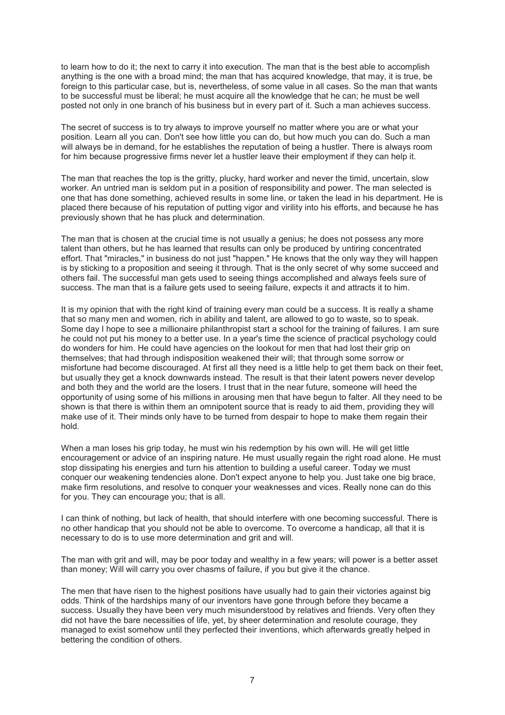to learn how to do it; the next to carry it into execution. The man that is the best able to accomplish anything is the one with a broad mind; the man that has acquired knowledge, that may, it is true, be foreign to this particular case, but is, nevertheless, of some value in all cases. So the man that wants to be successful must be liberal; he must acquire all the knowledge that he can; he must be well posted not only in one branch of his business but in every part of it. Such a man achieves success.

The secret of success is to try always to improve yourself no matter where you are or what your position. Learn all you can. Don't see how little you can do, but how much you can do. Such a man will always be in demand, for he establishes the reputation of being a hustler. There is always room for him because progressive firms never let a hustler leave their employment if they can help it.

The man that reaches the top is the gritty, plucky, hard worker and never the timid, uncertain, slow worker. An untried man is seldom put in a position of responsibility and power. The man selected is one that has done something, achieved results in some line, or taken the lead in his department. He is placed there because of his reputation of putting vigor and virility into his efforts, and because he has previously shown that he has pluck and determination.

The man that is chosen at the crucial time is not usually a genius; he does not possess any more talent than others, but he has learned that results can only be produced by untiring concentrated effort. That "miracles," in business do not just "happen." He knows that the only way they will happen is by sticking to a proposition and seeing it through. That is the only secret of why some succeed and others fail. The successful man gets used to seeing things accomplished and always feels sure of success. The man that is a failure gets used to seeing failure, expects it and attracts it to him.

It is my opinion that with the right kind of training every man could be a success. It is really a shame that so many men and women, rich in ability and talent, are allowed to go to waste, so to speak. Some day I hope to see a millionaire philanthropist start a school for the training of failures. I am sure he could not put his money to a better use. In a year's time the science of practical psychology could do wonders for him. He could have agencies on the lookout for men that had lost their grip on themselves; that had through indisposition weakened their will; that through some sorrow or misfortune had become discouraged. At first all they need is a little help to get them back on their feet, but usually they get a knock downwards instead. The result is that their latent powers never develop and both they and the world are the losers. I trust that in the near future, someone will heed the opportunity of using some of his millions in arousing men that have begun to falter. All they need to be shown is that there is within them an omnipotent source that is ready to aid them, providing they will make use of it. Their minds only have to be turned from despair to hope to make them regain their hold.

When a man loses his grip today, he must win his redemption by his own will. He will get little encouragement or advice of an inspiring nature. He must usually regain the right road alone. He must stop dissipating his energies and turn his attention to building a useful career. Today we must conquer our weakening tendencies alone. Don't expect anyone to help you. Just take one big brace, make firm resolutions, and resolve to conquer your weaknesses and vices. Really none can do this for you. They can encourage you; that is all.

I can think of nothing, but lack of health, that should interfere with one becoming successful. There is no other handicap that you should not be able to overcome. To overcome a handicap, all that it is necessary to do is to use more determination and grit and will.

The man with grit and will, may be poor today and wealthy in a few years; will power is a better asset than money; Will will carry you over chasms of failure, if you but give it the chance.

The men that have risen to the highest positions have usually had to gain their victories against big odds. Think of the hardships many of our inventors have gone through before they became a success. Usually they have been very much misunderstood by relatives and friends. Very often they did not have the bare necessities of life, yet, by sheer determination and resolute courage, they managed to exist somehow until they perfected their inventions, which afterwards greatly helped in bettering the condition of others.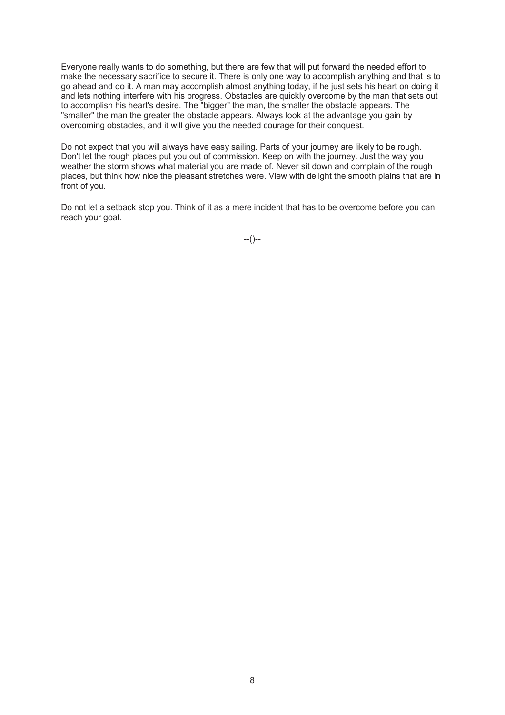Everyone really wants to do something, but there are few that will put forward the needed effort to make the necessary sacrifice to secure it. There is only one way to accomplish anything and that is to go ahead and do it. A man may accomplish almost anything today, if he just sets his heart on doing it and lets nothing interfere with his progress. Obstacles are quickly overcome by the man that sets out to accomplish his heart's desire. The "bigger" the man, the smaller the obstacle appears. The "smaller" the man the greater the obstacle appears. Always look at the advantage you gain by overcoming obstacles, and it will give you the needed courage for their conquest.

Do not expect that you will always have easy sailing. Parts of your journey are likely to be rough. Don't let the rough places put you out of commission. Keep on with the journey. Just the way you weather the storm shows what material you are made of. Never sit down and complain of the rough places, but think how nice the pleasant stretches were. View with delight the smooth plains that are in front of you.

Do not let a setback stop you. Think of it as a mere incident that has to be overcome before you can reach your goal.

 $-(-)$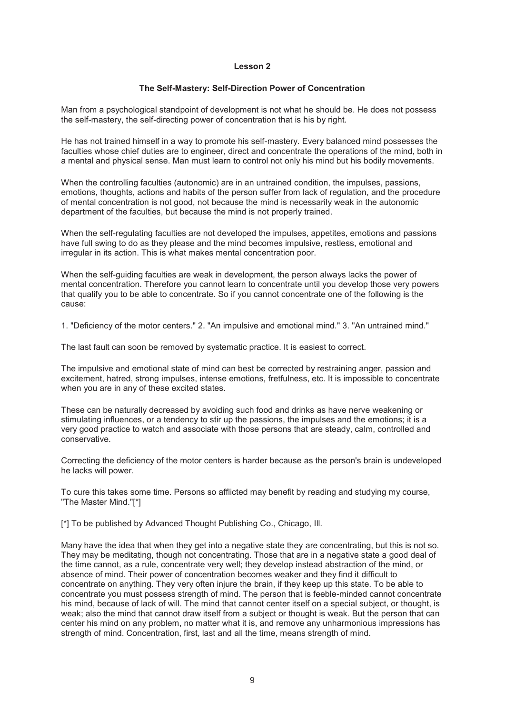#### **The Self-Mastery: Self-Direction Power of Concentration**

Man from a psychological standpoint of development is not what he should be. He does not possess the self-mastery, the self-directing power of concentration that is his by right.

He has not trained himself in a way to promote his self-mastery. Every balanced mind possesses the faculties whose chief duties are to engineer, direct and concentrate the operations of the mind, both in a mental and physical sense. Man must learn to control not only his mind but his bodily movements.

When the controlling faculties (autonomic) are in an untrained condition, the impulses, passions, emotions, thoughts, actions and habits of the person suffer from lack of regulation, and the procedure of mental concentration is not good, not because the mind is necessarily weak in the autonomic department of the faculties, but because the mind is not properly trained.

When the self-regulating faculties are not developed the impulses, appetites, emotions and passions have full swing to do as they please and the mind becomes impulsive, restless, emotional and irregular in its action. This is what makes mental concentration poor.

When the self-guiding faculties are weak in development, the person always lacks the power of mental concentration. Therefore you cannot learn to concentrate until you develop those very powers that qualify you to be able to concentrate. So if you cannot concentrate one of the following is the cause:

1. "Deficiency of the motor centers." 2. "An impulsive and emotional mind." 3. "An untrained mind."

The last fault can soon be removed by systematic practice. It is easiest to correct.

The impulsive and emotional state of mind can best be corrected by restraining anger, passion and excitement, hatred, strong impulses, intense emotions, fretfulness, etc. It is impossible to concentrate when you are in any of these excited states.

These can be naturally decreased by avoiding such food and drinks as have nerve weakening or stimulating influences, or a tendency to stir up the passions, the impulses and the emotions; it is a very good practice to watch and associate with those persons that are steady, calm, controlled and conservative.

Correcting the deficiency of the motor centers is harder because as the person's brain is undeveloped he lacks will power.

To cure this takes some time. Persons so afflicted may benefit by reading and studying my course, "The Master Mind."[\*]

[\*] To be published by Advanced Thought Publishing Co., Chicago, III.

Many have the idea that when they get into a negative state they are concentrating, but this is not so. They may be meditating, though not concentrating. Those that are in a negative state a good deal of the time cannot, as a rule, concentrate very well; they develop instead abstraction of the mind, or absence of mind. Their power of concentration becomes weaker and they find it difficult to concentrate on anything. They very often injure the brain, if they keep up this state. To be able to concentrate you must possess strength of mind. The person that is feeble-minded cannot concentrate his mind, because of lack of will. The mind that cannot center itself on a special subject, or thought, is weak; also the mind that cannot draw itself from a subject or thought is weak. But the person that can center his mind on any problem, no matter what it is, and remove any unharmonious impressions has strength of mind. Concentration, first, last and all the time, means strength of mind.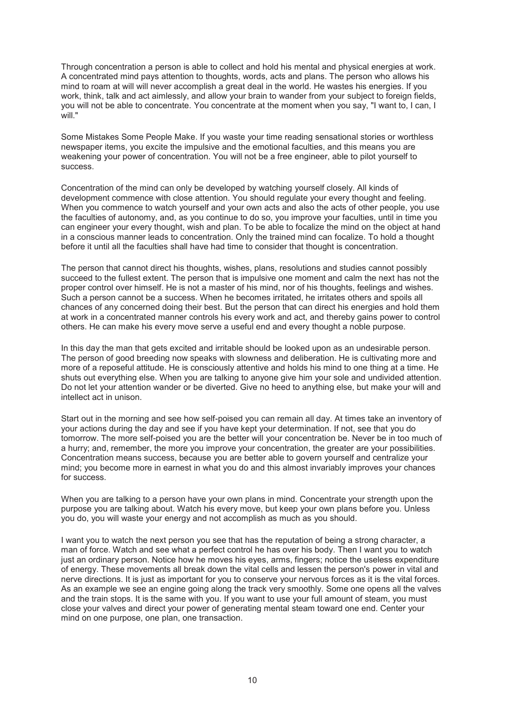Through concentration a person is able to collect and hold his mental and physical energies at work. A concentrated mind pays attention to thoughts, words, acts and plans. The person who allows his mind to roam at will will never accomplish a great deal in the world. He wastes his energies. If you work, think, talk and act aimlessly, and allow your brain to wander from your subject to foreign fields, you will not be able to concentrate. You concentrate at the moment when you say, "I want to, I can, I will "

Some Mistakes Some People Make. If you waste your time reading sensational stories or worthless newspaper items, you excite the impulsive and the emotional faculties, and this means you are weakening your power of concentration. You will not be a free engineer, able to pilot yourself to success.

Concentration of the mind can only be developed by watching yourself closely. All kinds of development commence with close attention. You should regulate your every thought and feeling. When you commence to watch yourself and your own acts and also the acts of other people, you use the faculties of autonomy, and, as you continue to do so, you improve your faculties, until in time you can engineer your every thought, wish and plan. To be able to focalize the mind on the object at hand in a conscious manner leads to concentration. Only the trained mind can focalize. To hold a thought before it until all the faculties shall have had time to consider that thought is concentration.

The person that cannot direct his thoughts, wishes, plans, resolutions and studies cannot possibly succeed to the fullest extent. The person that is impulsive one moment and calm the next has not the proper control over himself. He is not a master of his mind, nor of his thoughts, feelings and wishes. Such a person cannot be a success. When he becomes irritated, he irritates others and spoils all chances of any concerned doing their best. But the person that can direct his energies and hold them at work in a concentrated manner controls his every work and act, and thereby gains power to control others. He can make his every move serve a useful end and every thought a noble purpose.

In this day the man that gets excited and irritable should be looked upon as an undesirable person. The person of good breeding now speaks with slowness and deliberation. He is cultivating more and more of a reposeful attitude. He is consciously attentive and holds his mind to one thing at a time. He shuts out everything else. When you are talking to anyone give him your sole and undivided attention. Do not let your attention wander or be diverted. Give no heed to anything else, but make your will and intellect act in unison.

Start out in the morning and see how self-poised you can remain all day. At times take an inventory of your actions during the day and see if you have kept your determination. If not, see that you do tomorrow. The more self-poised you are the better will your concentration be. Never be in too much of a hurry; and, remember, the more you improve your concentration, the greater are your possibilities. Concentration means success, because you are better able to govern yourself and centralize your mind; you become more in earnest in what you do and this almost invariably improves your chances for success.

When you are talking to a person have your own plans in mind. Concentrate your strength upon the purpose you are talking about. Watch his every move, but keep your own plans before you. Unless you do, you will waste your energy and not accomplish as much as you should.

I want you to watch the next person you see that has the reputation of being a strong character, a man of force. Watch and see what a perfect control he has over his body. Then I want you to watch just an ordinary person. Notice how he moves his eyes, arms, fingers; notice the useless expenditure of energy. These movements all break down the vital cells and lessen the person's power in vital and nerve directions. It is just as important for you to conserve your nervous forces as it is the vital forces. As an example we see an engine going along the track very smoothly. Some one opens all the valves and the train stops. It is the same with you. If you want to use your full amount of steam, you must close your valves and direct your power of generating mental steam toward one end. Center your mind on one purpose, one plan, one transaction.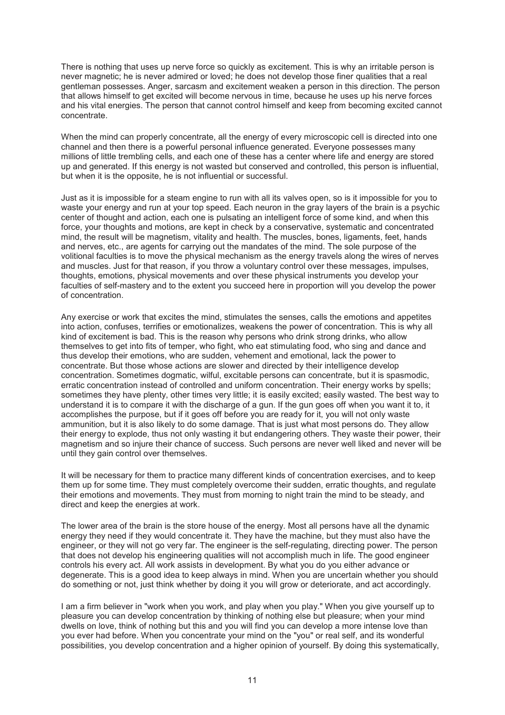There is nothing that uses up nerve force so quickly as excitement. This is why an irritable person is never magnetic; he is never admired or loved; he does not develop those finer qualities that a real gentleman possesses. Anger, sarcasm and excitement weaken a person in this direction. The person that allows himself to get excited will become nervous in time, because he uses up his nerve forces and his vital energies. The person that cannot control himself and keep from becoming excited cannot concentrate.

When the mind can properly concentrate, all the energy of every microscopic cell is directed into one channel and then there is a powerful personal influence generated. Everyone possesses many millions of little trembling cells, and each one of these has a center where life and energy are stored up and generated. If this energy is not wasted but conserved and controlled, this person is influential, but when it is the opposite, he is not influential or successful.

Just as it is impossible for a steam engine to run with all its valves open, so is it impossible for you to waste your energy and run at your top speed. Each neuron in the gray layers of the brain is a psychic center of thought and action, each one is pulsating an intelligent force of some kind, and when this force, your thoughts and motions, are kept in check by a conservative, systematic and concentrated mind, the result will be magnetism, vitality and health. The muscles, bones, ligaments, feet, hands and nerves, etc., are agents for carrying out the mandates of the mind. The sole purpose of the volitional faculties is to move the physical mechanism as the energy travels along the wires of nerves and muscles. Just for that reason, if you throw a voluntary control over these messages, impulses, thoughts, emotions, physical movements and over these physical instruments you develop your faculties of self-mastery and to the extent you succeed here in proportion will you develop the power of concentration.

Any exercise or work that excites the mind, stimulates the senses, calls the emotions and appetites into action, confuses, terrifies or emotionalizes, weakens the power of concentration. This is why all kind of excitement is bad. This is the reason why persons who drink strong drinks, who allow themselves to get into fits of temper, who fight, who eat stimulating food, who sing and dance and thus develop their emotions, who are sudden, vehement and emotional, lack the power to concentrate. But those whose actions are slower and directed by their intelligence develop concentration. Sometimes dogmatic, wilful, excitable persons can concentrate, but it is spasmodic, erratic concentration instead of controlled and uniform concentration. Their energy works by spells; sometimes they have plenty, other times very little; it is easily excited; easily wasted. The best way to understand it is to compare it with the discharge of a gun. If the gun goes off when you want it to, it accomplishes the purpose, but if it goes off before you are ready for it, you will not only waste ammunition, but it is also likely to do some damage. That is just what most persons do. They allow their energy to explode, thus not only wasting it but endangering others. They waste their power, their magnetism and so injure their chance of success. Such persons are never well liked and never will be until they gain control over themselves.

It will be necessary for them to practice many different kinds of concentration exercises, and to keep them up for some time. They must completely overcome their sudden, erratic thoughts, and regulate their emotions and movements. They must from morning to night train the mind to be steady, and direct and keep the energies at work.

The lower area of the brain is the store house of the energy. Most all persons have all the dynamic energy they need if they would concentrate it. They have the machine, but they must also have the engineer, or they will not go very far. The engineer is the self-regulating, directing power. The person that does not develop his engineering qualities will not accomplish much in life. The good engineer controls his every act. All work assists in development. By what you do you either advance or degenerate. This is a good idea to keep always in mind. When you are uncertain whether you should do something or not, just think whether by doing it you will grow or deteriorate, and act accordingly.

I am a firm believer in "work when you work, and play when you play." When you give yourself up to pleasure you can develop concentration by thinking of nothing else but pleasure; when your mind dwells on love, think of nothing but this and you will find you can develop a more intense love than you ever had before. When you concentrate your mind on the "you" or real self, and its wonderful possibilities, you develop concentration and a higher opinion of yourself. By doing this systematically,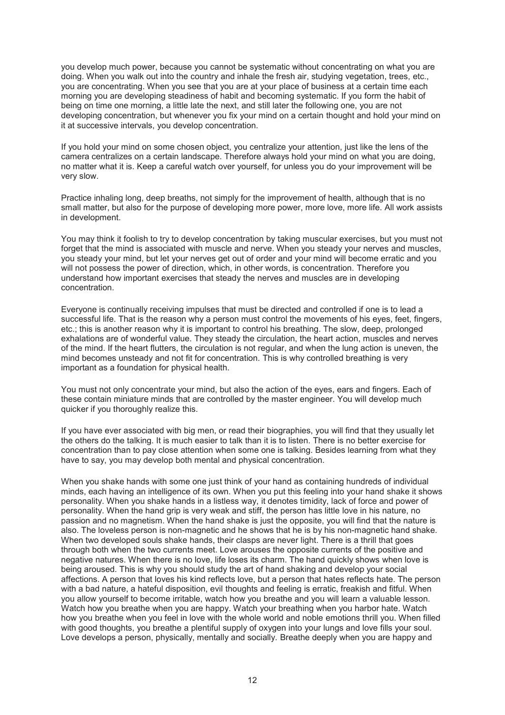you develop much power, because you cannot be systematic without concentrating on what you are doing. When you walk out into the country and inhale the fresh air, studying vegetation, trees, etc., you are concentrating. When you see that you are at your place of business at a certain time each morning you are developing steadiness of habit and becoming systematic. If you form the habit of being on time one morning, a little late the next, and still later the following one, you are not developing concentration, but whenever you fix your mind on a certain thought and hold your mind on it at successive intervals, you develop concentration.

If you hold your mind on some chosen object, you centralize your attention, just like the lens of the camera centralizes on a certain landscape. Therefore always hold your mind on what you are doing, no matter what it is. Keep a careful watch over yourself, for unless you do your improvement will be very slow.

Practice inhaling long, deep breaths, not simply for the improvement of health, although that is no small matter, but also for the purpose of developing more power, more love, more life. All work assists in development.

You may think it foolish to try to develop concentration by taking muscular exercises, but you must not forget that the mind is associated with muscle and nerve. When you steady your nerves and muscles, you steady your mind, but let your nerves get out of order and your mind will become erratic and you will not possess the power of direction, which, in other words, is concentration. Therefore you understand how important exercises that steady the nerves and muscles are in developing concentration.

Everyone is continually receiving impulses that must be directed and controlled if one is to lead a successful life. That is the reason why a person must control the movements of his eyes, feet, fingers, etc.; this is another reason why it is important to control his breathing. The slow, deep, prolonged exhalations are of wonderful value. They steady the circulation, the heart action, muscles and nerves of the mind. If the heart flutters, the circulation is not regular, and when the lung action is uneven, the mind becomes unsteady and not fit for concentration. This is why controlled breathing is very important as a foundation for physical health.

You must not only concentrate your mind, but also the action of the eyes, ears and fingers. Each of these contain miniature minds that are controlled by the master engineer. You will develop much quicker if you thoroughly realize this.

If you have ever associated with big men, or read their biographies, you will find that they usually let the others do the talking. It is much easier to talk than it is to listen. There is no better exercise for concentration than to pay close attention when some one is talking. Besides learning from what they have to say, you may develop both mental and physical concentration.

When you shake hands with some one just think of your hand as containing hundreds of individual minds, each having an intelligence of its own. When you put this feeling into your hand shake it shows personality. When you shake hands in a listless way, it denotes timidity, lack of force and power of personality. When the hand grip is very weak and stiff, the person has little love in his nature, no passion and no magnetism. When the hand shake is just the opposite, you will find that the nature is also. The loveless person is non-magnetic and he shows that he is by his non-magnetic hand shake. When two developed souls shake hands, their clasps are never light. There is a thrill that goes through both when the two currents meet. Love arouses the opposite currents of the positive and negative natures. When there is no love, life loses its charm. The hand quickly shows when love is being aroused. This is why you should study the art of hand shaking and develop your social affections. A person that loves his kind reflects love, but a person that hates reflects hate. The person with a bad nature, a hateful disposition, evil thoughts and feeling is erratic, freakish and fitful. When you allow yourself to become irritable, watch how you breathe and you will learn a valuable lesson. Watch how you breathe when you are happy. Watch your breathing when you harbor hate. Watch how you breathe when you feel in love with the whole world and noble emotions thrill you. When filled with good thoughts, you breathe a plentiful supply of oxygen into your lungs and love fills your soul. Love develops a person, physically, mentally and socially. Breathe deeply when you are happy and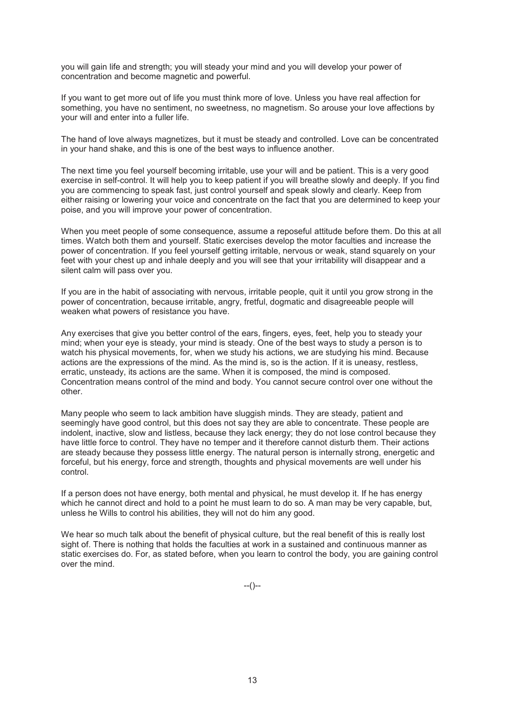you will gain life and strength; you will steady your mind and you will develop your power of concentration and become magnetic and powerful.

If you want to get more out of life you must think more of love. Unless you have real affection for something, you have no sentiment, no sweetness, no magnetism. So arouse your love affections by your will and enter into a fuller life.

The hand of love always magnetizes, but it must be steady and controlled. Love can be concentrated in your hand shake, and this is one of the best ways to influence another.

The next time you feel yourself becoming irritable, use your will and be patient. This is a very good exercise in self-control. It will help you to keep patient if you will breathe slowly and deeply. If you find you are commencing to speak fast, just control yourself and speak slowly and clearly. Keep from either raising or lowering your voice and concentrate on the fact that you are determined to keep your poise, and you will improve your power of concentration.

When you meet people of some consequence, assume a reposeful attitude before them. Do this at all times. Watch both them and yourself. Static exercises develop the motor faculties and increase the power of concentration. If you feel yourself getting irritable, nervous or weak, stand squarely on your feet with your chest up and inhale deeply and you will see that your irritability will disappear and a silent calm will pass over you.

If you are in the habit of associating with nervous, irritable people, quit it until you grow strong in the power of concentration, because irritable, angry, fretful, dogmatic and disagreeable people will weaken what powers of resistance you have.

Any exercises that give you better control of the ears, fingers, eyes, feet, help you to steady your mind; when your eye is steady, your mind is steady. One of the best ways to study a person is to watch his physical movements, for, when we study his actions, we are studying his mind. Because actions are the expressions of the mind. As the mind is, so is the action. If it is uneasy, restless, erratic, unsteady, its actions are the same. When it is composed, the mind is composed. Concentration means control of the mind and body. You cannot secure control over one without the other.

Many people who seem to lack ambition have sluggish minds. They are steady, patient and seemingly have good control, but this does not say they are able to concentrate. These people are indolent, inactive, slow and listless, because they lack energy; they do not lose control because they have little force to control. They have no temper and it therefore cannot disturb them. Their actions are steady because they possess little energy. The natural person is internally strong, energetic and forceful, but his energy, force and strength, thoughts and physical movements are well under his control.

If a person does not have energy, both mental and physical, he must develop it. If he has energy which he cannot direct and hold to a point he must learn to do so. A man may be very capable, but, unless he Wills to control his abilities, they will not do him any good.

We hear so much talk about the benefit of physical culture, but the real benefit of this is really lost sight of. There is nothing that holds the faculties at work in a sustained and continuous manner as static exercises do. For, as stated before, when you learn to control the body, you are gaining control over the mind.

 $-(-)$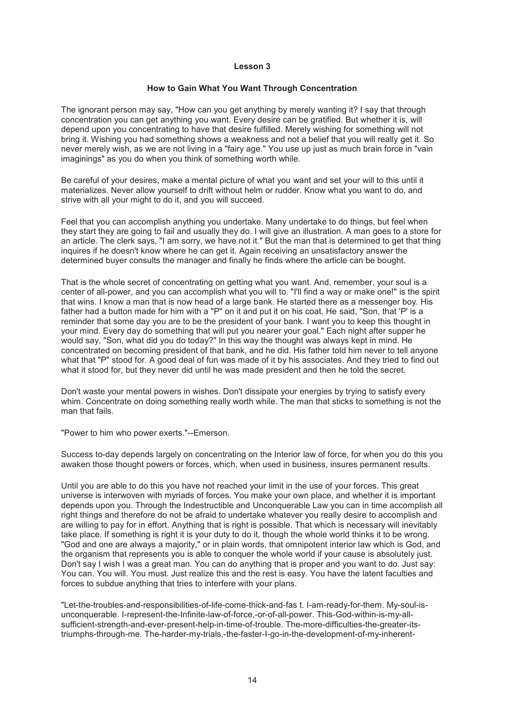#### **How to Gain What You Want Through Concentration**

The ignorant person may say, "How can you get anything by merely wanting it? I say that through concentration you can get anything you want. Every desire can be gratified. But whether it is, will depend upon you concentrating to have that desire fulfilled. Merely wishing for something will not bring it. Wishing you had something shows a weakness and not a belief that you will really get it. So never merely wish, as we are not living in a "fairy age." You use up just as much brain force in "vain imaginings" as you do when you think of something worth while.

Be careful of your desires, make a mental picture of what you want and set your will to this until it materializes. Never allow yourself to drift without helm or rudder. Know what you want to do, and strive with all your might to do it, and you will succeed.

Feel that you can accomplish anything you undertake. Many undertake to do things, but feel when they start they are going to fail and usually they do. I will give an illustration. A man goes to a store for an article. The clerk says, "I am sorry, we have not it." But the man that is determined to get that thing inquires if he doesn't know where he can get it. Again receiving an unsatisfactory answer the determined buyer consults the manager and finally he finds where the article can be bought.

That is the whole secret of concentrating on getting what you want. And, remember, your soul is a center of all-power, and you can accomplish what you will to. "I'll find a way or make one!" is the spirit that wins. I know a man that is now head of a large bank. He started there as a messenger boy. His father had a button made for him with a "P" on it and put it on his coat. He said, "Son, that 'P' is a reminder that some day you are to be the president of your bank. I want you to keep this thought in your mind. Every day do something that will put you nearer your goal." Each night after supper he would say, "Son, what did you do today?" In this way the thought was always kept in mind. He concentrated on becoming president of that bank, and he did. His father told him never to tell anyone what that "P" stood for. A good deal of fun was made of it by his associates. And they tried to find out what it stood for, but they never did until he was made president and then he told the secret.

Don't waste your mental powers in wishes. Don't dissipate your energies by trying to satisfy every whim. Concentrate on doing something really worth while. The man that sticks to something is not the man that fails.

"Power to him who power exerts."--Emerson.

Success to-day depends largely on concentrating on the Interior law of force, for when you do this you awaken those thought powers or forces, which, when used in business, insures permanent results.

Until you are able to do this you have not reached your limit in the use of your forces. This great universe is interwoven with myriads of forces. You make your own place, and whether it is important depends upon you. Through the Indestructible and Unconquerable Law you can in time accomplish all right things and therefore do not be afraid to undertake whatever you really desire to accomplish and are willing to pay for in effort. Anything that is right is possible. That which is necessary will inevitably take place. If something is right it is your duty to do it, though the whole world thinks it to be wrong. "God and one are always a majority," or in plain words, that omnipotent interior law which is God, and the organism that represents you is able to conquer the whole world if your cause is absolutely just. Don't say I wish I was a great man. You can do anything that is proper and you want to do. Just say: You can. You will. You must. Just realize this and the rest is easy. You have the latent faculties and forces to subdue anything that tries to interfere with your plans.

"Let-the-troubles-and-responsibilities-of-life-come-thick-and-fas t. I-am-ready-for-them. My-soul-isunconquerable. I-represent-the-Infinite-law-of-force,-or-of-all-power. This-God-within-is-my-allsufficient-strength-and-ever-present-help-in-time-of-trouble. The-more-difficulties-the-greater-itstriumphs-through-me. The-harder-my-trials,-the-faster-I-go-in-the-development-of-my-inherent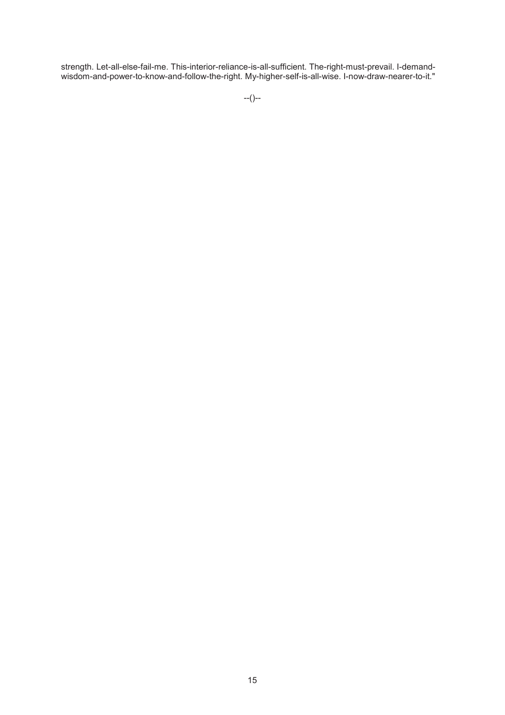strength. Let-all-else-fail-me. This-interior-reliance-is-all-sufficient. The-right-must-prevail. I-demandwisdom-and-power-to-know-and-follow-the-right. My-higher-self-is-all-wise. I-now-draw-nearer-to-it."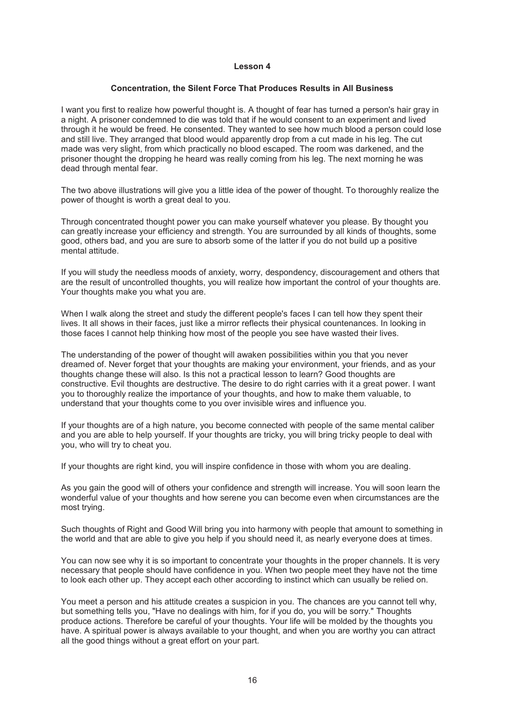#### **Concentration, the Silent Force That Produces Results in All Business**

I want you first to realize how powerful thought is. A thought of fear has turned a person's hair gray in a night. A prisoner condemned to die was told that if he would consent to an experiment and lived through it he would be freed. He consented. They wanted to see how much blood a person could lose and still live. They arranged that blood would apparently drop from a cut made in his leg. The cut made was very slight, from which practically no blood escaped. The room was darkened, and the prisoner thought the dropping he heard was really coming from his leg. The next morning he was dead through mental fear.

The two above illustrations will give you a little idea of the power of thought. To thoroughly realize the power of thought is worth a great deal to you.

Through concentrated thought power you can make yourself whatever you please. By thought you can greatly increase your efficiency and strength. You are surrounded by all kinds of thoughts, some good, others bad, and you are sure to absorb some of the latter if you do not build up a positive mental attitude.

If you will study the needless moods of anxiety, worry, despondency, discouragement and others that are the result of uncontrolled thoughts, you will realize how important the control of your thoughts are. Your thoughts make you what you are.

When I walk along the street and study the different people's faces I can tell how they spent their lives. It all shows in their faces, just like a mirror reflects their physical countenances. In looking in those faces I cannot help thinking how most of the people you see have wasted their lives.

The understanding of the power of thought will awaken possibilities within you that you never dreamed of. Never forget that your thoughts are making your environment, your friends, and as your thoughts change these will also. Is this not a practical lesson to learn? Good thoughts are constructive. Evil thoughts are destructive. The desire to do right carries with it a great power. I want you to thoroughly realize the importance of your thoughts, and how to make them valuable, to understand that your thoughts come to you over invisible wires and influence you.

If your thoughts are of a high nature, you become connected with people of the same mental caliber and you are able to help yourself. If your thoughts are tricky, you will bring tricky people to deal with you, who will try to cheat you.

If your thoughts are right kind, you will inspire confidence in those with whom you are dealing.

As you gain the good will of others your confidence and strength will increase. You will soon learn the wonderful value of your thoughts and how serene you can become even when circumstances are the most trying.

Such thoughts of Right and Good Will bring you into harmony with people that amount to something in the world and that are able to give you help if you should need it, as nearly everyone does at times.

You can now see why it is so important to concentrate your thoughts in the proper channels. It is very necessary that people should have confidence in you. When two people meet they have not the time to look each other up. They accept each other according to instinct which can usually be relied on.

You meet a person and his attitude creates a suspicion in you. The chances are you cannot tell why, but something tells you, "Have no dealings with him, for if you do, you will be sorry." Thoughts produce actions. Therefore be careful of your thoughts. Your life will be molded by the thoughts you have. A spiritual power is always available to your thought, and when you are worthy you can attract all the good things without a great effort on your part.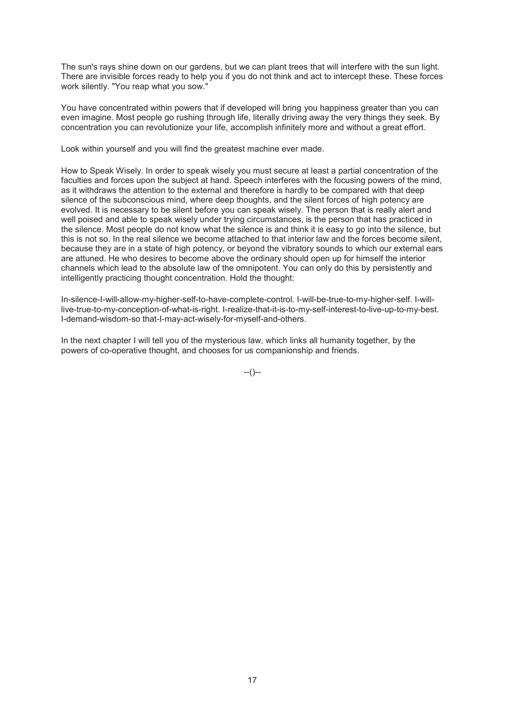The sun's rays shine down on our gardens, but we can plant trees that will interfere with the sun light. There are invisible forces ready to help you if you do not think and act to intercept these. These forces work silently. "You reap what you sow."

You have concentrated within powers that if developed will bring you happiness greater than you can even imagine. Most people go rushing through life, literally driving away the very things they seek. By concentration you can revolutionize your life, accomplish infinitely more and without a great effort.

Look within yourself and you will find the greatest machine ever made.

How to Speak Wisely. In order to speak wisely you must secure at least a partial concentration of the faculties and forces upon the subject at hand. Speech interferes with the focusing powers of the mind, as it withdraws the attention to the external and therefore is hardly to be compared with that deep silence of the subconscious mind, where deep thoughts, and the silent forces of high potency are evolved. It is necessary to be silent before you can speak wisely. The person that is really alert and well poised and able to speak wisely under trying circumstances, is the person that has practiced in the silence. Most people do not know what the silence is and think it is easy to go into the silence, but this is not so. In the real silence we become attached to that interior law and the forces become silent, because they are in a state of high potency, or beyond the vibratory sounds to which our external ears are attuned. He who desires to become above the ordinary should open up for himself the interior channels which lead to the absolute law of the omnipotent. You can only do this by persistently and intelligently practicing thought concentration. Hold the thought:

In-silence-I-will-allow-my-higher-self-to-have-complete-control. I-will-be-true-to-my-higher-self. I-willlive-true-to-my-conception-of-what-is-right. I-realize-that-it-is-to-my-self-interest-to-live-up-to-my-best. I-demand-wisdom-so that-I-may-act-wisely-for-myself-and-others.

In the next chapter I will tell you of the mysterious law, which links all humanity together, by the powers of co-operative thought, and chooses for us companionship and friends.

 $-(-)$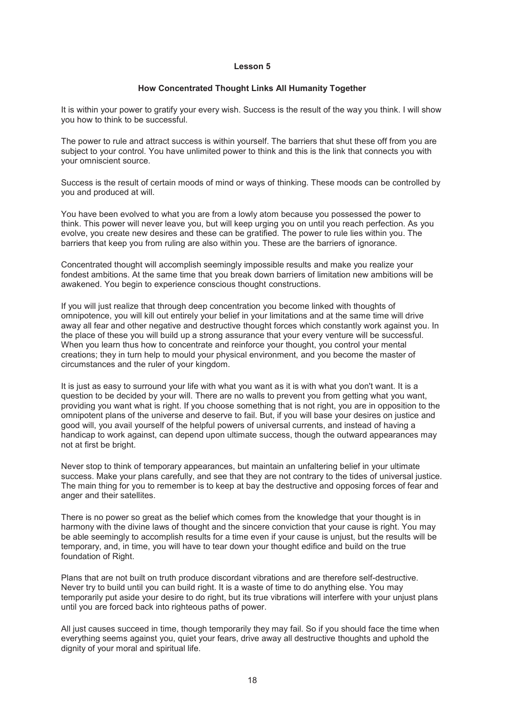#### **How Concentrated Thought Links All Humanity Together**

It is within your power to gratify your every wish. Success is the result of the way you think. I will show you how to think to be successful.

The power to rule and attract success is within yourself. The barriers that shut these off from you are subject to your control. You have unlimited power to think and this is the link that connects you with your omniscient source.

Success is the result of certain moods of mind or ways of thinking. These moods can be controlled by you and produced at will.

You have been evolved to what you are from a lowly atom because you possessed the power to think. This power will never leave you, but will keep urging you on until you reach perfection. As you evolve, you create new desires and these can be gratified. The power to rule lies within you. The barriers that keep you from ruling are also within you. These are the barriers of ignorance.

Concentrated thought will accomplish seemingly impossible results and make you realize your fondest ambitions. At the same time that you break down barriers of limitation new ambitions will be awakened. You begin to experience conscious thought constructions.

If you will just realize that through deep concentration you become linked with thoughts of omnipotence, you will kill out entirely your belief in your limitations and at the same time will drive away all fear and other negative and destructive thought forces which constantly work against you. In the place of these you will build up a strong assurance that your every venture will be successful. When you learn thus how to concentrate and reinforce your thought, you control your mental creations; they in turn help to mould your physical environment, and you become the master of circumstances and the ruler of your kingdom.

It is just as easy to surround your life with what you want as it is with what you don't want. It is a question to be decided by your will. There are no walls to prevent you from getting what you want, providing you want what is right. If you choose something that is not right, you are in opposition to the omnipotent plans of the universe and deserve to fail. But, if you will base your desires on justice and good will, you avail yourself of the helpful powers of universal currents, and instead of having a handicap to work against, can depend upon ultimate success, though the outward appearances may not at first be bright.

Never stop to think of temporary appearances, but maintain an unfaltering belief in your ultimate success. Make your plans carefully, and see that they are not contrary to the tides of universal justice. The main thing for you to remember is to keep at bay the destructive and opposing forces of fear and anger and their satellites.

There is no power so great as the belief which comes from the knowledge that your thought is in harmony with the divine laws of thought and the sincere conviction that your cause is right. You may be able seemingly to accomplish results for a time even if your cause is unjust, but the results will be temporary, and, in time, you will have to tear down your thought edifice and build on the true foundation of Right.

Plans that are not built on truth produce discordant vibrations and are therefore self-destructive. Never try to build until you can build right. It is a waste of time to do anything else. You may temporarily put aside your desire to do right, but its true vibrations will interfere with your unjust plans until you are forced back into righteous paths of power.

All just causes succeed in time, though temporarily they may fail. So if you should face the time when everything seems against you, quiet your fears, drive away all destructive thoughts and uphold the dignity of your moral and spiritual life.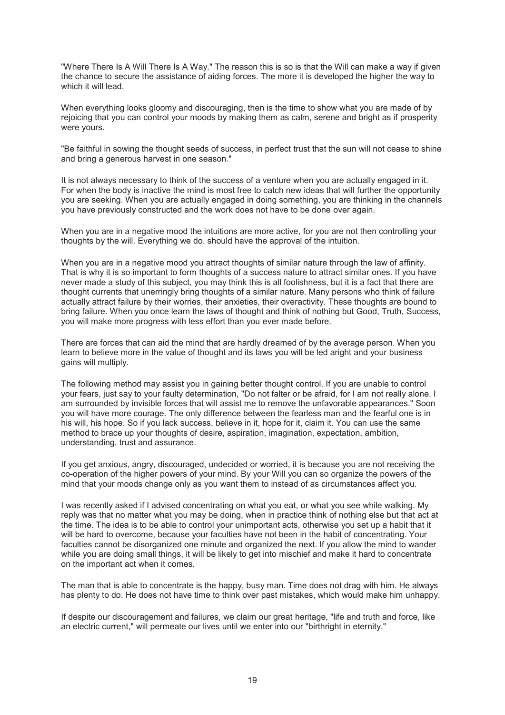"Where There Is A Will There Is A Way." The reason this is so is that the Will can make a way if given the chance to secure the assistance of aiding forces. The more it is developed the higher the way to which it will lead.

When everything looks gloomy and discouraging, then is the time to show what you are made of by rejoicing that you can control your moods by making them as calm, serene and bright as if prosperity were yours.

"Be faithful in sowing the thought seeds of success, in perfect trust that the sun will not cease to shine and bring a generous harvest in one season."

It is not always necessary to think of the success of a venture when you are actually engaged in it. For when the body is inactive the mind is most free to catch new ideas that will further the opportunity you are seeking. When you are actually engaged in doing something, you are thinking in the channels you have previously constructed and the work does not have to be done over again.

When you are in a negative mood the intuitions are more active, for you are not then controlling your thoughts by the will. Everything we do. should have the approval of the intuition.

When you are in a negative mood you attract thoughts of similar nature through the law of affinity. That is why it is so important to form thoughts of a success nature to attract similar ones. If you have never made a study of this subject, you may think this is all foolishness, but it is a fact that there are thought currents that unerringly bring thoughts of a similar nature. Many persons who think of failure actually attract failure by their worries, their anxieties, their overactivity. These thoughts are bound to bring failure. When you once learn the laws of thought and think of nothing but Good, Truth, Success, you will make more progress with less effort than you ever made before.

There are forces that can aid the mind that are hardly dreamed of by the average person. When you learn to believe more in the value of thought and its laws you will be led aright and your business gains will multiply.

The following method may assist you in gaining better thought control. If you are unable to control your fears, just say to your faulty determination, "Do not falter or be afraid, for I am not really alone. I am surrounded by invisible forces that will assist me to remove the unfavorable appearances." Soon you will have more courage. The only difference between the fearless man and the fearful one is in his will, his hope. So if you lack success, believe in it, hope for it, claim it. You can use the same method to brace up your thoughts of desire, aspiration, imagination, expectation, ambition, understanding, trust and assurance.

If you get anxious, angry, discouraged, undecided or worried, it is because you are not receiving the co-operation of the higher powers of your mind. By your Will you can so organize the powers of the mind that your moods change only as you want them to instead of as circumstances affect you.

I was recently asked if I advised concentrating on what you eat, or what you see while walking. My reply was that no matter what you may be doing, when in practice think of nothing else but that act at the time. The idea is to be able to control your unimportant acts, otherwise you set up a habit that it will be hard to overcome, because your faculties have not been in the habit of concentrating. Your faculties cannot be disorganized one minute and organized the next. If you allow the mind to wander while you are doing small things, it will be likely to get into mischief and make it hard to concentrate on the important act when it comes.

The man that is able to concentrate is the happy, busy man. Time does not drag with him. He always has plenty to do. He does not have time to think over past mistakes, which would make him unhappy.

If despite our discouragement and failures, we claim our great heritage, "life and truth and force, like an electric current," will permeate our lives until we enter into our "birthright in eternity."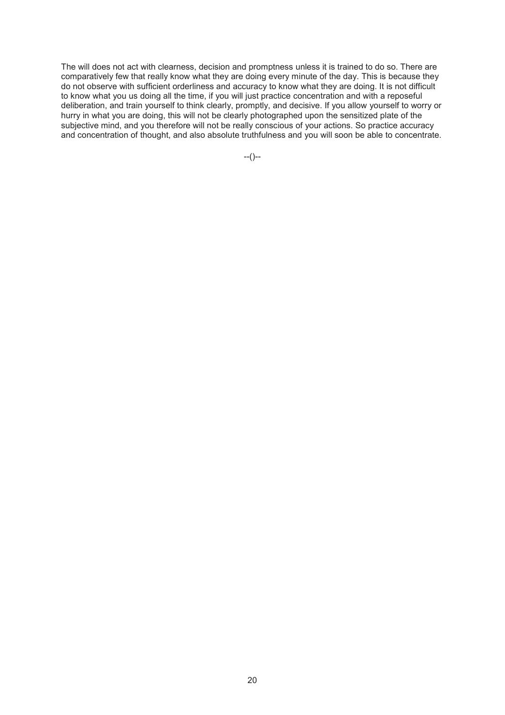The will does not act with clearness, decision and promptness unless it is trained to do so. There are comparatively few that really know what they are doing every minute of the day. This is because they do not observe with sufficient orderliness and accuracy to know what they are doing. It is not difficult to know what you us doing all the time, if you will just practice concentration and with a reposeful deliberation, and train yourself to think clearly, promptly, and decisive. If you allow yourself to worry or hurry in what you are doing, this will not be clearly photographed upon the sensitized plate of the subjective mind, and you therefore will not be really conscious of your actions. So practice accuracy and concentration of thought, and also absolute truthfulness and you will soon be able to concentrate.

--()--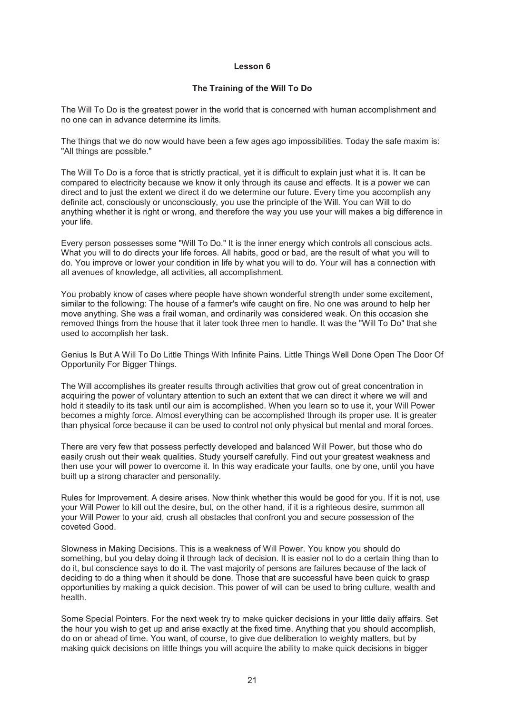#### **The Training of the Will To Do**

The Will To Do is the greatest power in the world that is concerned with human accomplishment and no one can in advance determine its limits.

The things that we do now would have been a few ages ago impossibilities. Today the safe maxim is: "All things are possible."

The Will To Do is a force that is strictly practical, yet it is difficult to explain just what it is. It can be compared to electricity because we know it only through its cause and effects. It is a power we can direct and to just the extent we direct it do we determine our future. Every time you accomplish any definite act, consciously or unconsciously, you use the principle of the Will. You can Will to do anything whether it is right or wrong, and therefore the way you use your will makes a big difference in your life.

Every person possesses some "Will To Do." It is the inner energy which controls all conscious acts. What you will to do directs your life forces. All habits, good or bad, are the result of what you will to do. You improve or lower your condition in life by what you will to do. Your will has a connection with all avenues of knowledge, all activities, all accomplishment.

You probably know of cases where people have shown wonderful strength under some excitement, similar to the following: The house of a farmer's wife caught on fire. No one was around to help her move anything. She was a frail woman, and ordinarily was considered weak. On this occasion she removed things from the house that it later took three men to handle. It was the "Will To Do" that she used to accomplish her task.

Genius Is But A Will To Do Little Things With Infinite Pains. Little Things Well Done Open The Door Of Opportunity For Bigger Things.

The Will accomplishes its greater results through activities that grow out of great concentration in acquiring the power of voluntary attention to such an extent that we can direct it where we will and hold it steadily to its task until our aim is accomplished. When you learn so to use it, your Will Power becomes a mighty force. Almost everything can be accomplished through its proper use. It is greater than physical force because it can be used to control not only physical but mental and moral forces.

There are very few that possess perfectly developed and balanced Will Power, but those who do easily crush out their weak qualities. Study yourself carefully. Find out your greatest weakness and then use your will power to overcome it. In this way eradicate your faults, one by one, until you have built up a strong character and personality.

Rules for Improvement. A desire arises. Now think whether this would be good for you. If it is not, use your Will Power to kill out the desire, but, on the other hand, if it is a righteous desire, summon all your Will Power to your aid, crush all obstacles that confront you and secure possession of the coveted Good.

Slowness in Making Decisions. This is a weakness of Will Power. You know you should do something, but you delay doing it through lack of decision. It is easier not to do a certain thing than to do it, but conscience says to do it. The vast majority of persons are failures because of the lack of deciding to do a thing when it should be done. Those that are successful have been quick to grasp opportunities by making a quick decision. This power of will can be used to bring culture, wealth and health.

Some Special Pointers. For the next week try to make quicker decisions in your little daily affairs. Set the hour you wish to get up and arise exactly at the fixed time. Anything that you should accomplish, do on or ahead of time. You want, of course, to give due deliberation to weighty matters, but by making quick decisions on little things you will acquire the ability to make quick decisions in bigger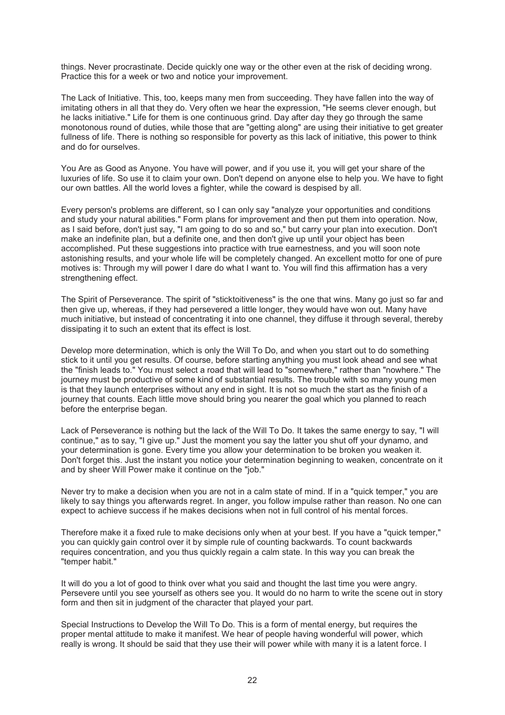things. Never procrastinate. Decide quickly one way or the other even at the risk of deciding wrong. Practice this for a week or two and notice your improvement.

The Lack of Initiative. This, too, keeps many men from succeeding. They have fallen into the way of imitating others in all that they do. Very often we hear the expression, "He seems clever enough, but he lacks initiative." Life for them is one continuous grind. Day after day they go through the same monotonous round of duties, while those that are "getting along" are using their initiative to get greater fullness of life. There is nothing so responsible for poverty as this lack of initiative, this power to think and do for ourselves.

You Are as Good as Anyone. You have will power, and if you use it, you will get your share of the luxuries of life. So use it to claim your own. Don't depend on anyone else to help you. We have to fight our own battles. All the world loves a fighter, while the coward is despised by all.

Every person's problems are different, so I can only say "analyze your opportunities and conditions and study your natural abilities." Form plans for improvement and then put them into operation. Now, as I said before, don't just say, "I am going to do so and so," but carry your plan into execution. Don't make an indefinite plan, but a definite one, and then don't give up until your object has been accomplished. Put these suggestions into practice with true earnestness, and you will soon note astonishing results, and your whole life will be completely changed. An excellent motto for one of pure motives is: Through my will power I dare do what I want to. You will find this affirmation has a very strengthening effect.

The Spirit of Perseverance. The spirit of "sticktoitiveness" is the one that wins. Many go just so far and then give up, whereas, if they had persevered a little longer, they would have won out. Many have much initiative, but instead of concentrating it into one channel, they diffuse it through several, thereby dissipating it to such an extent that its effect is lost.

Develop more determination, which is only the Will To Do, and when you start out to do something stick to it until you get results. Of course, before starting anything you must look ahead and see what the "finish leads to." You must select a road that will lead to "somewhere," rather than "nowhere." The journey must be productive of some kind of substantial results. The trouble with so many young men is that they launch enterprises without any end in sight. It is not so much the start as the finish of a journey that counts. Each little move should bring you nearer the goal which you planned to reach before the enterprise began.

Lack of Perseverance is nothing but the lack of the Will To Do. It takes the same energy to say, "I will continue," as to say, "I give up." Just the moment you say the latter you shut off your dynamo, and your determination is gone. Every time you allow your determination to be broken you weaken it. Don't forget this. Just the instant you notice your determination beginning to weaken, concentrate on it and by sheer Will Power make it continue on the "job."

Never try to make a decision when you are not in a calm state of mind. If in a "quick temper," you are likely to say things you afterwards regret. In anger, you follow impulse rather than reason. No one can expect to achieve success if he makes decisions when not in full control of his mental forces.

Therefore make it a fixed rule to make decisions only when at your best. If you have a "quick temper," you can quickly gain control over it by simple rule of counting backwards. To count backwards requires concentration, and you thus quickly regain a calm state. In this way you can break the "temper habit."

It will do you a lot of good to think over what you said and thought the last time you were angry. Persevere until you see yourself as others see you. It would do no harm to write the scene out in story form and then sit in judgment of the character that played your part.

Special Instructions to Develop the Will To Do. This is a form of mental energy, but requires the proper mental attitude to make it manifest. We hear of people having wonderful will power, which really is wrong. It should be said that they use their will power while with many it is a latent force. I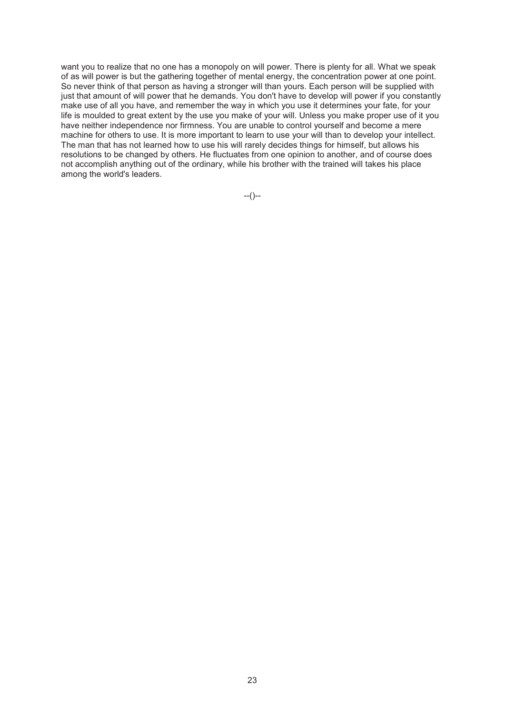want you to realize that no one has a monopoly on will power. There is plenty for all. What we speak of as will power is but the gathering together of mental energy, the concentration power at one point. So never think of that person as having a stronger will than yours. Each person will be supplied with just that amount of will power that he demands. You don't have to develop will power if you constantly make use of all you have, and remember the way in which you use it determines your fate, for your life is moulded to great extent by the use you make of your will. Unless you make proper use of it you have neither independence nor firmness. You are unable to control yourself and become a mere machine for others to use. It is more important to learn to use your will than to develop your intellect. The man that has not learned how to use his will rarely decides things for himself, but allows his resolutions to be changed by others. He fluctuates from one opinion to another, and of course does not accomplish anything out of the ordinary, while his brother with the trained will takes his place among the world's leaders.

--()--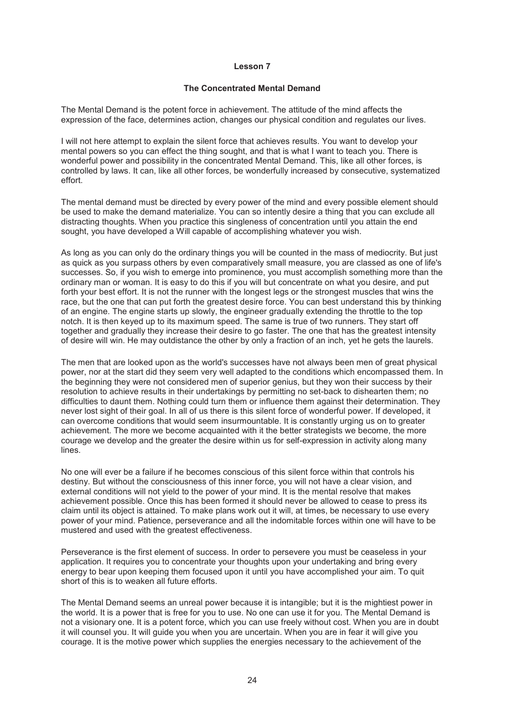#### **The Concentrated Mental Demand**

The Mental Demand is the potent force in achievement. The attitude of the mind affects the expression of the face, determines action, changes our physical condition and regulates our lives.

I will not here attempt to explain the silent force that achieves results. You want to develop your mental powers so you can effect the thing sought, and that is what I want to teach you. There is wonderful power and possibility in the concentrated Mental Demand. This, like all other forces, is controlled by laws. It can, like all other forces, be wonderfully increased by consecutive, systematized effort.

The mental demand must be directed by every power of the mind and every possible element should be used to make the demand materialize. You can so intently desire a thing that you can exclude all distracting thoughts. When you practice this singleness of concentration until you attain the end sought, you have developed a Will capable of accomplishing whatever you wish.

As long as you can only do the ordinary things you will be counted in the mass of mediocrity. But just as quick as you surpass others by even comparatively small measure, you are classed as one of life's successes. So, if you wish to emerge into prominence, you must accomplish something more than the ordinary man or woman. It is easy to do this if you will but concentrate on what you desire, and put forth your best effort. It is not the runner with the longest legs or the strongest muscles that wins the race, but the one that can put forth the greatest desire force. You can best understand this by thinking of an engine. The engine starts up slowly, the engineer gradually extending the throttle to the top notch. It is then keyed up to its maximum speed. The same is true of two runners. They start off together and gradually they increase their desire to go faster. The one that has the greatest intensity of desire will win. He may outdistance the other by only a fraction of an inch, yet he gets the laurels.

The men that are looked upon as the world's successes have not always been men of great physical power, nor at the start did they seem very well adapted to the conditions which encompassed them. In the beginning they were not considered men of superior genius, but they won their success by their resolution to achieve results in their undertakings by permitting no set-back to dishearten them; no difficulties to daunt them. Nothing could turn them or influence them against their determination. They never lost sight of their goal. In all of us there is this silent force of wonderful power. If developed, it can overcome conditions that would seem insurmountable. It is constantly urging us on to greater achievement. The more we become acquainted with it the better strategists we become, the more courage we develop and the greater the desire within us for self-expression in activity along many lines.

No one will ever be a failure if he becomes conscious of this silent force within that controls his destiny. But without the consciousness of this inner force, you will not have a clear vision, and external conditions will not yield to the power of your mind. It is the mental resolve that makes achievement possible. Once this has been formed it should never be allowed to cease to press its claim until its object is attained. To make plans work out it will, at times, be necessary to use every power of your mind. Patience, perseverance and all the indomitable forces within one will have to be mustered and used with the greatest effectiveness.

Perseverance is the first element of success. In order to persevere you must be ceaseless in your application. It requires you to concentrate your thoughts upon your undertaking and bring every energy to bear upon keeping them focused upon it until you have accomplished your aim. To quit short of this is to weaken all future efforts.

The Mental Demand seems an unreal power because it is intangible; but it is the mightiest power in the world. It is a power that is free for you to use. No one can use it for you. The Mental Demand is not a visionary one. It is a potent force, which you can use freely without cost. When you are in doubt it will counsel you. It will guide you when you are uncertain. When you are in fear it will give you courage. It is the motive power which supplies the energies necessary to the achievement of the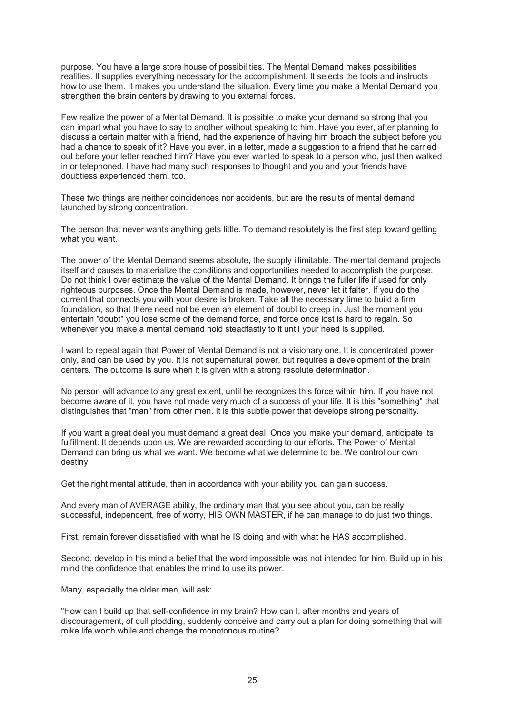purpose. You have a large store house of possibilities. The Mental Demand makes possibilities realities. It supplies everything necessary for the accomplishment, It selects the tools and instructs how to use them. It makes you understand the situation. Every time you make a Mental Demand you strengthen the brain centers by drawing to you external forces.

Few realize the power of a Mental Demand. It is possible to make your demand so strong that you can impart what you have to say to another without speaking to him. Have you ever, after planning to discuss a certain matter with a friend, had the experience of having him broach the subject before you had a chance to speak of it? Have you ever, in a letter, made a suggestion to a friend that he carried out before your letter reached him? Have you ever wanted to speak to a person who, just then walked in or telephoned. I have had many such responses to thought and you and your friends have doubtless experienced them, too.

These two things are neither coincidences nor accidents, but are the results of mental demand launched by strong concentration.

The person that never wants anything gets little. To demand resolutely is the first step toward getting what you want.

The power of the Mental Demand seems absolute, the supply illimitable. The mental demand projects itself and causes to materialize the conditions and opportunities needed to accomplish the purpose. Do not think I over estimate the value of the Mental Demand. It brings the fuller life if used for only righteous purposes. Once the Mental Demand is made, however, never let it falter. If you do the current that connects you with your desire is broken. Take all the necessary time to build a firm foundation, so that there need not be even an element of doubt to creep in. Just the moment you entertain "doubt" you lose some of the demand force, and force once lost is hard to regain. So whenever you make a mental demand hold steadfastly to it until your need is supplied.

I want to repeat again that Power of Mental Demand is not a visionary one. It is concentrated power only, and can be used by you. It is not supernatural power, but requires a development of the brain centers. The outcome is sure when it is given with a strong resolute determination.

No person will advance to any great extent, until he recognizes this force within him. If you have not become aware of it, you have not made very much of a success of your life. It is this "something" that distinguishes that "man" from other men. It is this subtle power that develops strong personality.

If you want a great deal you must demand a great deal. Once you make your demand, anticipate its fulfillment. It depends upon us. We are rewarded according to our efforts. The Power of Mental Demand can bring us what we want. We become what we determine to be. We control our own destiny.

Get the right mental attitude, then in accordance with your ability you can gain success.

And every man of AVERAGE ability, the ordinary man that you see about you, can be really successful, independent, free of worry, HIS OWN MASTER, if he can manage to do just two things.

First, remain forever dissatisfied with what he IS doing and with what he HAS accomplished.

Second, develop in his mind a belief that the word impossible was not intended for him. Build up in his mind the confidence that enables the mind to use its power.

Many, especially the older men, will ask:

"How can I build up that self-confidence in my brain? How can I, after months and years of discouragement, of dull plodding, suddenly conceive and carry out a plan for doing something that will mike life worth while and change the monotonous routine?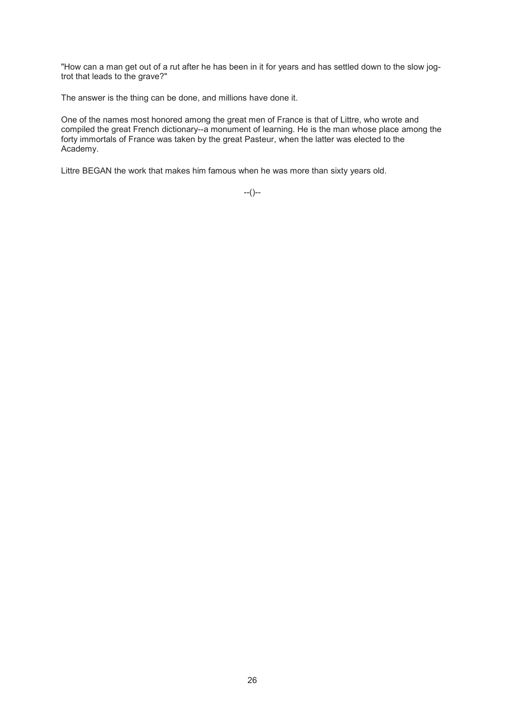"How can a man get out of a rut after he has been in it for years and has settled down to the slow jogtrot that leads to the grave?"

The answer is the thing can be done, and millions have done it.

One of the names most honored among the great men of France is that of Littre, who wrote and compiled the great French dictionary--a monument of learning. He is the man whose place among the forty immortals of France was taken by the great Pasteur, when the latter was elected to the Academy.

Littre BEGAN the work that makes him famous when he was more than sixty years old.

--()--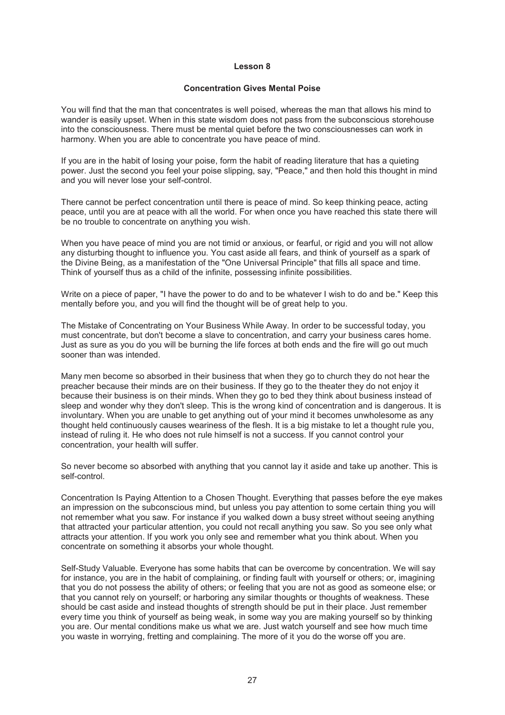#### **Concentration Gives Mental Poise**

You will find that the man that concentrates is well poised, whereas the man that allows his mind to wander is easily upset. When in this state wisdom does not pass from the subconscious storehouse into the consciousness. There must be mental quiet before the two consciousnesses can work in harmony. When you are able to concentrate you have peace of mind.

If you are in the habit of losing your poise, form the habit of reading literature that has a quieting power. Just the second you feel your poise slipping, say, "Peace," and then hold this thought in mind and you will never lose your self-control.

There cannot be perfect concentration until there is peace of mind. So keep thinking peace, acting peace, until you are at peace with all the world. For when once you have reached this state there will be no trouble to concentrate on anything you wish.

When you have peace of mind you are not timid or anxious, or fearful, or rigid and you will not allow any disturbing thought to influence you. You cast aside all fears, and think of yourself as a spark of the Divine Being, as a manifestation of the "One Universal Principle" that fills all space and time. Think of yourself thus as a child of the infinite, possessing infinite possibilities.

Write on a piece of paper, "I have the power to do and to be whatever I wish to do and be." Keep this mentally before you, and you will find the thought will be of great help to you.

The Mistake of Concentrating on Your Business While Away. In order to be successful today, you must concentrate, but don't become a slave to concentration, and carry your business cares home. Just as sure as you do you will be burning the life forces at both ends and the fire will go out much sooner than was intended.

Many men become so absorbed in their business that when they go to church they do not hear the preacher because their minds are on their business. If they go to the theater they do not enjoy it because their business is on their minds. When they go to bed they think about business instead of sleep and wonder why they don't sleep. This is the wrong kind of concentration and is dangerous. It is involuntary. When you are unable to get anything out of your mind it becomes unwholesome as any thought held continuously causes weariness of the flesh. It is a big mistake to let a thought rule you, instead of ruling it. He who does not rule himself is not a success. If you cannot control your concentration, your health will suffer.

So never become so absorbed with anything that you cannot lay it aside and take up another. This is self-control.

Concentration Is Paying Attention to a Chosen Thought. Everything that passes before the eye makes an impression on the subconscious mind, but unless you pay attention to some certain thing you will not remember what you saw. For instance if you walked down a busy street without seeing anything that attracted your particular attention, you could not recall anything you saw. So you see only what attracts your attention. If you work you only see and remember what you think about. When you concentrate on something it absorbs your whole thought.

Self-Study Valuable. Everyone has some habits that can be overcome by concentration. We will say for instance, you are in the habit of complaining, or finding fault with yourself or others; or, imagining that you do not possess the ability of others; or feeling that you are not as good as someone else; or that you cannot rely on yourself; or harboring any similar thoughts or thoughts of weakness. These should be cast aside and instead thoughts of strength should be put in their place. Just remember every time you think of yourself as being weak, in some way you are making yourself so by thinking you are. Our mental conditions make us what we are. Just watch yourself and see how much time you waste in worrying, fretting and complaining. The more of it you do the worse off you are.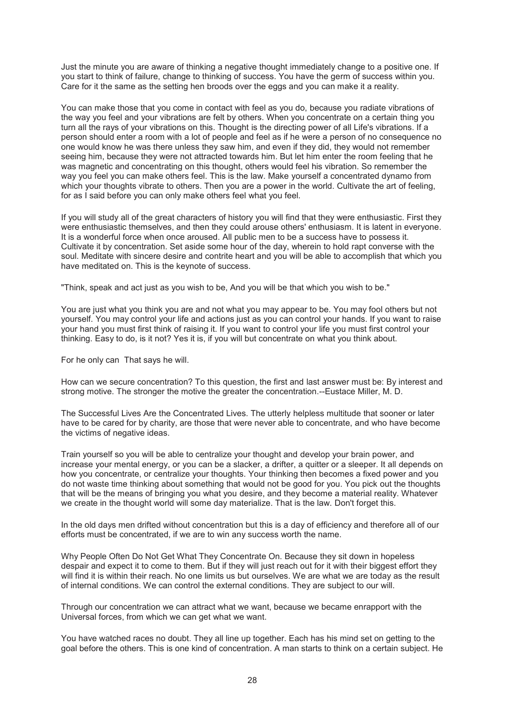Just the minute you are aware of thinking a negative thought immediately change to a positive one. If you start to think of failure, change to thinking of success. You have the germ of success within you. Care for it the same as the setting hen broods over the eggs and you can make it a reality.

You can make those that you come in contact with feel as you do, because you radiate vibrations of the way you feel and your vibrations are felt by others. When you concentrate on a certain thing you turn all the rays of your vibrations on this. Thought is the directing power of all Life's vibrations. If a person should enter a room with a lot of people and feel as if he were a person of no consequence no one would know he was there unless they saw him, and even if they did, they would not remember seeing him, because they were not attracted towards him. But let him enter the room feeling that he was magnetic and concentrating on this thought, others would feel his vibration. So remember the way you feel you can make others feel. This is the law. Make yourself a concentrated dynamo from which your thoughts vibrate to others. Then you are a power in the world. Cultivate the art of feeling, for as I said before you can only make others feel what you feel.

If you will study all of the great characters of history you will find that they were enthusiastic. First they were enthusiastic themselves, and then they could arouse others' enthusiasm. It is latent in everyone. It is a wonderful force when once aroused. All public men to be a success have to possess it. Cultivate it by concentration. Set aside some hour of the day, wherein to hold rapt converse with the soul. Meditate with sincere desire and contrite heart and you will be able to accomplish that which you have meditated on. This is the keynote of success.

"Think, speak and act just as you wish to be, And you will be that which you wish to be."

You are just what you think you are and not what you may appear to be. You may fool others but not yourself. You may control your life and actions just as you can control your hands. If you want to raise your hand you must first think of raising it. If you want to control your life you must first control your thinking. Easy to do, is it not? Yes it is, if you will but concentrate on what you think about.

For he only can That says he will.

How can we secure concentration? To this question, the first and last answer must be: By interest and strong motive. The stronger the motive the greater the concentration.--Eustace Miller, M. D.

The Successful Lives Are the Concentrated Lives. The utterly helpless multitude that sooner or later have to be cared for by charity, are those that were never able to concentrate, and who have become the victims of negative ideas.

Train yourself so you will be able to centralize your thought and develop your brain power, and increase your mental energy, or you can be a slacker, a drifter, a quitter or a sleeper. It all depends on how you concentrate, or centralize your thoughts. Your thinking then becomes a fixed power and you do not waste time thinking about something that would not be good for you. You pick out the thoughts that will be the means of bringing you what you desire, and they become a material reality. Whatever we create in the thought world will some day materialize. That is the law. Don't forget this.

In the old days men drifted without concentration but this is a day of efficiency and therefore all of our efforts must be concentrated, if we are to win any success worth the name.

Why People Often Do Not Get What They Concentrate On. Because they sit down in hopeless despair and expect it to come to them. But if they will just reach out for it with their biggest effort they will find it is within their reach. No one limits us but ourselves. We are what we are today as the result of internal conditions. We can control the external conditions. They are subject to our will.

Through our concentration we can attract what we want, because we became enrapport with the Universal forces, from which we can get what we want.

You have watched races no doubt. They all line up together. Each has his mind set on getting to the goal before the others. This is one kind of concentration. A man starts to think on a certain subject. He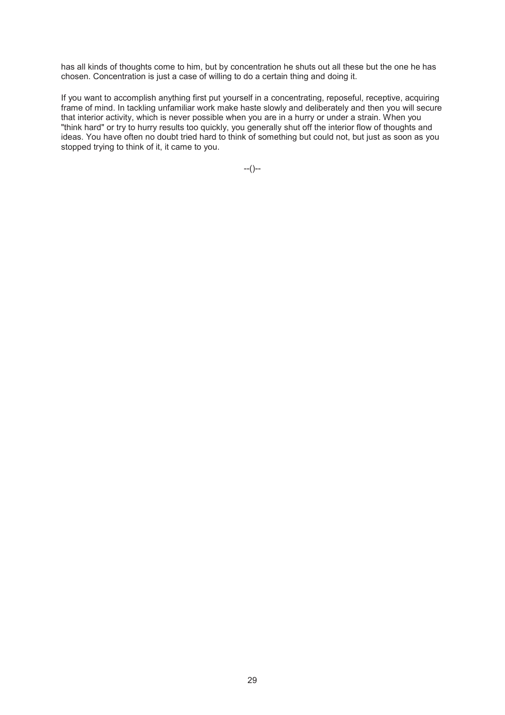has all kinds of thoughts come to him, but by concentration he shuts out all these but the one he has chosen. Concentration is just a case of willing to do a certain thing and doing it.

If you want to accomplish anything first put yourself in a concentrating, reposeful, receptive, acquiring frame of mind. In tackling unfamiliar work make haste slowly and deliberately and then you will secure that interior activity, which is never possible when you are in a hurry or under a strain. When you "think hard" or try to hurry results too quickly, you generally shut off the interior flow of thoughts and ideas. You have often no doubt tried hard to think of something but could not, but just as soon as you stopped trying to think of it, it came to you.

--()--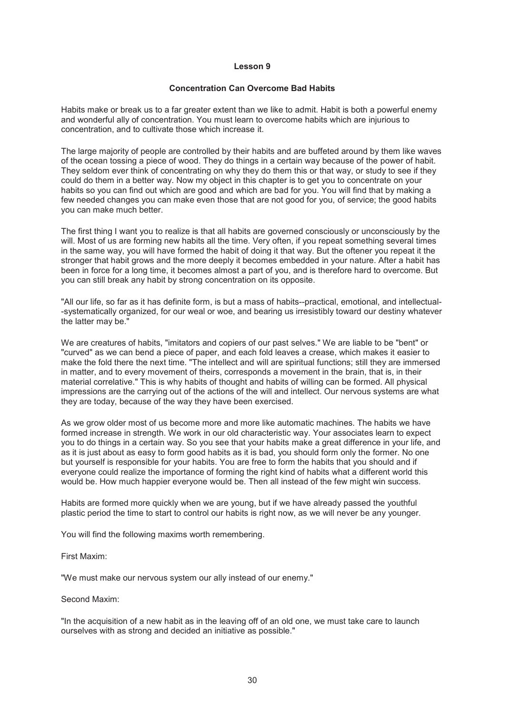#### **Concentration Can Overcome Bad Habits**

Habits make or break us to a far greater extent than we like to admit. Habit is both a powerful enemy and wonderful ally of concentration. You must learn to overcome habits which are injurious to concentration, and to cultivate those which increase it.

The large majority of people are controlled by their habits and are buffeted around by them like waves of the ocean tossing a piece of wood. They do things in a certain way because of the power of habit. They seldom ever think of concentrating on why they do them this or that way, or study to see if they could do them in a better way. Now my object in this chapter is to get you to concentrate on your habits so you can find out which are good and which are bad for you. You will find that by making a few needed changes you can make even those that are not good for you, of service; the good habits you can make much better.

The first thing I want you to realize is that all habits are governed consciously or unconsciously by the will. Most of us are forming new habits all the time. Very often, if you repeat something several times in the same way, you will have formed the habit of doing it that way. But the oftener you repeat it the stronger that habit grows and the more deeply it becomes embedded in your nature. After a habit has been in force for a long time, it becomes almost a part of you, and is therefore hard to overcome. But you can still break any habit by strong concentration on its opposite.

"All our life, so far as it has definite form, is but a mass of habits--practical, emotional, and intellectual- -systematically organized, for our weal or woe, and bearing us irresistibly toward our destiny whatever the latter may be."

We are creatures of habits, "imitators and copiers of our past selves." We are liable to be "bent" or "curved" as we can bend a piece of paper, and each fold leaves a crease, which makes it easier to make the fold there the next time. "The intellect and will are spiritual functions; still they are immersed in matter, and to every movement of theirs, corresponds a movement in the brain, that is, in their material correlative." This is why habits of thought and habits of willing can be formed. All physical impressions are the carrying out of the actions of the will and intellect. Our nervous systems are what they are today, because of the way they have been exercised.

As we grow older most of us become more and more like automatic machines. The habits we have formed increase in strength. We work in our old characteristic way. Your associates learn to expect you to do things in a certain way. So you see that your habits make a great difference in your life, and as it is just about as easy to form good habits as it is bad, you should form only the former. No one but yourself is responsible for your habits. You are free to form the habits that you should and if everyone could realize the importance of forming the right kind of habits what a different world this would be. How much happier everyone would be. Then all instead of the few might win success.

Habits are formed more quickly when we are young, but if we have already passed the youthful plastic period the time to start to control our habits is right now, as we will never be any younger.

You will find the following maxims worth remembering.

First Maxim:

"We must make our nervous system our ally instead of our enemy."

Second Maxim:

"In the acquisition of a new habit as in the leaving off of an old one, we must take care to launch ourselves with as strong and decided an initiative as possible."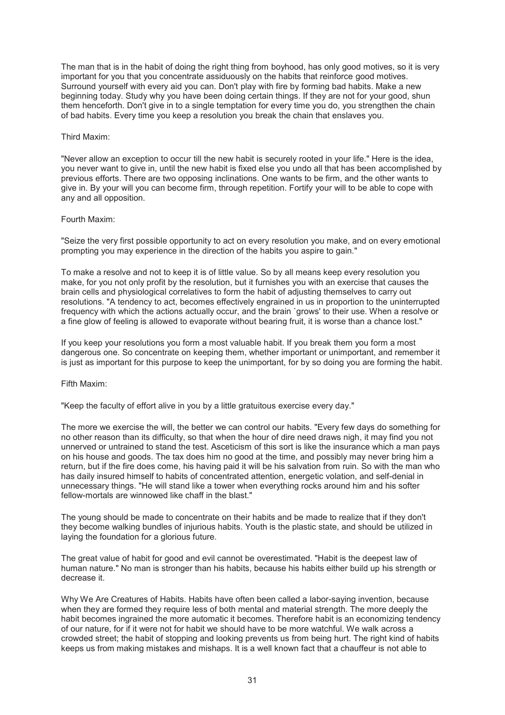The man that is in the habit of doing the right thing from boyhood, has only good motives, so it is very important for you that you concentrate assiduously on the habits that reinforce good motives. Surround yourself with every aid you can. Don't play with fire by forming bad habits. Make a new beginning today. Study why you have been doing certain things. If they are not for your good, shun them henceforth. Don't give in to a single temptation for every time you do, you strengthen the chain of bad habits. Every time you keep a resolution you break the chain that enslaves you.

#### Third Maxim:

"Never allow an exception to occur till the new habit is securely rooted in your life." Here is the idea, you never want to give in, until the new habit is fixed else you undo all that has been accomplished by previous efforts. There are two opposing inclinations. One wants to be firm, and the other wants to give in. By your will you can become firm, through repetition. Fortify your will to be able to cope with any and all opposition.

#### Fourth Maxim:

"Seize the very first possible opportunity to act on every resolution you make, and on every emotional prompting you may experience in the direction of the habits you aspire to gain."

To make a resolve and not to keep it is of little value. So by all means keep every resolution you make, for you not only profit by the resolution, but it furnishes you with an exercise that causes the brain cells and physiological correlatives to form the habit of adjusting themselves to carry out resolutions. "A tendency to act, becomes effectively engrained in us in proportion to the uninterrupted frequency with which the actions actually occur, and the brain `grows' to their use. When a resolve or a fine glow of feeling is allowed to evaporate without bearing fruit, it is worse than a chance lost."

If you keep your resolutions you form a most valuable habit. If you break them you form a most dangerous one. So concentrate on keeping them, whether important or unimportant, and remember it is just as important for this purpose to keep the unimportant, for by so doing you are forming the habit.

#### Fifth Maxim:

"Keep the faculty of effort alive in you by a little gratuitous exercise every day."

The more we exercise the will, the better we can control our habits. "Every few days do something for no other reason than its difficulty, so that when the hour of dire need draws nigh, it may find you not unnerved or untrained to stand the test. Asceticism of this sort is like the insurance which a man pays on his house and goods. The tax does him no good at the time, and possibly may never bring him a return, but if the fire does come, his having paid it will be his salvation from ruin. So with the man who has daily insured himself to habits of concentrated attention, energetic volation, and self-denial in unnecessary things. "He will stand like a tower when everything rocks around him and his softer fellow-mortals are winnowed like chaff in the blast."

The young should be made to concentrate on their habits and be made to realize that if they don't they become walking bundles of injurious habits. Youth is the plastic state, and should be utilized in laying the foundation for a glorious future.

The great value of habit for good and evil cannot be overestimated. "Habit is the deepest law of human nature." No man is stronger than his habits, because his habits either build up his strength or decrease it.

Why We Are Creatures of Habits. Habits have often been called a labor-saying invention, because when they are formed they require less of both mental and material strength. The more deeply the habit becomes ingrained the more automatic it becomes. Therefore habit is an economizing tendency of our nature, for if it were not for habit we should have to be more watchful. We walk across a crowded street; the habit of stopping and looking prevents us from being hurt. The right kind of habits keeps us from making mistakes and mishaps. It is a well known fact that a chauffeur is not able to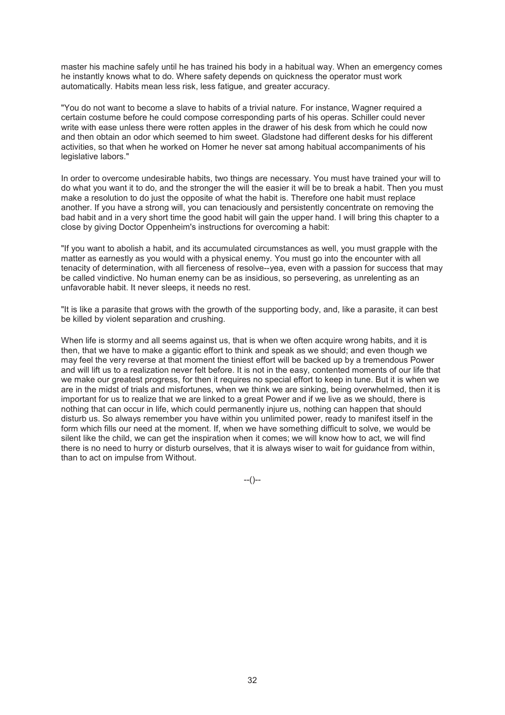master his machine safely until he has trained his body in a habitual way. When an emergency comes he instantly knows what to do. Where safety depends on quickness the operator must work automatically. Habits mean less risk, less fatigue, and greater accuracy.

"You do not want to become a slave to habits of a trivial nature. For instance, Wagner required a certain costume before he could compose corresponding parts of his operas. Schiller could never write with ease unless there were rotten apples in the drawer of his desk from which he could now and then obtain an odor which seemed to him sweet. Gladstone had different desks for his different activities, so that when he worked on Homer he never sat among habitual accompaniments of his legislative labors."

In order to overcome undesirable habits, two things are necessary. You must have trained your will to do what you want it to do, and the stronger the will the easier it will be to break a habit. Then you must make a resolution to do just the opposite of what the habit is. Therefore one habit must replace another. If you have a strong will, you can tenaciously and persistently concentrate on removing the bad habit and in a very short time the good habit will gain the upper hand. I will bring this chapter to a close by giving Doctor Oppenheim's instructions for overcoming a habit:

"If you want to abolish a habit, and its accumulated circumstances as well, you must grapple with the matter as earnestly as you would with a physical enemy. You must go into the encounter with all tenacity of determination, with all fierceness of resolve--yea, even with a passion for success that may be called vindictive. No human enemy can be as insidious, so persevering, as unrelenting as an unfavorable habit. It never sleeps, it needs no rest.

"It is like a parasite that grows with the growth of the supporting body, and, like a parasite, it can best be killed by violent separation and crushing.

When life is stormy and all seems against us, that is when we often acquire wrong habits, and it is then, that we have to make a gigantic effort to think and speak as we should; and even though we may feel the very reverse at that moment the tiniest effort will be backed up by a tremendous Power and will lift us to a realization never felt before. It is not in the easy, contented moments of our life that we make our greatest progress, for then it requires no special effort to keep in tune. But it is when we are in the midst of trials and misfortunes, when we think we are sinking, being overwhelmed, then it is important for us to realize that we are linked to a great Power and if we live as we should, there is nothing that can occur in life, which could permanently injure us, nothing can happen that should disturb us. So always remember you have within you unlimited power, ready to manifest itself in the form which fills our need at the moment. If, when we have something difficult to solve, we would be silent like the child, we can get the inspiration when it comes; we will know how to act, we will find there is no need to hurry or disturb ourselves, that it is always wiser to wait for guidance from within, than to act on impulse from Without.

--()--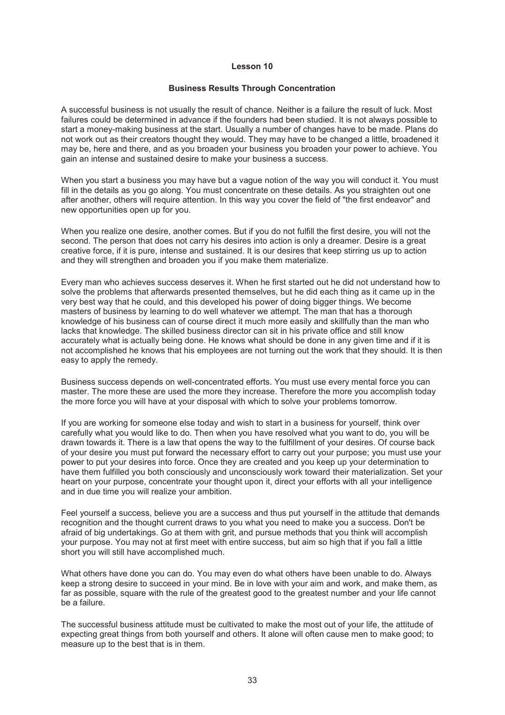#### **Business Results Through Concentration**

A successful business is not usually the result of chance. Neither is a failure the result of luck. Most failures could be determined in advance if the founders had been studied. It is not always possible to start a money-making business at the start. Usually a number of changes have to be made. Plans do not work out as their creators thought they would. They may have to be changed a little, broadened it may be, here and there, and as you broaden your business you broaden your power to achieve. You gain an intense and sustained desire to make your business a success.

When you start a business you may have but a vague notion of the way you will conduct it. You must fill in the details as you go along. You must concentrate on these details. As you straighten out one after another, others will require attention. In this way you cover the field of "the first endeavor" and new opportunities open up for you.

When you realize one desire, another comes. But if you do not fulfill the first desire, you will not the second. The person that does not carry his desires into action is only a dreamer. Desire is a great creative force, if it is pure, intense and sustained. It is our desires that keep stirring us up to action and they will strengthen and broaden you if you make them materialize.

Every man who achieves success deserves it. When he first started out he did not understand how to solve the problems that afterwards presented themselves, but he did each thing as it came up in the very best way that he could, and this developed his power of doing bigger things. We become masters of business by learning to do well whatever we attempt. The man that has a thorough knowledge of his business can of course direct it much more easily and skillfully than the man who lacks that knowledge. The skilled business director can sit in his private office and still know accurately what is actually being done. He knows what should be done in any given time and if it is not accomplished he knows that his employees are not turning out the work that they should. It is then easy to apply the remedy.

Business success depends on well-concentrated efforts. You must use every mental force you can master. The more these are used the more they increase. Therefore the more you accomplish today the more force you will have at your disposal with which to solve your problems tomorrow.

If you are working for someone else today and wish to start in a business for yourself, think over carefully what you would like to do. Then when you have resolved what you want to do, you will be drawn towards it. There is a law that opens the way to the fulfillment of your desires. Of course back of your desire you must put forward the necessary effort to carry out your purpose; you must use your power to put your desires into force. Once they are created and you keep up your determination to have them fulfilled you both consciously and unconsciously work toward their materialization. Set your heart on your purpose, concentrate your thought upon it, direct your efforts with all your intelligence and in due time you will realize your ambition.

Feel yourself a success, believe you are a success and thus put yourself in the attitude that demands recognition and the thought current draws to you what you need to make you a success. Don't be afraid of big undertakings. Go at them with grit, and pursue methods that you think will accomplish your purpose. You may not at first meet with entire success, but aim so high that if you fall a little short you will still have accomplished much.

What others have done you can do. You may even do what others have been unable to do. Always keep a strong desire to succeed in your mind. Be in love with your aim and work, and make them, as far as possible, square with the rule of the greatest good to the greatest number and your life cannot be a failure.

The successful business attitude must be cultivated to make the most out of your life, the attitude of expecting great things from both yourself and others. It alone will often cause men to make good; to measure up to the best that is in them.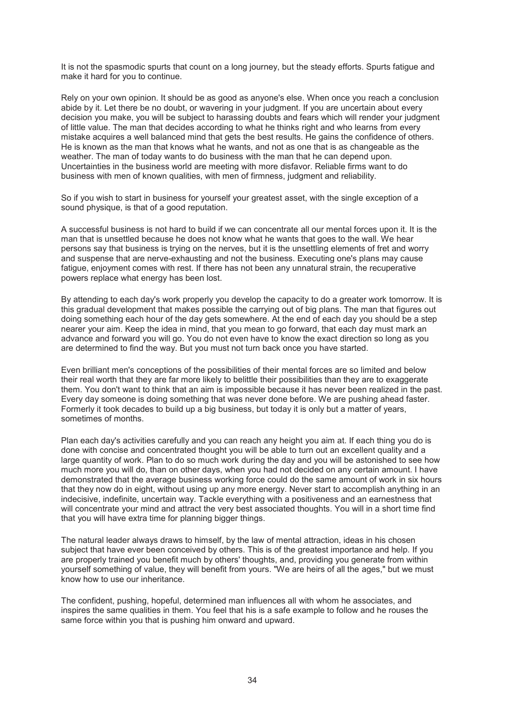It is not the spasmodic spurts that count on a long journey, but the steady efforts. Spurts fatigue and make it hard for you to continue.

Rely on your own opinion. It should be as good as anyone's else. When once you reach a conclusion abide by it. Let there be no doubt, or wavering in your judgment. If you are uncertain about every decision you make, you will be subject to harassing doubts and fears which will render your judgment of little value. The man that decides according to what he thinks right and who learns from every mistake acquires a well balanced mind that gets the best results. He gains the confidence of others. He is known as the man that knows what he wants, and not as one that is as changeable as the weather. The man of today wants to do business with the man that he can depend upon. Uncertainties in the business world are meeting with more disfavor. Reliable firms want to do business with men of known qualities, with men of firmness, judgment and reliability.

So if you wish to start in business for yourself your greatest asset, with the single exception of a sound physique, is that of a good reputation.

A successful business is not hard to build if we can concentrate all our mental forces upon it. It is the man that is unsettled because he does not know what he wants that goes to the wall. We hear persons say that business is trying on the nerves, but it is the unsettling elements of fret and worry and suspense that are nerve-exhausting and not the business. Executing one's plans may cause fatigue, enjoyment comes with rest. If there has not been any unnatural strain, the recuperative powers replace what energy has been lost.

By attending to each day's work properly you develop the capacity to do a greater work tomorrow. It is this gradual development that makes possible the carrying out of big plans. The man that figures out doing something each hour of the day gets somewhere. At the end of each day you should be a step nearer your aim. Keep the idea in mind, that you mean to go forward, that each day must mark an advance and forward you will go. You do not even have to know the exact direction so long as you are determined to find the way. But you must not turn back once you have started.

Even brilliant men's conceptions of the possibilities of their mental forces are so limited and below their real worth that they are far more likely to belittle their possibilities than they are to exaggerate them. You don't want to think that an aim is impossible because it has never been realized in the past. Every day someone is doing something that was never done before. We are pushing ahead faster. Formerly it took decades to build up a big business, but today it is only but a matter of years, sometimes of months.

Plan each day's activities carefully and you can reach any height you aim at. If each thing you do is done with concise and concentrated thought you will be able to turn out an excellent quality and a large quantity of work. Plan to do so much work during the day and you will be astonished to see how much more you will do, than on other days, when you had not decided on any certain amount. I have demonstrated that the average business working force could do the same amount of work in six hours that they now do in eight, without using up any more energy. Never start to accomplish anything in an indecisive, indefinite, uncertain way. Tackle everything with a positiveness and an earnestness that will concentrate your mind and attract the very best associated thoughts. You will in a short time find that you will have extra time for planning bigger things.

The natural leader always draws to himself, by the law of mental attraction, ideas in his chosen subject that have ever been conceived by others. This is of the greatest importance and help. If you are properly trained you benefit much by others' thoughts, and, providing you generate from within yourself something of value, they will benefit from yours. "We are heirs of all the ages," but we must know how to use our inheritance.

The confident, pushing, hopeful, determined man influences all with whom he associates, and inspires the same qualities in them. You feel that his is a safe example to follow and he rouses the same force within you that is pushing him onward and upward.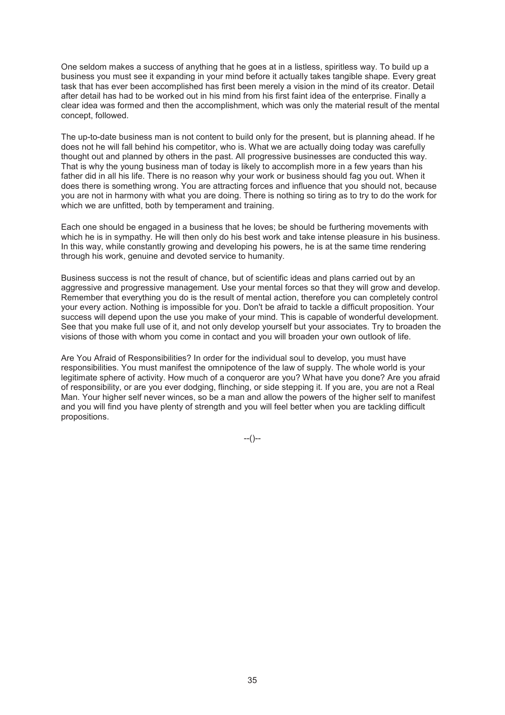One seldom makes a success of anything that he goes at in a listless, spiritless way. To build up a business you must see it expanding in your mind before it actually takes tangible shape. Every great task that has ever been accomplished has first been merely a vision in the mind of its creator. Detail after detail has had to be worked out in his mind from his first faint idea of the enterprise. Finally a clear idea was formed and then the accomplishment, which was only the material result of the mental concept, followed.

The up-to-date business man is not content to build only for the present, but is planning ahead. If he does not he will fall behind his competitor, who is. What we are actually doing today was carefully thought out and planned by others in the past. All progressive businesses are conducted this way. That is why the young business man of today is likely to accomplish more in a few years than his father did in all his life. There is no reason why your work or business should fag you out. When it does there is something wrong. You are attracting forces and influence that you should not, because you are not in harmony with what you are doing. There is nothing so tiring as to try to do the work for which we are unfitted, both by temperament and training.

Each one should be engaged in a business that he loves; be should be furthering movements with which he is in sympathy. He will then only do his best work and take intense pleasure in his business. In this way, while constantly growing and developing his powers, he is at the same time rendering through his work, genuine and devoted service to humanity.

Business success is not the result of chance, but of scientific ideas and plans carried out by an aggressive and progressive management. Use your mental forces so that they will grow and develop. Remember that everything you do is the result of mental action, therefore you can completely control your every action. Nothing is impossible for you. Don't be afraid to tackle a difficult proposition. Your success will depend upon the use you make of your mind. This is capable of wonderful development. See that you make full use of it, and not only develop yourself but your associates. Try to broaden the visions of those with whom you come in contact and you will broaden your own outlook of life.

Are You Afraid of Responsibilities? In order for the individual soul to develop, you must have responsibilities. You must manifest the omnipotence of the law of supply. The whole world is your legitimate sphere of activity. How much of a conqueror are you? What have you done? Are you afraid of responsibility, or are you ever dodging, flinching, or side stepping it. If you are, you are not a Real Man. Your higher self never winces, so be a man and allow the powers of the higher self to manifest and you will find you have plenty of strength and you will feel better when you are tackling difficult propositions.

--()--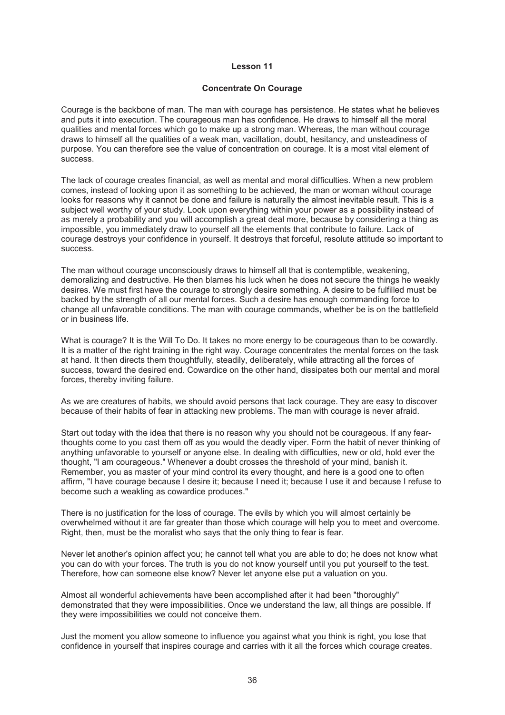#### **Concentrate On Courage**

Courage is the backbone of man. The man with courage has persistence. He states what he believes and puts it into execution. The courageous man has confidence. He draws to himself all the moral qualities and mental forces which go to make up a strong man. Whereas, the man without courage draws to himself all the qualities of a weak man, vacillation, doubt, hesitancy, and unsteadiness of purpose. You can therefore see the value of concentration on courage. It is a most vital element of success.

The lack of courage creates financial, as well as mental and moral difficulties. When a new problem comes, instead of looking upon it as something to be achieved, the man or woman without courage looks for reasons why it cannot be done and failure is naturally the almost inevitable result. This is a subject well worthy of your study. Look upon everything within your power as a possibility instead of as merely a probability and you will accomplish a great deal more, because by considering a thing as impossible, you immediately draw to yourself all the elements that contribute to failure. Lack of courage destroys your confidence in yourself. It destroys that forceful, resolute attitude so important to success.

The man without courage unconsciously draws to himself all that is contemptible, weakening, demoralizing and destructive. He then blames his luck when he does not secure the things he weakly desires. We must first have the courage to strongly desire something. A desire to be fulfilled must be backed by the strength of all our mental forces. Such a desire has enough commanding force to change all unfavorable conditions. The man with courage commands, whether be is on the battlefield or in business life.

What is courage? It is the Will To Do. It takes no more energy to be courageous than to be cowardly. It is a matter of the right training in the right way. Courage concentrates the mental forces on the task at hand. It then directs them thoughtfully, steadily, deliberately, while attracting all the forces of success, toward the desired end. Cowardice on the other hand, dissipates both our mental and moral forces, thereby inviting failure.

As we are creatures of habits, we should avoid persons that lack courage. They are easy to discover because of their habits of fear in attacking new problems. The man with courage is never afraid.

Start out today with the idea that there is no reason why you should not be courageous. If any fearthoughts come to you cast them off as you would the deadly viper. Form the habit of never thinking of anything unfavorable to yourself or anyone else. In dealing with difficulties, new or old, hold ever the thought, "I am courageous." Whenever a doubt crosses the threshold of your mind, banish it. Remember, you as master of your mind control its every thought, and here is a good one to often affirm, "I have courage because I desire it; because I need it; because I use it and because I refuse to become such a weakling as cowardice produces."

There is no justification for the loss of courage. The evils by which you will almost certainly be overwhelmed without it are far greater than those which courage will help you to meet and overcome. Right, then, must be the moralist who says that the only thing to fear is fear.

Never let another's opinion affect you; he cannot tell what you are able to do; he does not know what you can do with your forces. The truth is you do not know yourself until you put yourself to the test. Therefore, how can someone else know? Never let anyone else put a valuation on you.

Almost all wonderful achievements have been accomplished after it had been "thoroughly" demonstrated that they were impossibilities. Once we understand the law, all things are possible. If they were impossibilities we could not conceive them.

Just the moment you allow someone to influence you against what you think is right, you lose that confidence in yourself that inspires courage and carries with it all the forces which courage creates.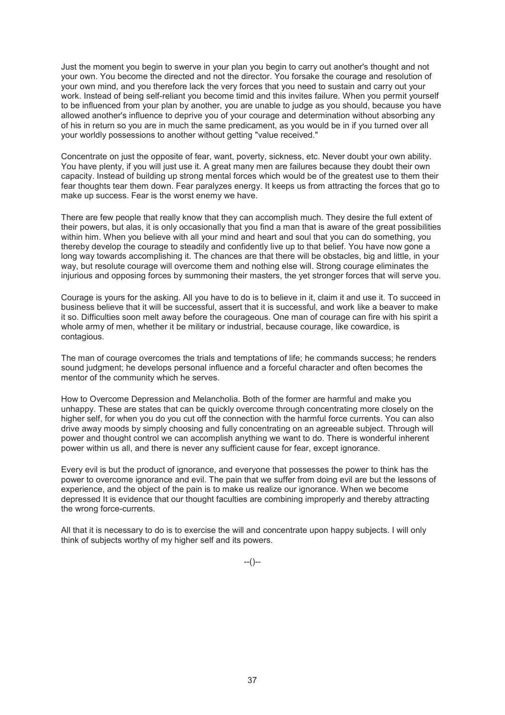Just the moment you begin to swerve in your plan you begin to carry out another's thought and not your own. You become the directed and not the director. You forsake the courage and resolution of your own mind, and you therefore lack the very forces that you need to sustain and carry out your work. Instead of being self-reliant you become timid and this invites failure. When you permit yourself to be influenced from your plan by another, you are unable to judge as you should, because you have allowed another's influence to deprive you of your courage and determination without absorbing any of his in return so you are in much the same predicament, as you would be in if you turned over all your worldly possessions to another without getting "value received."

Concentrate on just the opposite of fear, want, poverty, sickness, etc. Never doubt your own ability. You have plenty, if you will just use it. A great many men are failures because they doubt their own capacity. Instead of building up strong mental forces which would be of the greatest use to them their fear thoughts tear them down. Fear paralyzes energy. It keeps us from attracting the forces that go to make up success. Fear is the worst enemy we have.

There are few people that really know that they can accomplish much. They desire the full extent of their powers, but alas, it is only occasionally that you find a man that is aware of the great possibilities within him. When you believe with all your mind and heart and soul that you can do something, you thereby develop the courage to steadily and confidently live up to that belief. You have now gone a long way towards accomplishing it. The chances are that there will be obstacles, big and little, in your way, but resolute courage will overcome them and nothing else will. Strong courage eliminates the injurious and opposing forces by summoning their masters, the yet stronger forces that will serve you.

Courage is yours for the asking. All you have to do is to believe in it, claim it and use it. To succeed in business believe that it will be successful, assert that it is successful, and work like a beaver to make it so. Difficulties soon melt away before the courageous. One man of courage can fire with his spirit a whole army of men, whether it be military or industrial, because courage, like cowardice, is contagious.

The man of courage overcomes the trials and temptations of life; he commands success; he renders sound judgment; he develops personal influence and a forceful character and often becomes the mentor of the community which he serves.

How to Overcome Depression and Melancholia. Both of the former are harmful and make you unhappy. These are states that can be quickly overcome through concentrating more closely on the higher self, for when you do you cut off the connection with the harmful force currents. You can also drive away moods by simply choosing and fully concentrating on an agreeable subject. Through will power and thought control we can accomplish anything we want to do. There is wonderful inherent power within us all, and there is never any sufficient cause for fear, except ignorance.

Every evil is but the product of ignorance, and everyone that possesses the power to think has the power to overcome ignorance and evil. The pain that we suffer from doing evil are but the lessons of experience, and the object of the pain is to make us realize our ignorance. When we become depressed It is evidence that our thought faculties are combining improperly and thereby attracting the wrong force-currents.

All that it is necessary to do is to exercise the will and concentrate upon happy subjects. I will only think of subjects worthy of my higher self and its powers.

 $-(-)$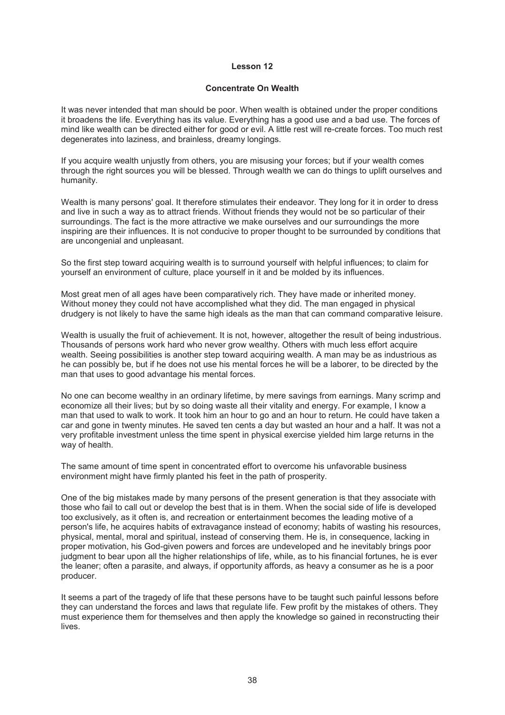#### **Concentrate On Wealth**

It was never intended that man should be poor. When wealth is obtained under the proper conditions it broadens the life. Everything has its value. Everything has a good use and a bad use. The forces of mind like wealth can be directed either for good or evil. A little rest will re-create forces. Too much rest degenerates into laziness, and brainless, dreamy longings.

If you acquire wealth unjustly from others, you are misusing your forces; but if your wealth comes through the right sources you will be blessed. Through wealth we can do things to uplift ourselves and humanity.

Wealth is many persons' goal. It therefore stimulates their endeavor. They long for it in order to dress and live in such a way as to attract friends. Without friends they would not be so particular of their surroundings. The fact is the more attractive we make ourselves and our surroundings the more inspiring are their influences. It is not conducive to proper thought to be surrounded by conditions that are uncongenial and unpleasant.

So the first step toward acquiring wealth is to surround yourself with helpful influences; to claim for yourself an environment of culture, place yourself in it and be molded by its influences.

Most great men of all ages have been comparatively rich. They have made or inherited money. Without money they could not have accomplished what they did. The man engaged in physical drudgery is not likely to have the same high ideals as the man that can command comparative leisure.

Wealth is usually the fruit of achievement. It is not, however, altogether the result of being industrious. Thousands of persons work hard who never grow wealthy. Others with much less effort acquire wealth. Seeing possibilities is another step toward acquiring wealth. A man may be as industrious as he can possibly be, but if he does not use his mental forces he will be a laborer, to be directed by the man that uses to good advantage his mental forces.

No one can become wealthy in an ordinary lifetime, by mere savings from earnings. Many scrimp and economize all their lives; but by so doing waste all their vitality and energy. For example, I know a man that used to walk to work. It took him an hour to go and an hour to return. He could have taken a car and gone in twenty minutes. He saved ten cents a day but wasted an hour and a half. It was not a very profitable investment unless the time spent in physical exercise yielded him large returns in the way of health.

The same amount of time spent in concentrated effort to overcome his unfavorable business environment might have firmly planted his feet in the path of prosperity.

One of the big mistakes made by many persons of the present generation is that they associate with those who fail to call out or develop the best that is in them. When the social side of life is developed too exclusively, as it often is, and recreation or entertainment becomes the leading motive of a person's life, he acquires habits of extravagance instead of economy; habits of wasting his resources, physical, mental, moral and spiritual, instead of conserving them. He is, in consequence, lacking in proper motivation, his God-given powers and forces are undeveloped and he inevitably brings poor judgment to bear upon all the higher relationships of life, while, as to his financial fortunes, he is ever the leaner; often a parasite, and always, if opportunity affords, as heavy a consumer as he is a poor producer.

It seems a part of the tragedy of life that these persons have to be taught such painful lessons before they can understand the forces and laws that regulate life. Few profit by the mistakes of others. They must experience them for themselves and then apply the knowledge so gained in reconstructing their lives.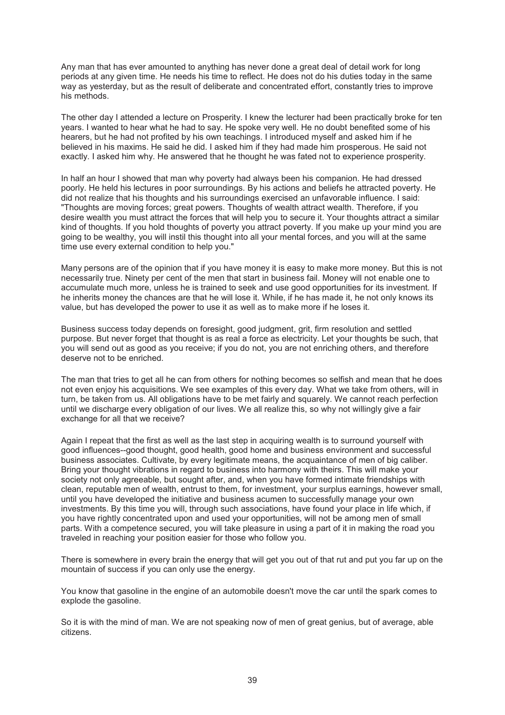Any man that has ever amounted to anything has never done a great deal of detail work for long periods at any given time. He needs his time to reflect. He does not do his duties today in the same way as yesterday, but as the result of deliberate and concentrated effort, constantly tries to improve his methods.

The other day I attended a lecture on Prosperity. I knew the lecturer had been practically broke for ten years. I wanted to hear what he had to say. He spoke very well. He no doubt benefited some of his hearers, but he had not profited by his own teachings. I introduced myself and asked him if he believed in his maxims. He said he did. I asked him if they had made him prosperous. He said not exactly. I asked him why. He answered that he thought he was fated not to experience prosperity.

In half an hour I showed that man why poverty had always been his companion. He had dressed poorly. He held his lectures in poor surroundings. By his actions and beliefs he attracted poverty. He did not realize that his thoughts and his surroundings exercised an unfavorable influence. I said: "Thoughts are moving forces; great powers. Thoughts of wealth attract wealth. Therefore, if you desire wealth you must attract the forces that will help you to secure it. Your thoughts attract a similar kind of thoughts. If you hold thoughts of poverty you attract poverty. If you make up your mind you are going to be wealthy, you will instil this thought into all your mental forces, and you will at the same time use every external condition to help you."

Many persons are of the opinion that if you have money it is easy to make more money. But this is not necessarily true. Ninety per cent of the men that start in business fail. Money will not enable one to accumulate much more, unless he is trained to seek and use good opportunities for its investment. If he inherits money the chances are that he will lose it. While, if he has made it, he not only knows its value, but has developed the power to use it as well as to make more if he loses it.

Business success today depends on foresight, good judgment, grit, firm resolution and settled purpose. But never forget that thought is as real a force as electricity. Let your thoughts be such, that you will send out as good as you receive; if you do not, you are not enriching others, and therefore deserve not to be enriched.

The man that tries to get all he can from others for nothing becomes so selfish and mean that he does not even enjoy his acquisitions. We see examples of this every day. What we take from others, will in turn, be taken from us. All obligations have to be met fairly and squarely. We cannot reach perfection until we discharge every obligation of our lives. We all realize this, so why not willingly give a fair exchange for all that we receive?

Again I repeat that the first as well as the last step in acquiring wealth is to surround yourself with good influences--good thought, good health, good home and business environment and successful business associates. Cultivate, by every legitimate means, the acquaintance of men of big caliber. Bring your thought vibrations in regard to business into harmony with theirs. This will make your society not only agreeable, but sought after, and, when you have formed intimate friendships with clean, reputable men of wealth, entrust to them, for investment, your surplus earnings, however small, until you have developed the initiative and business acumen to successfully manage your own investments. By this time you will, through such associations, have found your place in life which, if you have rightly concentrated upon and used your opportunities, will not be among men of small parts. With a competence secured, you will take pleasure in using a part of it in making the road you traveled in reaching your position easier for those who follow you.

There is somewhere in every brain the energy that will get you out of that rut and put you far up on the mountain of success if you can only use the energy.

You know that gasoline in the engine of an automobile doesn't move the car until the spark comes to explode the gasoline.

So it is with the mind of man. We are not speaking now of men of great genius, but of average, able citizens.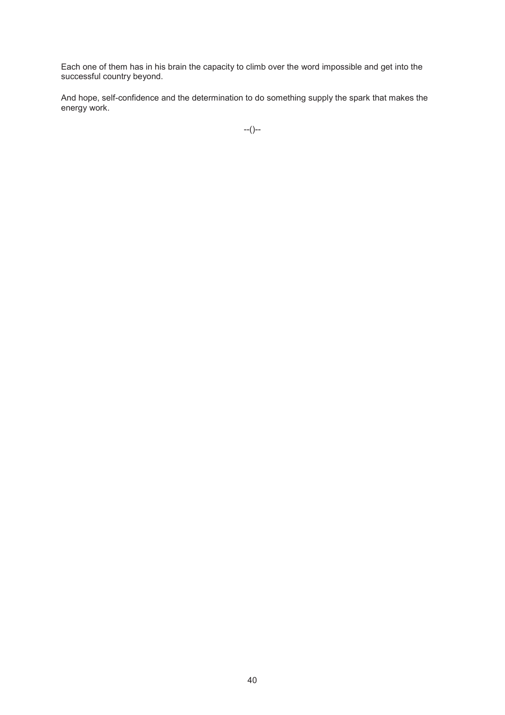Each one of them has in his brain the capacity to climb over the word impossible and get into the successful country beyond.

And hope, self-confidence and the determination to do something supply the spark that makes the energy work.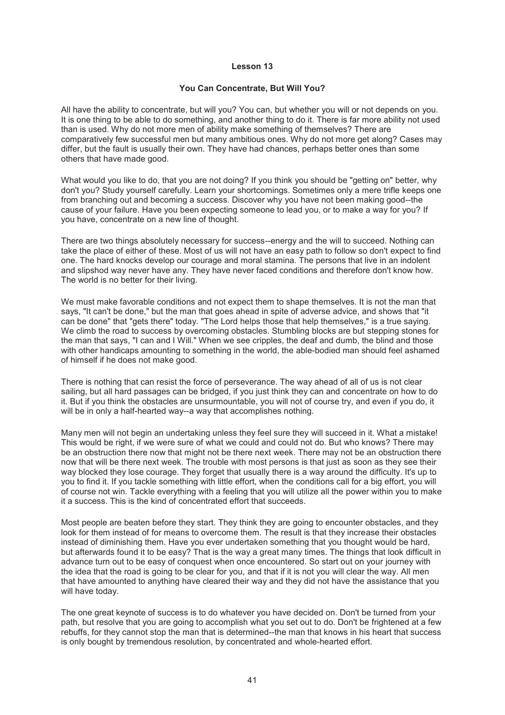#### **You Can Concentrate, But Will You?**

All have the ability to concentrate, but will you? You can, but whether you will or not depends on you. It is one thing to be able to do something, and another thing to do it. There is far more ability not used than is used. Why do not more men of ability make something of themselves? There are comparatively few successful men but many ambitious ones. Why do not more get along? Cases may differ, but the fault is usually their own. They have had chances, perhaps better ones than some others that have made good.

What would you like to do, that you are not doing? If you think you should be "getting on" better, why don't you? Study yourself carefully. Learn your shortcomings. Sometimes only a mere trifle keeps one from branching out and becoming a success. Discover why you have not been making good--the cause of your failure. Have you been expecting someone to lead you, or to make a way for you? If you have, concentrate on a new line of thought.

There are two things absolutely necessary for success--energy and the will to succeed. Nothing can take the place of either of these. Most of us will not have an easy path to follow so don't expect to find one. The hard knocks develop our courage and moral stamina. The persons that live in an indolent and slipshod way never have any. They have never faced conditions and therefore don't know how. The world is no better for their living.

We must make favorable conditions and not expect them to shape themselves. It is not the man that says, "It can't be done," but the man that goes ahead in spite of adverse advice, and shows that "it can be done" that "gets there" today. "The Lord helps those that help themselves," is a true saying. We climb the road to success by overcoming obstacles. Stumbling blocks are but stepping stones for the man that says, "I can and I Will." When we see cripples, the deaf and dumb, the blind and those with other handicaps amounting to something in the world, the able-bodied man should feel ashamed of himself if he does not make good.

There is nothing that can resist the force of perseverance. The way ahead of all of us is not clear sailing, but all hard passages can be bridged, if you just think they can and concentrate on how to do it. But if you think the obstacles are unsurmountable, you will not of course try, and even if you do, it will be in only a half-hearted way--a way that accomplishes nothing.

Many men will not begin an undertaking unless they feel sure they will succeed in it. What a mistake! This would be right, if we were sure of what we could and could not do. But who knows? There may be an obstruction there now that might not be there next week. There may not be an obstruction there now that will be there next week. The trouble with most persons is that just as soon as they see their way blocked they lose courage. They forget that usually there is a way around the difficulty. It's up to you to find it. If you tackle something with little effort, when the conditions call for a big effort, you will of course not win. Tackle everything with a feeling that you will utilize all the power within you to make it a success. This is the kind of concentrated effort that succeeds.

Most people are beaten before they start. They think they are going to encounter obstacles, and they look for them instead of for means to overcome them. The result is that they increase their obstacles instead of diminishing them. Have you ever undertaken something that you thought would be hard, but afterwards found it to be easy? That is the way a great many times. The things that look difficult in advance turn out to be easy of conquest when once encountered. So start out on your journey with the idea that the road is going to be clear for you, and that if it is not you will clear the way. All men that have amounted to anything have cleared their way and they did not have the assistance that you will have today.

The one great keynote of success is to do whatever you have decided on. Don't be turned from your path, but resolve that you are going to accomplish what you set out to do. Don't be frightened at a few rebuffs, for they cannot stop the man that is determined--the man that knows in his heart that success is only bought by tremendous resolution, by concentrated and whole-hearted effort.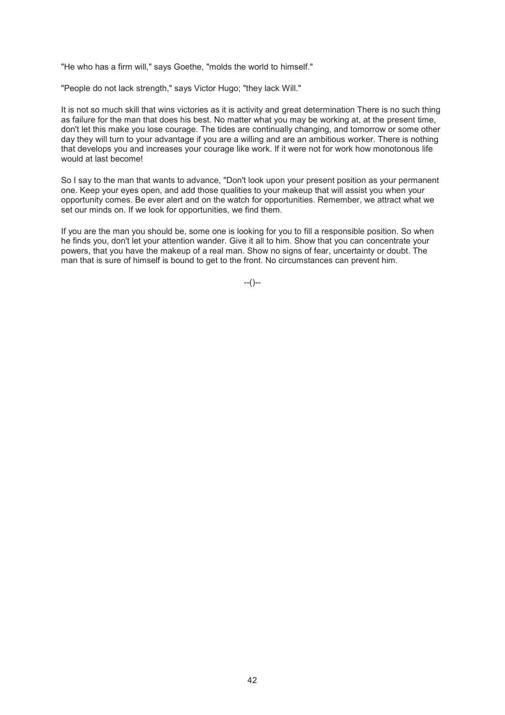"He who has a firm will," says Goethe, "molds the world to himself."

"People do not lack strength," says Victor Hugo; "they lack Will."

It is not so much skill that wins victories as it is activity and great determination There is no such thing as failure for the man that does his best. No matter what you may be working at, at the present time, don't let this make you lose courage. The tides are continually changing, and tomorrow or some other day they will turn to your advantage if you are a willing and are an ambitious worker. There is nothing that develops you and increases your courage like work. If it were not for work how monotonous life would at last become!

So I say to the man that wants to advance, "Don't look upon your present position as your permanent one. Keep your eyes open, and add those qualities to your makeup that will assist you when your opportunity comes. Be ever alert and on the watch for opportunities. Remember, we attract what we set our minds on. If we look for opportunities, we find them.

If you are the man you should be, some one is looking for you to fill a responsible position. So when he finds you, don't let your attention wander. Give it all to him. Show that you can concentrate your powers, that you have the makeup of a real man. Show no signs of fear, uncertainty or doubt. The man that is sure of himself is bound to get to the front. No circumstances can prevent him.

 $-(-)$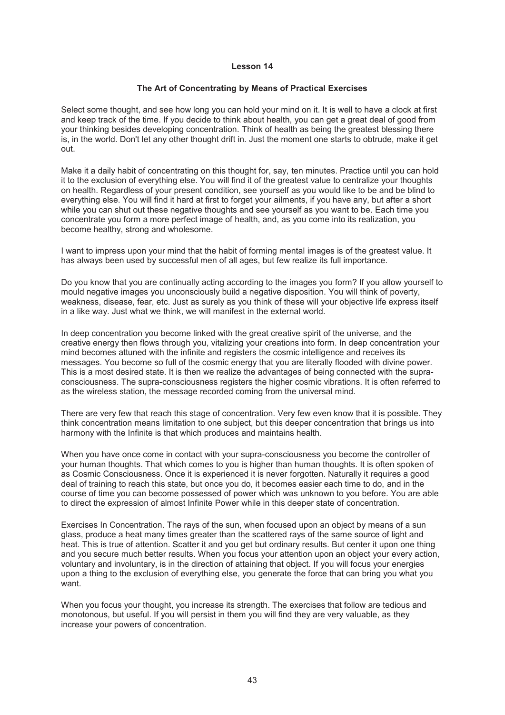#### **The Art of Concentrating by Means of Practical Exercises**

Select some thought, and see how long you can hold your mind on it. It is well to have a clock at first and keep track of the time. If you decide to think about health, you can get a great deal of good from your thinking besides developing concentration. Think of health as being the greatest blessing there is, in the world. Don't let any other thought drift in. Just the moment one starts to obtrude, make it get out.

Make it a daily habit of concentrating on this thought for, say, ten minutes. Practice until you can hold it to the exclusion of everything else. You will find it of the greatest value to centralize your thoughts on health. Regardless of your present condition, see yourself as you would like to be and be blind to everything else. You will find it hard at first to forget your ailments, if you have any, but after a short while you can shut out these negative thoughts and see yourself as you want to be. Each time you concentrate you form a more perfect image of health, and, as you come into its realization, you become healthy, strong and wholesome.

I want to impress upon your mind that the habit of forming mental images is of the greatest value. It has always been used by successful men of all ages, but few realize its full importance.

Do you know that you are continually acting according to the images you form? If you allow yourself to mould negative images you unconsciously build a negative disposition. You will think of poverty, weakness, disease, fear, etc. Just as surely as you think of these will your objective life express itself in a like way. Just what we think, we will manifest in the external world.

In deep concentration you become linked with the great creative spirit of the universe, and the creative energy then flows through you, vitalizing your creations into form. In deep concentration your mind becomes attuned with the infinite and registers the cosmic intelligence and receives its messages. You become so full of the cosmic energy that you are literally flooded with divine power. This is a most desired state. It is then we realize the advantages of being connected with the supraconsciousness. The supra-consciousness registers the higher cosmic vibrations. It is often referred to as the wireless station, the message recorded coming from the universal mind.

There are very few that reach this stage of concentration. Very few even know that it is possible. They think concentration means limitation to one subject, but this deeper concentration that brings us into harmony with the Infinite is that which produces and maintains health.

When you have once come in contact with your supra-consciousness you become the controller of your human thoughts. That which comes to you is higher than human thoughts. It is often spoken of as Cosmic Consciousness. Once it is experienced it is never forgotten. Naturally it requires a good deal of training to reach this state, but once you do, it becomes easier each time to do, and in the course of time you can become possessed of power which was unknown to you before. You are able to direct the expression of almost Infinite Power while in this deeper state of concentration.

Exercises In Concentration. The rays of the sun, when focused upon an object by means of a sun glass, produce a heat many times greater than the scattered rays of the same source of light and heat. This is true of attention. Scatter it and you get but ordinary results. But center it upon one thing and you secure much better results. When you focus your attention upon an object your every action, voluntary and involuntary, is in the direction of attaining that object. If you will focus your energies upon a thing to the exclusion of everything else, you generate the force that can bring you what you want.

When you focus your thought, you increase its strength. The exercises that follow are tedious and monotonous, but useful. If you will persist in them you will find they are very valuable, as they increase your powers of concentration.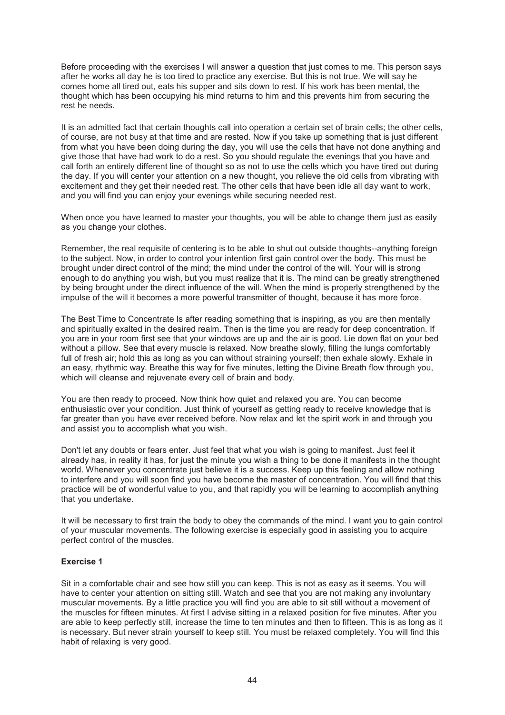Before proceeding with the exercises I will answer a question that just comes to me. This person says after he works all day he is too tired to practice any exercise. But this is not true. We will say he comes home all tired out, eats his supper and sits down to rest. If his work has been mental, the thought which has been occupying his mind returns to him and this prevents him from securing the rest he needs.

It is an admitted fact that certain thoughts call into operation a certain set of brain cells; the other cells, of course, are not busy at that time and are rested. Now if you take up something that is just different from what you have been doing during the day, you will use the cells that have not done anything and give those that have had work to do a rest. So you should regulate the evenings that you have and call forth an entirely different line of thought so as not to use the cells which you have tired out during the day. If you will center your attention on a new thought, you relieve the old cells from vibrating with excitement and they get their needed rest. The other cells that have been idle all day want to work, and you will find you can enjoy your evenings while securing needed rest.

When once you have learned to master your thoughts, you will be able to change them just as easily as you change your clothes.

Remember, the real requisite of centering is to be able to shut out outside thoughts--anything foreign to the subject. Now, in order to control your intention first gain control over the body. This must be brought under direct control of the mind; the mind under the control of the will. Your will is strong enough to do anything you wish, but you must realize that it is. The mind can be greatly strengthened by being brought under the direct influence of the will. When the mind is properly strengthened by the impulse of the will it becomes a more powerful transmitter of thought, because it has more force.

The Best Time to Concentrate Is after reading something that is inspiring, as you are then mentally and spiritually exalted in the desired realm. Then is the time you are ready for deep concentration. If you are in your room first see that your windows are up and the air is good. Lie down flat on your bed without a pillow. See that every muscle is relaxed. Now breathe slowly, filling the lungs comfortably full of fresh air; hold this as long as you can without straining yourself; then exhale slowly. Exhale in an easy, rhythmic way. Breathe this way for five minutes, letting the Divine Breath flow through you, which will cleanse and rejuvenate every cell of brain and body.

You are then ready to proceed. Now think how quiet and relaxed you are. You can become enthusiastic over your condition. Just think of yourself as getting ready to receive knowledge that is far greater than you have ever received before. Now relax and let the spirit work in and through you and assist you to accomplish what you wish.

Don't let any doubts or fears enter. Just feel that what you wish is going to manifest. Just feel it already has, in reality it has, for just the minute you wish a thing to be done it manifests in the thought world. Whenever you concentrate just believe it is a success. Keep up this feeling and allow nothing to interfere and you will soon find you have become the master of concentration. You will find that this practice will be of wonderful value to you, and that rapidly you will be learning to accomplish anything that you undertake.

It will be necessary to first train the body to obey the commands of the mind. I want you to gain control of your muscular movements. The following exercise is especially good in assisting you to acquire perfect control of the muscles.

#### **Exercise 1**

Sit in a comfortable chair and see how still you can keep. This is not as easy as it seems. You will have to center your attention on sitting still. Watch and see that you are not making any involuntary muscular movements. By a little practice you will find you are able to sit still without a movement of the muscles for fifteen minutes. At first I advise sitting in a relaxed position for five minutes. After you are able to keep perfectly still, increase the time to ten minutes and then to fifteen. This is as long as it is necessary. But never strain yourself to keep still. You must be relaxed completely. You will find this habit of relaxing is very good.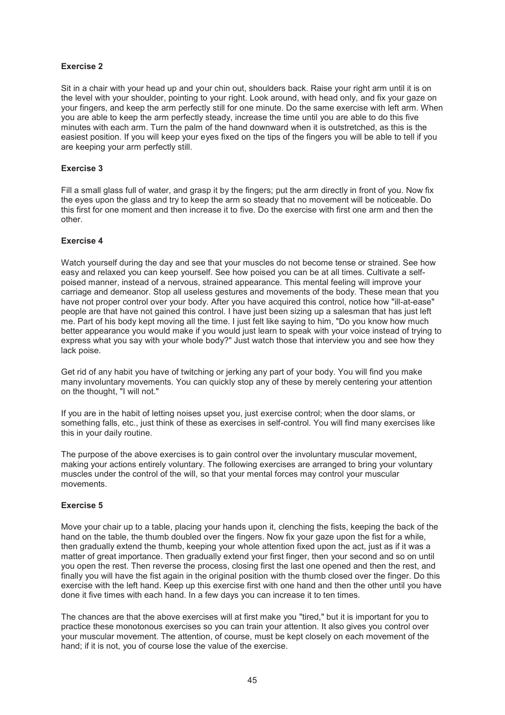# **Exercise 2**

Sit in a chair with your head up and your chin out, shoulders back. Raise your right arm until it is on the level with your shoulder, pointing to your right. Look around, with head only, and fix your gaze on your fingers, and keep the arm perfectly still for one minute. Do the same exercise with left arm. When you are able to keep the arm perfectly steady, increase the time until you are able to do this five minutes with each arm. Turn the palm of the hand downward when it is outstretched, as this is the easiest position. If you will keep your eyes fixed on the tips of the fingers you will be able to tell if you are keeping your arm perfectly still.

#### **Exercise 3**

Fill a small glass full of water, and grasp it by the fingers; put the arm directly in front of you. Now fix the eyes upon the glass and try to keep the arm so steady that no movement will be noticeable. Do this first for one moment and then increase it to five. Do the exercise with first one arm and then the other.

#### **Exercise 4**

Watch yourself during the day and see that your muscles do not become tense or strained. See how easy and relaxed you can keep yourself. See how poised you can be at all times. Cultivate a selfpoised manner, instead of a nervous, strained appearance. This mental feeling will improve your carriage and demeanor. Stop all useless gestures and movements of the body. These mean that you have not proper control over your body. After you have acquired this control, notice how "ill-at-ease" people are that have not gained this control. I have just been sizing up a salesman that has just left me. Part of his body kept moving all the time. I just felt like saying to him, "Do you know how much better appearance you would make if you would just learn to speak with your voice instead of trying to express what you say with your whole body?" Just watch those that interview you and see how they lack poise.

Get rid of any habit you have of twitching or jerking any part of your body. You will find you make many involuntary movements. You can quickly stop any of these by merely centering your attention on the thought, "I will not."

If you are in the habit of letting noises upset you, just exercise control; when the door slams, or something falls, etc., just think of these as exercises in self-control. You will find many exercises like this in your daily routine.

The purpose of the above exercises is to gain control over the involuntary muscular movement, making your actions entirely voluntary. The following exercises are arranged to bring your voluntary muscles under the control of the will, so that your mental forces may control your muscular movements.

# **Exercise 5**

Move your chair up to a table, placing your hands upon it, clenching the fists, keeping the back of the hand on the table, the thumb doubled over the fingers. Now fix your gaze upon the fist for a while, then gradually extend the thumb, keeping your whole attention fixed upon the act, just as if it was a matter of great importance. Then gradually extend your first finger, then your second and so on until you open the rest. Then reverse the process, closing first the last one opened and then the rest, and finally you will have the fist again in the original position with the thumb closed over the finger. Do this exercise with the left hand. Keep up this exercise first with one hand and then the other until you have done it five times with each hand. In a few days you can increase it to ten times.

The chances are that the above exercises will at first make you "tired," but it is important for you to practice these monotonous exercises so you can train your attention. It also gives you control over your muscular movement. The attention, of course, must be kept closely on each movement of the hand; if it is not, you of course lose the value of the exercise.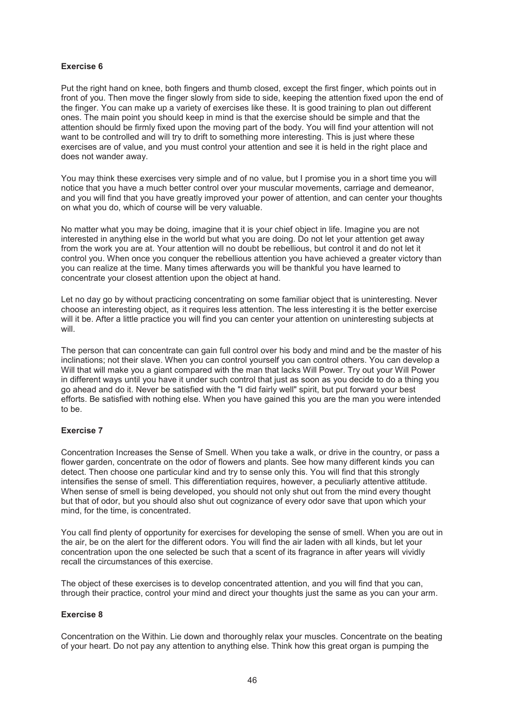# **Exercise 6**

Put the right hand on knee, both fingers and thumb closed, except the first finger, which points out in front of you. Then move the finger slowly from side to side, keeping the attention fixed upon the end of the finger. You can make up a variety of exercises like these. It is good training to plan out different ones. The main point you should keep in mind is that the exercise should be simple and that the attention should be firmly fixed upon the moving part of the body. You will find your attention will not want to be controlled and will try to drift to something more interesting. This is just where these exercises are of value, and you must control your attention and see it is held in the right place and does not wander away.

You may think these exercises very simple and of no value, but I promise you in a short time you will notice that you have a much better control over your muscular movements, carriage and demeanor, and you will find that you have greatly improved your power of attention, and can center your thoughts on what you do, which of course will be very valuable.

No matter what you may be doing, imagine that it is your chief object in life. Imagine you are not interested in anything else in the world but what you are doing. Do not let your attention get away from the work you are at. Your attention will no doubt be rebellious, but control it and do not let it control you. When once you conquer the rebellious attention you have achieved a greater victory than you can realize at the time. Many times afterwards you will be thankful you have learned to concentrate your closest attention upon the object at hand.

Let no day go by without practicing concentrating on some familiar object that is uninteresting. Never choose an interesting object, as it requires less attention. The less interesting it is the better exercise will it be. After a little practice you will find you can center your attention on uninteresting subjects at will.

The person that can concentrate can gain full control over his body and mind and be the master of his inclinations; not their slave. When you can control yourself you can control others. You can develop a Will that will make you a giant compared with the man that lacks Will Power. Try out your Will Power in different ways until you have it under such control that just as soon as you decide to do a thing you go ahead and do it. Never be satisfied with the "I did fairly well" spirit, but put forward your best efforts. Be satisfied with nothing else. When you have gained this you are the man you were intended to be.

# **Exercise 7**

Concentration Increases the Sense of Smell. When you take a walk, or drive in the country, or pass a flower garden, concentrate on the odor of flowers and plants. See how many different kinds you can detect. Then choose one particular kind and try to sense only this. You will find that this strongly intensifies the sense of smell. This differentiation requires, however, a peculiarly attentive attitude. When sense of smell is being developed, you should not only shut out from the mind every thought but that of odor, but you should also shut out cognizance of every odor save that upon which your mind, for the time, is concentrated.

You call find plenty of opportunity for exercises for developing the sense of smell. When you are out in the air, be on the alert for the different odors. You will find the air laden with all kinds, but let your concentration upon the one selected be such that a scent of its fragrance in after years will vividly recall the circumstances of this exercise.

The object of these exercises is to develop concentrated attention, and you will find that you can, through their practice, control your mind and direct your thoughts just the same as you can your arm.

#### **Exercise 8**

Concentration on the Within. Lie down and thoroughly relax your muscles. Concentrate on the beating of your heart. Do not pay any attention to anything else. Think how this great organ is pumping the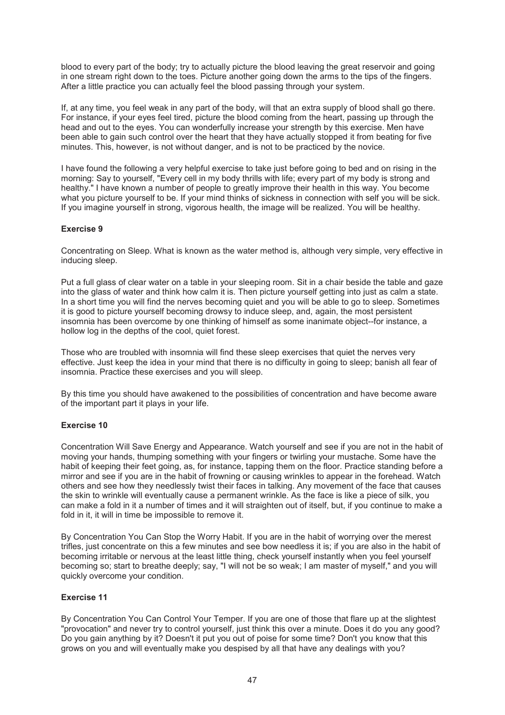blood to every part of the body; try to actually picture the blood leaving the great reservoir and going in one stream right down to the toes. Picture another going down the arms to the tips of the fingers. After a little practice you can actually feel the blood passing through your system.

If, at any time, you feel weak in any part of the body, will that an extra supply of blood shall go there. For instance, if your eyes feel tired, picture the blood coming from the heart, passing up through the head and out to the eyes. You can wonderfully increase your strength by this exercise. Men have been able to gain such control over the heart that they have actually stopped it from beating for five minutes. This, however, is not without danger, and is not to be practiced by the novice.

I have found the following a very helpful exercise to take just before going to bed and on rising in the morning: Say to yourself, "Every cell in my body thrills with life; every part of my body is strong and healthy." I have known a number of people to greatly improve their health in this way. You become what you picture yourself to be. If your mind thinks of sickness in connection with self you will be sick. If you imagine yourself in strong, vigorous health, the image will be realized. You will be healthy.

# **Exercise 9**

Concentrating on Sleep. What is known as the water method is, although very simple, very effective in inducing sleep.

Put a full glass of clear water on a table in your sleeping room. Sit in a chair beside the table and gaze into the glass of water and think how calm it is. Then picture yourself getting into just as calm a state. In a short time you will find the nerves becoming quiet and you will be able to go to sleep. Sometimes it is good to picture yourself becoming drowsy to induce sleep, and, again, the most persistent insomnia has been overcome by one thinking of himself as some inanimate object--for instance, a hollow log in the depths of the cool, quiet forest.

Those who are troubled with insomnia will find these sleep exercises that quiet the nerves very effective. Just keep the idea in your mind that there is no difficulty in going to sleep; banish all fear of insomnia. Practice these exercises and you will sleep.

By this time you should have awakened to the possibilities of concentration and have become aware of the important part it plays in your life.

# **Exercise 10**

Concentration Will Save Energy and Appearance. Watch yourself and see if you are not in the habit of moving your hands, thumping something with your fingers or twirling your mustache. Some have the habit of keeping their feet going, as, for instance, tapping them on the floor. Practice standing before a mirror and see if you are in the habit of frowning or causing wrinkles to appear in the forehead. Watch others and see how they needlessly twist their faces in talking. Any movement of the face that causes the skin to wrinkle will eventually cause a permanent wrinkle. As the face is like a piece of silk, you can make a fold in it a number of times and it will straighten out of itself, but, if you continue to make a fold in it, it will in time be impossible to remove it.

By Concentration You Can Stop the Worry Habit. If you are in the habit of worrying over the merest trifles, just concentrate on this a few minutes and see bow needless it is; if you are also in the habit of becoming irritable or nervous at the least little thing, check yourself instantly when you feel yourself becoming so; start to breathe deeply; say, "I will not be so weak; I am master of myself," and you will quickly overcome your condition.

# **Exercise 11**

By Concentration You Can Control Your Temper. If you are one of those that flare up at the slightest "provocation" and never try to control yourself, just think this over a minute. Does it do you any good? Do you gain anything by it? Doesn't it put you out of poise for some time? Don't you know that this grows on you and will eventually make you despised by all that have any dealings with you?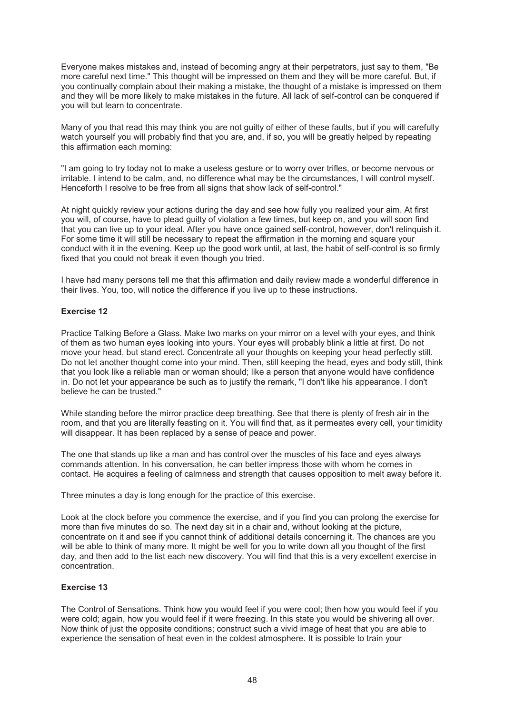Everyone makes mistakes and, instead of becoming angry at their perpetrators, just say to them, "Be more careful next time." This thought will be impressed on them and they will be more careful. But, if you continually complain about their making a mistake, the thought of a mistake is impressed on them and they will be more likely to make mistakes in the future. All lack of self-control can be conquered if you will but learn to concentrate.

Many of you that read this may think you are not guilty of either of these faults, but if you will carefully watch yourself you will probably find that you are, and, if so, you will be greatly helped by repeating this affirmation each morning:

"I am going to try today not to make a useless gesture or to worry over trifles, or become nervous or irritable. I intend to be calm, and, no difference what may be the circumstances, I will control myself. Henceforth I resolve to be free from all signs that show lack of self-control."

At night quickly review your actions during the day and see how fully you realized your aim. At first you will, of course, have to plead guilty of violation a few times, but keep on, and you will soon find that you can live up to your ideal. After you have once gained self-control, however, don't relinquish it. For some time it will still be necessary to repeat the affirmation in the morning and square your conduct with it in the evening. Keep up the good work until, at last, the habit of self-control is so firmly fixed that you could not break it even though you tried.

I have had many persons tell me that this affirmation and daily review made a wonderful difference in their lives. You, too, will notice the difference if you live up to these instructions.

#### **Exercise 12**

Practice Talking Before a Glass. Make two marks on your mirror on a level with your eyes, and think of them as two human eyes looking into yours. Your eyes will probably blink a little at first. Do not move your head, but stand erect. Concentrate all your thoughts on keeping your head perfectly still. Do not let another thought come into your mind. Then, still keeping the head, eyes and body still, think that you look like a reliable man or woman should; like a person that anyone would have confidence in. Do not let your appearance be such as to justify the remark, "I don't like his appearance. I don't believe he can be trusted."

While standing before the mirror practice deep breathing. See that there is plenty of fresh air in the room, and that you are literally feasting on it. You will find that, as it permeates every cell, your timidity will disappear. It has been replaced by a sense of peace and power.

The one that stands up like a man and has control over the muscles of his face and eyes always commands attention. In his conversation, he can better impress those with whom he comes in contact. He acquires a feeling of calmness and strength that causes opposition to melt away before it.

Three minutes a day is long enough for the practice of this exercise.

Look at the clock before you commence the exercise, and if you find you can prolong the exercise for more than five minutes do so. The next day sit in a chair and, without looking at the picture, concentrate on it and see if you cannot think of additional details concerning it. The chances are you will be able to think of many more. It might be well for you to write down all you thought of the first day, and then add to the list each new discovery. You will find that this is a very excellent exercise in concentration.

#### **Exercise 13**

The Control of Sensations. Think how you would feel if you were cool; then how you would feel if you were cold; again, how you would feel if it were freezing. In this state you would be shivering all over. Now think of just the opposite conditions; construct such a vivid image of heat that you are able to experience the sensation of heat even in the coldest atmosphere. It is possible to train your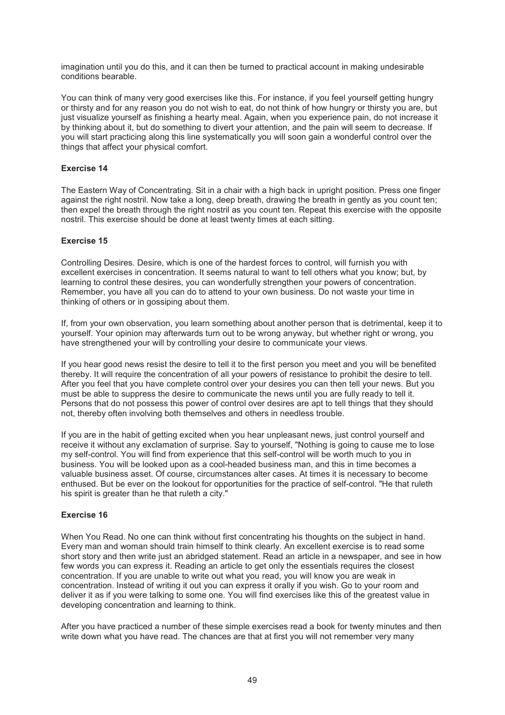imagination until you do this, and it can then be turned to practical account in making undesirable conditions bearable.

You can think of many very good exercises like this. For instance, if you feel yourself getting hungry or thirsty and for any reason you do not wish to eat, do not think of how hungry or thirsty you are, but just visualize yourself as finishing a hearty meal. Again, when you experience pain, do not increase it by thinking about it, but do something to divert your attention, and the pain will seem to decrease. If you will start practicing along this line systematically you will soon gain a wonderful control over the things that affect your physical comfort.

#### **Exercise 14**

The Eastern Way of Concentrating. Sit in a chair with a high back in upright position. Press one finger against the right nostril. Now take a long, deep breath, drawing the breath in gently as you count ten; then expel the breath through the right nostril as you count ten. Repeat this exercise with the opposite nostril. This exercise should be done at least twenty times at each sitting.

#### **Exercise 15**

Controlling Desires. Desire, which is one of the hardest forces to control, will furnish you with excellent exercises in concentration. It seems natural to want to tell others what you know; but, by learning to control these desires, you can wonderfully strengthen your powers of concentration. Remember, you have all you can do to attend to your own business. Do not waste your time in thinking of others or in gossiping about them.

If, from your own observation, you learn something about another person that is detrimental, keep it to yourself. Your opinion may afterwards turn out to be wrong anyway, but whether right or wrong, you have strengthened your will by controlling your desire to communicate your views.

If you hear good news resist the desire to tell it to the first person you meet and you will be benefited thereby. It will require the concentration of all your powers of resistance to prohibit the desire to tell. After you feel that you have complete control over your desires you can then tell your news. But you must be able to suppress the desire to communicate the news until you are fully ready to tell it. Persons that do not possess this power of control over desires are apt to tell things that they should not, thereby often involving both themselves and others in needless trouble.

If you are in the habit of getting excited when you hear unpleasant news, just control yourself and receive it without any exclamation of surprise. Say to yourself, "Nothing is going to cause me to lose my self-control. You will find from experience that this self-control will be worth much to you in business. You will be looked upon as a cool-headed business man, and this in time becomes a valuable business asset. Of course, circumstances alter cases. At times it is necessary to become enthused. But be ever on the lookout for opportunities for the practice of self-control. "He that ruleth his spirit is greater than he that ruleth a city."

# **Exercise 16**

When You Read. No one can think without first concentrating his thoughts on the subject in hand. Every man and woman should train himself to think clearly. An excellent exercise is to read some short story and then write just an abridged statement. Read an article in a newspaper, and see in how few words you can express it. Reading an article to get only the essentials requires the closest concentration. If you are unable to write out what you read, you will know you are weak in concentration. Instead of writing it out you can express it orally if you wish. Go to your room and deliver it as if you were talking to some one. You will find exercises like this of the greatest value in developing concentration and learning to think.

After you have practiced a number of these simple exercises read a book for twenty minutes and then write down what you have read. The chances are that at first you will not remember very many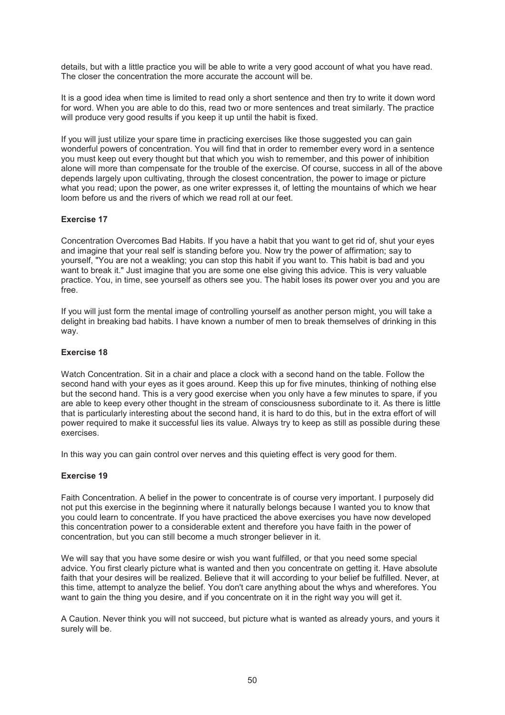details, but with a little practice you will be able to write a very good account of what you have read. The closer the concentration the more accurate the account will be.

It is a good idea when time is limited to read only a short sentence and then try to write it down word for word. When you are able to do this, read two or more sentences and treat similarly. The practice will produce very good results if you keep it up until the habit is fixed.

If you will just utilize your spare time in practicing exercises like those suggested you can gain wonderful powers of concentration. You will find that in order to remember every word in a sentence you must keep out every thought but that which you wish to remember, and this power of inhibition alone will more than compensate for the trouble of the exercise. Of course, success in all of the above depends largely upon cultivating, through the closest concentration, the power to image or picture what you read; upon the power, as one writer expresses it, of letting the mountains of which we hear loom before us and the rivers of which we read roll at our feet.

#### **Exercise 17**

Concentration Overcomes Bad Habits. If you have a habit that you want to get rid of, shut your eyes and imagine that your real self is standing before you. Now try the power of affirmation; say to yourself, "You are not a weakling; you can stop this habit if you want to. This habit is bad and you want to break it." Just imagine that you are some one else giving this advice. This is very valuable practice. You, in time, see yourself as others see you. The habit loses its power over you and you are free.

If you will just form the mental image of controlling yourself as another person might, you will take a delight in breaking bad habits. I have known a number of men to break themselves of drinking in this way.

#### **Exercise 18**

Watch Concentration. Sit in a chair and place a clock with a second hand on the table. Follow the second hand with your eyes as it goes around. Keep this up for five minutes, thinking of nothing else but the second hand. This is a very good exercise when you only have a few minutes to spare, if you are able to keep every other thought in the stream of consciousness subordinate to it. As there is little that is particularly interesting about the second hand, it is hard to do this, but in the extra effort of will power required to make it successful lies its value. Always try to keep as still as possible during these exercises.

In this way you can gain control over nerves and this quieting effect is very good for them.

#### **Exercise 19**

Faith Concentration. A belief in the power to concentrate is of course very important. I purposely did not put this exercise in the beginning where it naturally belongs because I wanted you to know that you could learn to concentrate. If you have practiced the above exercises you have now developed this concentration power to a considerable extent and therefore you have faith in the power of concentration, but you can still become a much stronger believer in it.

We will say that you have some desire or wish you want fulfilled, or that you need some special advice. You first clearly picture what is wanted and then you concentrate on getting it. Have absolute faith that your desires will be realized. Believe that it will according to your belief be fulfilled. Never, at this time, attempt to analyze the belief. You don't care anything about the whys and wherefores. You want to gain the thing you desire, and if you concentrate on it in the right way you will get it.

A Caution. Never think you will not succeed, but picture what is wanted as already yours, and yours it surely will be.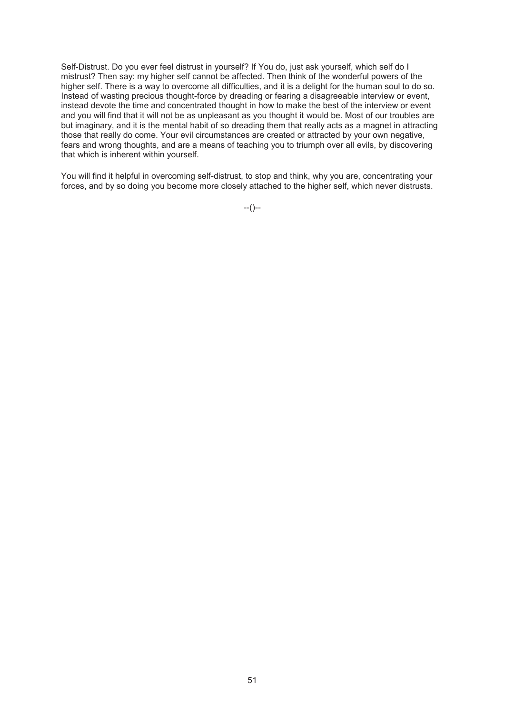Self-Distrust. Do you ever feel distrust in yourself? If You do, just ask yourself, which self do I mistrust? Then say: my higher self cannot be affected. Then think of the wonderful powers of the higher self. There is a way to overcome all difficulties, and it is a delight for the human soul to do so. Instead of wasting precious thought-force by dreading or fearing a disagreeable interview or event, instead devote the time and concentrated thought in how to make the best of the interview or event and you will find that it will not be as unpleasant as you thought it would be. Most of our troubles are but imaginary, and it is the mental habit of so dreading them that really acts as a magnet in attracting those that really do come. Your evil circumstances are created or attracted by your own negative, fears and wrong thoughts, and are a means of teaching you to triumph over all evils, by discovering that which is inherent within yourself.

You will find it helpful in overcoming self-distrust, to stop and think, why you are, concentrating your forces, and by so doing you become more closely attached to the higher self, which never distrusts.

 $-(-)$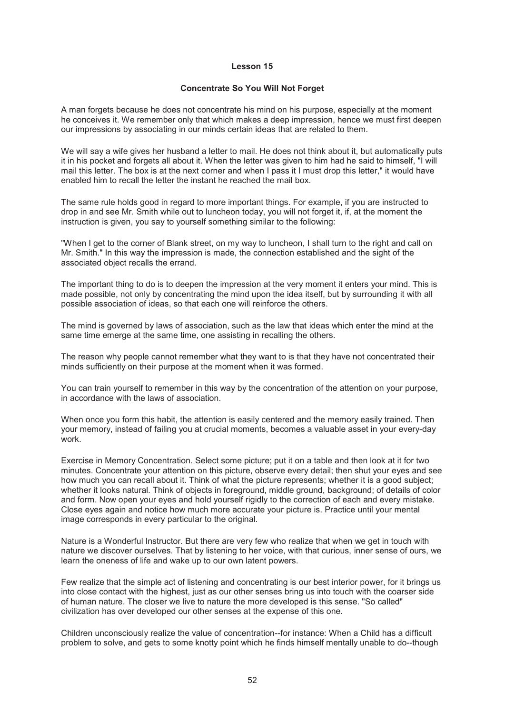#### **Concentrate So You Will Not Forget**

A man forgets because he does not concentrate his mind on his purpose, especially at the moment he conceives it. We remember only that which makes a deep impression, hence we must first deepen our impressions by associating in our minds certain ideas that are related to them.

We will say a wife gives her husband a letter to mail. He does not think about it, but automatically puts it in his pocket and forgets all about it. When the letter was given to him had he said to himself, "I will mail this letter. The box is at the next corner and when I pass it I must drop this letter," it would have enabled him to recall the letter the instant he reached the mail box.

The same rule holds good in regard to more important things. For example, if you are instructed to drop in and see Mr. Smith while out to luncheon today, you will not forget it, if, at the moment the instruction is given, you say to yourself something similar to the following:

"When I get to the corner of Blank street, on my way to luncheon, I shall turn to the right and call on Mr. Smith." In this way the impression is made, the connection established and the sight of the associated object recalls the errand.

The important thing to do is to deepen the impression at the very moment it enters your mind. This is made possible, not only by concentrating the mind upon the idea itself, but by surrounding it with all possible association of ideas, so that each one will reinforce the others.

The mind is governed by laws of association, such as the law that ideas which enter the mind at the same time emerge at the same time, one assisting in recalling the others.

The reason why people cannot remember what they want to is that they have not concentrated their minds sufficiently on their purpose at the moment when it was formed.

You can train yourself to remember in this way by the concentration of the attention on your purpose, in accordance with the laws of association.

When once you form this habit, the attention is easily centered and the memory easily trained. Then your memory, instead of failing you at crucial moments, becomes a valuable asset in your every-day work.

Exercise in Memory Concentration. Select some picture; put it on a table and then look at it for two minutes. Concentrate your attention on this picture, observe every detail; then shut your eyes and see how much you can recall about it. Think of what the picture represents; whether it is a good subject; whether it looks natural. Think of objects in foreground, middle ground, background; of details of color and form. Now open your eyes and hold yourself rigidly to the correction of each and every mistake. Close eyes again and notice how much more accurate your picture is. Practice until your mental image corresponds in every particular to the original.

Nature is a Wonderful Instructor. But there are very few who realize that when we get in touch with nature we discover ourselves. That by listening to her voice, with that curious, inner sense of ours, we learn the oneness of life and wake up to our own latent powers.

Few realize that the simple act of listening and concentrating is our best interior power, for it brings us into close contact with the highest, just as our other senses bring us into touch with the coarser side of human nature. The closer we live to nature the more developed is this sense. "So called" civilization has over developed our other senses at the expense of this one.

Children unconsciously realize the value of concentration--for instance: When a Child has a difficult problem to solve, and gets to some knotty point which he finds himself mentally unable to do--though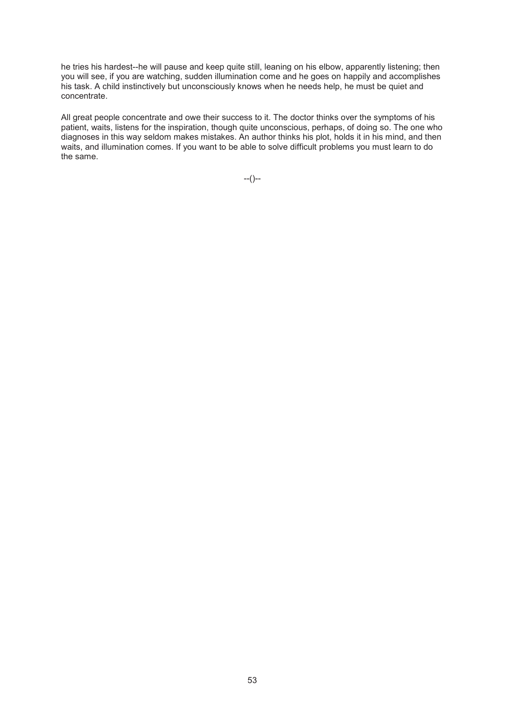he tries his hardest--he will pause and keep quite still, leaning on his elbow, apparently listening; then you will see, if you are watching, sudden illumination come and he goes on happily and accomplishes his task. A child instinctively but unconsciously knows when he needs help, he must be quiet and concentrate.

All great people concentrate and owe their success to it. The doctor thinks over the symptoms of his patient, waits, listens for the inspiration, though quite unconscious, perhaps, of doing so. The one who diagnoses in this way seldom makes mistakes. An author thinks his plot, holds it in his mind, and then waits, and illumination comes. If you want to be able to solve difficult problems you must learn to do the same.

--()--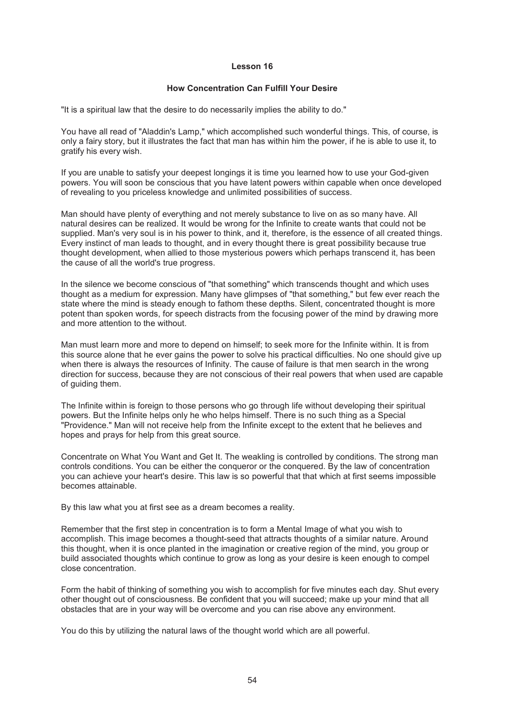#### **How Concentration Can Fulfill Your Desire**

"It is a spiritual law that the desire to do necessarily implies the ability to do."

You have all read of "Aladdin's Lamp," which accomplished such wonderful things. This, of course, is only a fairy story, but it illustrates the fact that man has within him the power, if he is able to use it, to gratify his every wish.

If you are unable to satisfy your deepest longings it is time you learned how to use your God-given powers. You will soon be conscious that you have latent powers within capable when once developed of revealing to you priceless knowledge and unlimited possibilities of success.

Man should have plenty of everything and not merely substance to live on as so many have. All natural desires can be realized. It would be wrong for the Infinite to create wants that could not be supplied. Man's very soul is in his power to think, and it, therefore, is the essence of all created things. Every instinct of man leads to thought, and in every thought there is great possibility because true thought development, when allied to those mysterious powers which perhaps transcend it, has been the cause of all the world's true progress.

In the silence we become conscious of "that something" which transcends thought and which uses thought as a medium for expression. Many have glimpses of "that something," but few ever reach the state where the mind is steady enough to fathom these depths. Silent, concentrated thought is more potent than spoken words, for speech distracts from the focusing power of the mind by drawing more and more attention to the without.

Man must learn more and more to depend on himself; to seek more for the Infinite within. It is from this source alone that he ever gains the power to solve his practical difficulties. No one should give up when there is always the resources of Infinity. The cause of failure is that men search in the wrong direction for success, because they are not conscious of their real powers that when used are capable of guiding them.

The Infinite within is foreign to those persons who go through life without developing their spiritual powers. But the Infinite helps only he who helps himself. There is no such thing as a Special "Providence." Man will not receive help from the Infinite except to the extent that he believes and hopes and prays for help from this great source.

Concentrate on What You Want and Get It. The weakling is controlled by conditions. The strong man controls conditions. You can be either the conqueror or the conquered. By the law of concentration you can achieve your heart's desire. This law is so powerful that that which at first seems impossible becomes attainable.

By this law what you at first see as a dream becomes a reality.

Remember that the first step in concentration is to form a Mental Image of what you wish to accomplish. This image becomes a thought-seed that attracts thoughts of a similar nature. Around this thought, when it is once planted in the imagination or creative region of the mind, you group or build associated thoughts which continue to grow as long as your desire is keen enough to compel close concentration.

Form the habit of thinking of something you wish to accomplish for five minutes each day. Shut every other thought out of consciousness. Be confident that you will succeed; make up your mind that all obstacles that are in your way will be overcome and you can rise above any environment.

You do this by utilizing the natural laws of the thought world which are all powerful.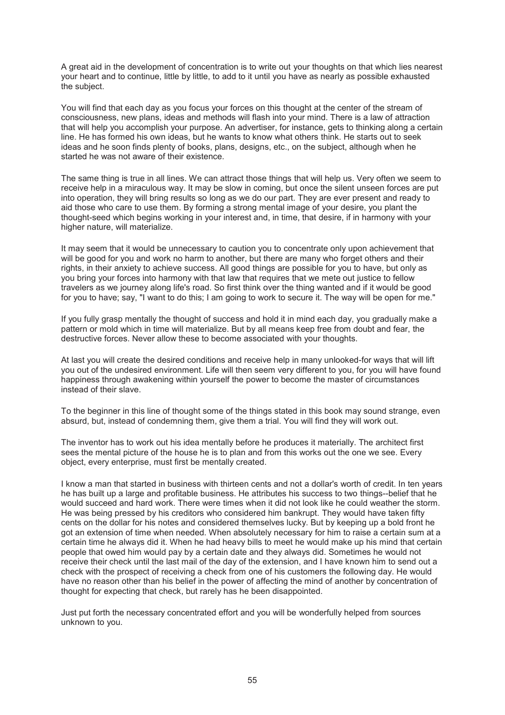A great aid in the development of concentration is to write out your thoughts on that which lies nearest your heart and to continue, little by little, to add to it until you have as nearly as possible exhausted the subject.

You will find that each day as you focus your forces on this thought at the center of the stream of consciousness, new plans, ideas and methods will flash into your mind. There is a law of attraction that will help you accomplish your purpose. An advertiser, for instance, gets to thinking along a certain line. He has formed his own ideas, but he wants to know what others think. He starts out to seek ideas and he soon finds plenty of books, plans, designs, etc., on the subject, although when he started he was not aware of their existence.

The same thing is true in all lines. We can attract those things that will help us. Very often we seem to receive help in a miraculous way. It may be slow in coming, but once the silent unseen forces are put into operation, they will bring results so long as we do our part. They are ever present and ready to aid those who care to use them. By forming a strong mental image of your desire, you plant the thought-seed which begins working in your interest and, in time, that desire, if in harmony with your higher nature, will materialize.

It may seem that it would be unnecessary to caution you to concentrate only upon achievement that will be good for you and work no harm to another, but there are many who forget others and their rights, in their anxiety to achieve success. All good things are possible for you to have, but only as you bring your forces into harmony with that law that requires that we mete out justice to fellow travelers as we journey along life's road. So first think over the thing wanted and if it would be good for you to have; say, "I want to do this; I am going to work to secure it. The way will be open for me."

If you fully grasp mentally the thought of success and hold it in mind each day, you gradually make a pattern or mold which in time will materialize. But by all means keep free from doubt and fear, the destructive forces. Never allow these to become associated with your thoughts.

At last you will create the desired conditions and receive help in many unlooked-for ways that will lift you out of the undesired environment. Life will then seem very different to you, for you will have found happiness through awakening within yourself the power to become the master of circumstances instead of their slave.

To the beginner in this line of thought some of the things stated in this book may sound strange, even absurd, but, instead of condemning them, give them a trial. You will find they will work out.

The inventor has to work out his idea mentally before he produces it materially. The architect first sees the mental picture of the house he is to plan and from this works out the one we see. Every object, every enterprise, must first be mentally created.

I know a man that started in business with thirteen cents and not a dollar's worth of credit. In ten years he has built up a large and profitable business. He attributes his success to two things--belief that he would succeed and hard work. There were times when it did not look like he could weather the storm. He was being pressed by his creditors who considered him bankrupt. They would have taken fifty cents on the dollar for his notes and considered themselves lucky. But by keeping up a bold front he got an extension of time when needed. When absolutely necessary for him to raise a certain sum at a certain time he always did it. When he had heavy bills to meet he would make up his mind that certain people that owed him would pay by a certain date and they always did. Sometimes he would not receive their check until the last mail of the day of the extension, and I have known him to send out a check with the prospect of receiving a check from one of his customers the following day. He would have no reason other than his belief in the power of affecting the mind of another by concentration of thought for expecting that check, but rarely has he been disappointed.

Just put forth the necessary concentrated effort and you will be wonderfully helped from sources unknown to you.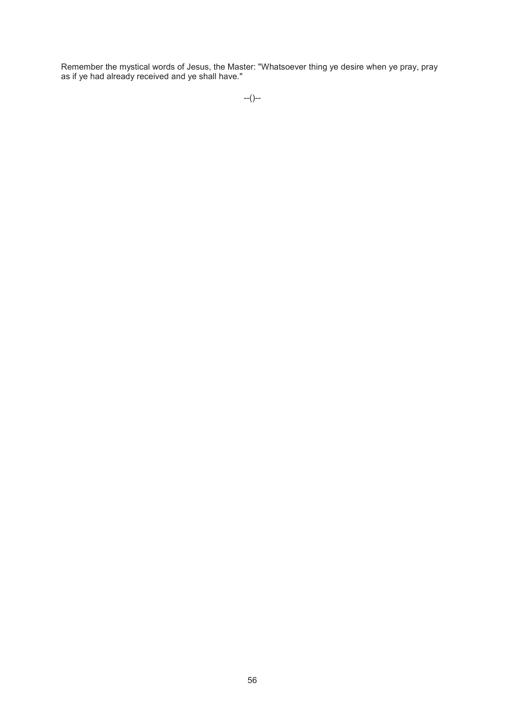Remember the mystical words of Jesus, the Master: "Whatsoever thing ye desire when ye pray, pray as if ye had already received and ye shall have."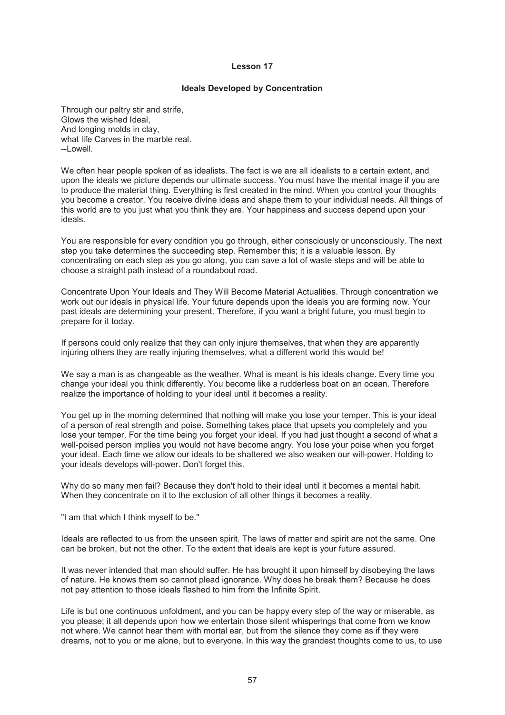#### **Ideals Developed by Concentration**

Through our paltry stir and strife, Glows the wished Ideal, And longing molds in clay, what life Carves in the marble real.  $L$ -Lowell

We often hear people spoken of as idealists. The fact is we are all idealists to a certain extent, and upon the ideals we picture depends our ultimate success. You must have the mental image if you are to produce the material thing. Everything is first created in the mind. When you control your thoughts you become a creator. You receive divine ideas and shape them to your individual needs. All things of this world are to you just what you think they are. Your happiness and success depend upon your ideals.

You are responsible for every condition you go through, either consciously or unconsciously. The next step you take determines the succeeding step. Remember this; it is a valuable lesson. By concentrating on each step as you go along, you can save a lot of waste steps and will be able to choose a straight path instead of a roundabout road.

Concentrate Upon Your Ideals and They Will Become Material Actualities. Through concentration we work out our ideals in physical life. Your future depends upon the ideals you are forming now. Your past ideals are determining your present. Therefore, if you want a bright future, you must begin to prepare for it today.

If persons could only realize that they can only injure themselves, that when they are apparently injuring others they are really injuring themselves, what a different world this would be!

We say a man is as changeable as the weather. What is meant is his ideals change. Every time you change your ideal you think differently. You become like a rudderless boat on an ocean. Therefore realize the importance of holding to your ideal until it becomes a reality.

You get up in the morning determined that nothing will make you lose your temper. This is your ideal of a person of real strength and poise. Something takes place that upsets you completely and you lose your temper. For the time being you forget your ideal. If you had just thought a second of what a well-poised person implies you would not have become angry. You lose your poise when you forget your ideal. Each time we allow our ideals to be shattered we also weaken our will-power. Holding to your ideals develops will-power. Don't forget this.

Why do so many men fail? Because they don't hold to their ideal until it becomes a mental habit. When they concentrate on it to the exclusion of all other things it becomes a reality.

"I am that which I think myself to be."

Ideals are reflected to us from the unseen spirit. The laws of matter and spirit are not the same. One can be broken, but not the other. To the extent that ideals are kept is your future assured.

It was never intended that man should suffer. He has brought it upon himself by disobeying the laws of nature. He knows them so cannot plead ignorance. Why does he break them? Because he does not pay attention to those ideals flashed to him from the Infinite Spirit.

Life is but one continuous unfoldment, and you can be happy every step of the way or miserable, as you please; it all depends upon how we entertain those silent whisperings that come from we know not where. We cannot hear them with mortal ear, but from the silence they come as if they were dreams, not to you or me alone, but to everyone. In this way the grandest thoughts come to us, to use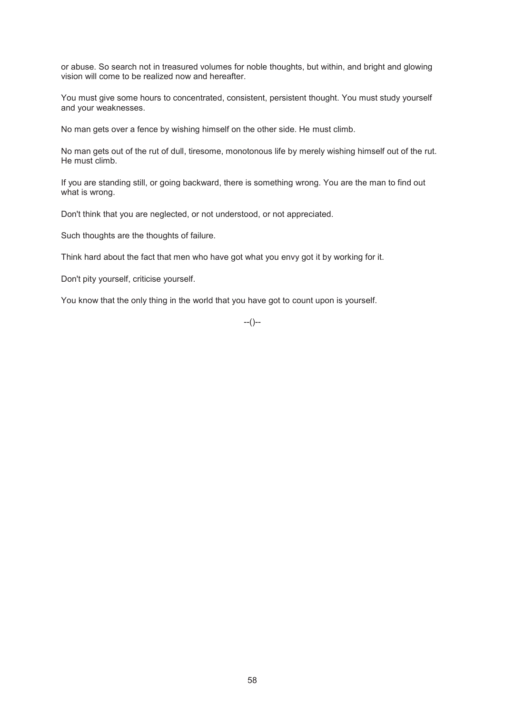or abuse. So search not in treasured volumes for noble thoughts, but within, and bright and glowing vision will come to be realized now and hereafter.

You must give some hours to concentrated, consistent, persistent thought. You must study yourself and your weaknesses.

No man gets over a fence by wishing himself on the other side. He must climb.

No man gets out of the rut of dull, tiresome, monotonous life by merely wishing himself out of the rut. He must climb.

If you are standing still, or going backward, there is something wrong. You are the man to find out what is wrong.

Don't think that you are neglected, or not understood, or not appreciated.

Such thoughts are the thoughts of failure.

Think hard about the fact that men who have got what you envy got it by working for it.

Don't pity yourself, criticise yourself.

You know that the only thing in the world that you have got to count upon is yourself.

 $-(-)$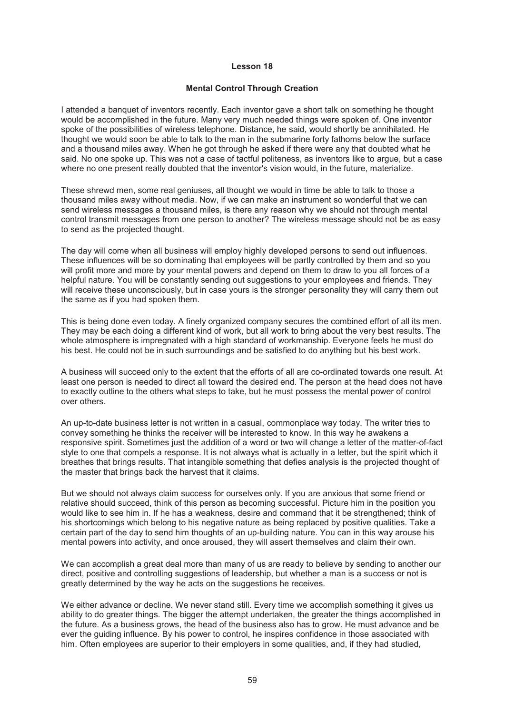#### **Mental Control Through Creation**

I attended a banquet of inventors recently. Each inventor gave a short talk on something he thought would be accomplished in the future. Many very much needed things were spoken of. One inventor spoke of the possibilities of wireless telephone. Distance, he said, would shortly be annihilated. He thought we would soon be able to talk to the man in the submarine forty fathoms below the surface and a thousand miles away. When he got through he asked if there were any that doubted what he said. No one spoke up. This was not a case of tactful politeness, as inventors like to argue, but a case where no one present really doubted that the inventor's vision would, in the future, materialize.

These shrewd men, some real geniuses, all thought we would in time be able to talk to those a thousand miles away without media. Now, if we can make an instrument so wonderful that we can send wireless messages a thousand miles, is there any reason why we should not through mental control transmit messages from one person to another? The wireless message should not be as easy to send as the projected thought.

The day will come when all business will employ highly developed persons to send out influences. These influences will be so dominating that employees will be partly controlled by them and so you will profit more and more by your mental powers and depend on them to draw to you all forces of a helpful nature. You will be constantly sending out suggestions to your employees and friends. They will receive these unconsciously, but in case yours is the stronger personality they will carry them out the same as if you had spoken them.

This is being done even today. A finely organized company secures the combined effort of all its men. They may be each doing a different kind of work, but all work to bring about the very best results. The whole atmosphere is impregnated with a high standard of workmanship. Everyone feels he must do his best. He could not be in such surroundings and be satisfied to do anything but his best work.

A business will succeed only to the extent that the efforts of all are co-ordinated towards one result. At least one person is needed to direct all toward the desired end. The person at the head does not have to exactly outline to the others what steps to take, but he must possess the mental power of control over others.

An up-to-date business letter is not written in a casual, commonplace way today. The writer tries to convey something he thinks the receiver will be interested to know. In this way he awakens a responsive spirit. Sometimes just the addition of a word or two will change a letter of the matter-of-fact style to one that compels a response. It is not always what is actually in a letter, but the spirit which it breathes that brings results. That intangible something that defies analysis is the projected thought of the master that brings back the harvest that it claims.

But we should not always claim success for ourselves only. If you are anxious that some friend or relative should succeed, think of this person as becoming successful. Picture him in the position you would like to see him in. If he has a weakness, desire and command that it be strengthened; think of his shortcomings which belong to his negative nature as being replaced by positive qualities. Take a certain part of the day to send him thoughts of an up-building nature. You can in this way arouse his mental powers into activity, and once aroused, they will assert themselves and claim their own.

We can accomplish a great deal more than many of us are ready to believe by sending to another our direct, positive and controlling suggestions of leadership, but whether a man is a success or not is greatly determined by the way he acts on the suggestions he receives.

We either advance or decline. We never stand still. Every time we accomplish something it gives us ability to do greater things. The bigger the attempt undertaken, the greater the things accomplished in the future. As a business grows, the head of the business also has to grow. He must advance and be ever the guiding influence. By his power to control, he inspires confidence in those associated with him. Often employees are superior to their employers in some qualities, and, if they had studied,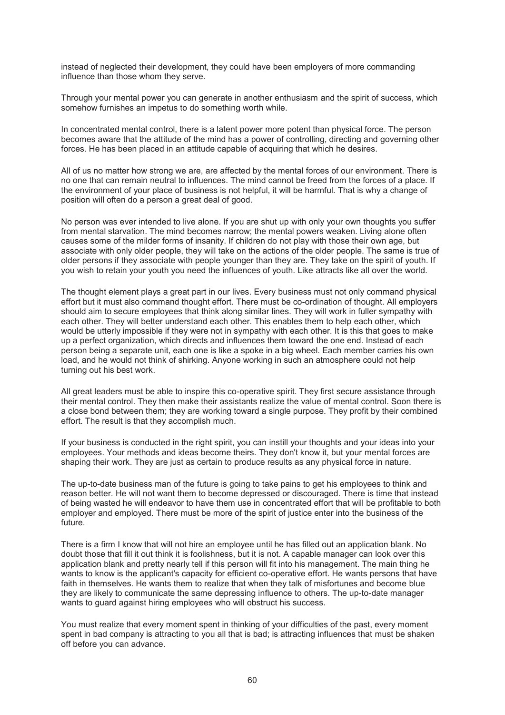instead of neglected their development, they could have been employers of more commanding influence than those whom they serve.

Through your mental power you can generate in another enthusiasm and the spirit of success, which somehow furnishes an impetus to do something worth while.

In concentrated mental control, there is a latent power more potent than physical force. The person becomes aware that the attitude of the mind has a power of controlling, directing and governing other forces. He has been placed in an attitude capable of acquiring that which he desires.

All of us no matter how strong we are, are affected by the mental forces of our environment. There is no one that can remain neutral to influences. The mind cannot be freed from the forces of a place. If the environment of your place of business is not helpful, it will be harmful. That is why a change of position will often do a person a great deal of good.

No person was ever intended to live alone. If you are shut up with only your own thoughts you suffer from mental starvation. The mind becomes narrow; the mental powers weaken. Living alone often causes some of the milder forms of insanity. If children do not play with those their own age, but associate with only older people, they will take on the actions of the older people. The same is true of older persons if they associate with people younger than they are. They take on the spirit of youth. If you wish to retain your youth you need the influences of youth. Like attracts like all over the world.

The thought element plays a great part in our lives. Every business must not only command physical effort but it must also command thought effort. There must be co-ordination of thought. All employers should aim to secure employees that think along similar lines. They will work in fuller sympathy with each other. They will better understand each other. This enables them to help each other, which would be utterly impossible if they were not in sympathy with each other. It is this that goes to make up a perfect organization, which directs and influences them toward the one end. Instead of each person being a separate unit, each one is like a spoke in a big wheel. Each member carries his own load, and he would not think of shirking. Anyone working in such an atmosphere could not help turning out his best work.

All great leaders must be able to inspire this co-operative spirit. They first secure assistance through their mental control. They then make their assistants realize the value of mental control. Soon there is a close bond between them; they are working toward a single purpose. They profit by their combined effort. The result is that they accomplish much.

If your business is conducted in the right spirit, you can instill your thoughts and your ideas into your employees. Your methods and ideas become theirs. They don't know it, but your mental forces are shaping their work. They are just as certain to produce results as any physical force in nature.

The up-to-date business man of the future is going to take pains to get his employees to think and reason better. He will not want them to become depressed or discouraged. There is time that instead of being wasted he will endeavor to have them use in concentrated effort that will be profitable to both employer and employed. There must be more of the spirit of justice enter into the business of the future.

There is a firm I know that will not hire an employee until he has filled out an application blank. No doubt those that fill it out think it is foolishness, but it is not. A capable manager can look over this application blank and pretty nearly tell if this person will fit into his management. The main thing he wants to know is the applicant's capacity for efficient co-operative effort. He wants persons that have faith in themselves. He wants them to realize that when they talk of misfortunes and become blue they are likely to communicate the same depressing influence to others. The up-to-date manager wants to quard against hiring employees who will obstruct his success.

You must realize that every moment spent in thinking of your difficulties of the past, every moment spent in bad company is attracting to you all that is bad; is attracting influences that must be shaken off before you can advance.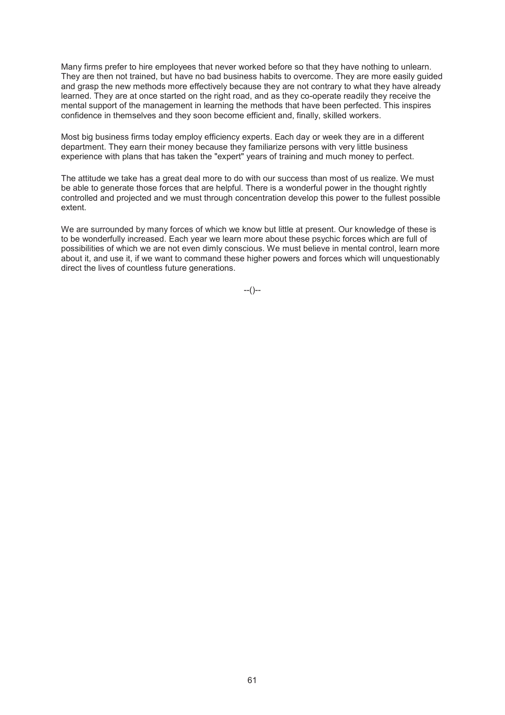Many firms prefer to hire employees that never worked before so that they have nothing to unlearn. They are then not trained, but have no bad business habits to overcome. They are more easily guided and grasp the new methods more effectively because they are not contrary to what they have already learned. They are at once started on the right road, and as they co-operate readily they receive the mental support of the management in learning the methods that have been perfected. This inspires confidence in themselves and they soon become efficient and, finally, skilled workers.

Most big business firms today employ efficiency experts. Each day or week they are in a different department. They earn their money because they familiarize persons with very little business experience with plans that has taken the "expert" years of training and much money to perfect.

The attitude we take has a great deal more to do with our success than most of us realize. We must be able to generate those forces that are helpful. There is a wonderful power in the thought rightly controlled and projected and we must through concentration develop this power to the fullest possible extent.

We are surrounded by many forces of which we know but little at present. Our knowledge of these is to be wonderfully increased. Each year we learn more about these psychic forces which are full of possibilities of which we are not even dimly conscious. We must believe in mental control, learn more about it, and use it, if we want to command these higher powers and forces which will unquestionably direct the lives of countless future generations.

--()--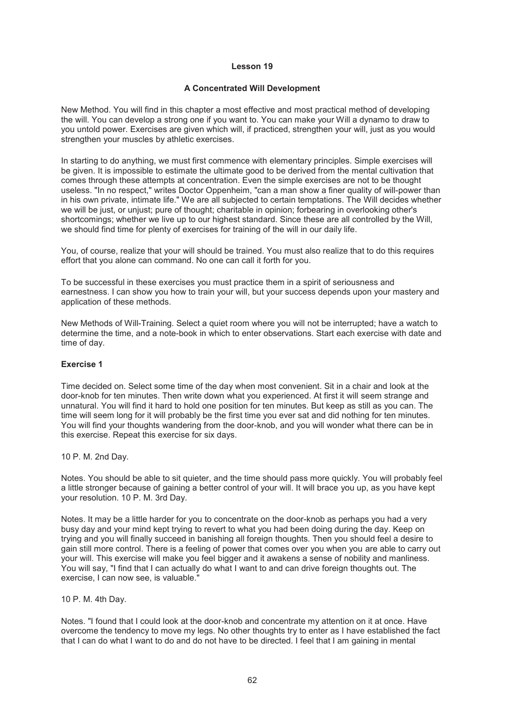#### **A Concentrated Will Development**

New Method. You will find in this chapter a most effective and most practical method of developing the will. You can develop a strong one if you want to. You can make your Will a dynamo to draw to you untold power. Exercises are given which will, if practiced, strengthen your will, just as you would strengthen your muscles by athletic exercises.

In starting to do anything, we must first commence with elementary principles. Simple exercises will be given. It is impossible to estimate the ultimate good to be derived from the mental cultivation that comes through these attempts at concentration. Even the simple exercises are not to be thought useless. "In no respect," writes Doctor Oppenheim, "can a man show a finer quality of will-power than in his own private, intimate life." We are all subjected to certain temptations. The Will decides whether we will be just, or unjust; pure of thought; charitable in opinion; forbearing in overlooking other's shortcomings; whether we live up to our highest standard. Since these are all controlled by the Will, we should find time for plenty of exercises for training of the will in our daily life.

You, of course, realize that your will should be trained. You must also realize that to do this requires effort that you alone can command. No one can call it forth for you.

To be successful in these exercises you must practice them in a spirit of seriousness and earnestness. I can show you how to train your will, but your success depends upon your mastery and application of these methods.

New Methods of Will-Training. Select a quiet room where you will not be interrupted; have a watch to determine the time, and a note-book in which to enter observations. Start each exercise with date and time of day.

# **Exercise 1**

Time decided on. Select some time of the day when most convenient. Sit in a chair and look at the door-knob for ten minutes. Then write down what you experienced. At first it will seem strange and unnatural. You will find it hard to hold one position for ten minutes. But keep as still as you can. The time will seem long for it will probably be the first time you ever sat and did nothing for ten minutes. You will find your thoughts wandering from the door-knob, and you will wonder what there can be in this exercise. Repeat this exercise for six days.

10 P. M. 2nd Day.

Notes. You should be able to sit quieter, and the time should pass more quickly. You will probably feel a little stronger because of gaining a better control of your will. It will brace you up, as you have kept your resolution. 10 P. M. 3rd Day.

Notes. It may be a little harder for you to concentrate on the door-knob as perhaps you had a very busy day and your mind kept trying to revert to what you had been doing during the day. Keep on trying and you will finally succeed in banishing all foreign thoughts. Then you should feel a desire to gain still more control. There is a feeling of power that comes over you when you are able to carry out your will. This exercise will make you feel bigger and it awakens a sense of nobility and manliness. You will say, "I find that I can actually do what I want to and can drive foreign thoughts out. The exercise, I can now see, is valuable."

10 P. M. 4th Day.

Notes. "I found that I could look at the door-knob and concentrate my attention on it at once. Have overcome the tendency to move my legs. No other thoughts try to enter as I have established the fact that I can do what I want to do and do not have to be directed. I feel that I am gaining in mental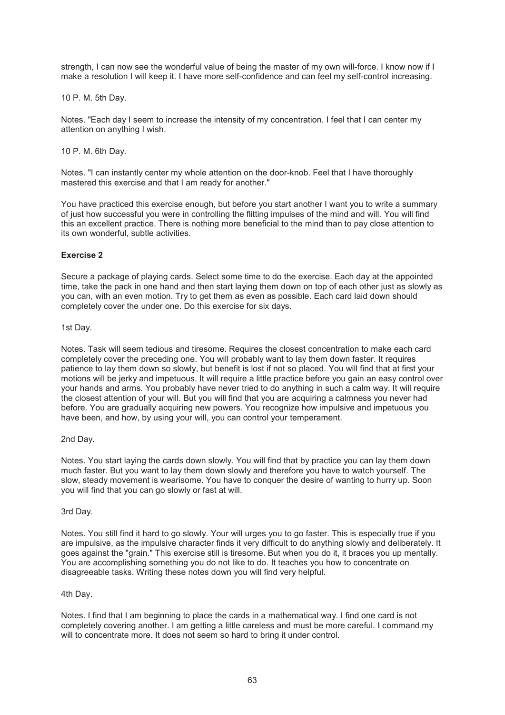strength, I can now see the wonderful value of being the master of my own will-force. I know now if I make a resolution I will keep it. I have more self-confidence and can feel my self-control increasing.

10 P. M. 5th Day.

Notes. "Each day I seem to increase the intensity of my concentration. I feel that I can center my attention on anything I wish.

10 P. M. 6th Day.

Notes. "I can instantly center my whole attention on the door-knob. Feel that I have thoroughly mastered this exercise and that I am ready for another."

You have practiced this exercise enough, but before you start another I want you to write a summary of just how successful you were in controlling the flitting impulses of the mind and will. You will find this an excellent practice. There is nothing more beneficial to the mind than to pay close attention to its own wonderful, subtle activities.

# **Exercise 2**

Secure a package of playing cards. Select some time to do the exercise. Each day at the appointed time, take the pack in one hand and then start laying them down on top of each other just as slowly as you can, with an even motion. Try to get them as even as possible. Each card laid down should completely cover the under one. Do this exercise for six days.

#### 1st Day.

Notes. Task will seem tedious and tiresome. Requires the closest concentration to make each card completely cover the preceding one. You will probably want to lay them down faster. It requires patience to lay them down so slowly, but benefit is lost if not so placed. You will find that at first your motions will be jerky and impetuous. It will require a little practice before you gain an easy control over your hands and arms. You probably have never tried to do anything in such a calm way. It will require the closest attention of your will. But you will find that you are acquiring a calmness you never had before. You are gradually acquiring new powers. You recognize how impulsive and impetuous you have been, and how, by using your will, you can control your temperament.

#### 2nd Day.

Notes. You start laying the cards down slowly. You will find that by practice you can lay them down much faster. But you want to lay them down slowly and therefore you have to watch yourself. The slow, steady movement is wearisome. You have to conquer the desire of wanting to hurry up. Soon you will find that you can go slowly or fast at will.

#### 3rd Day.

Notes. You still find it hard to go slowly. Your will urges you to go faster. This is especially true if you are impulsive, as the impulsive character finds it very difficult to do anything slowly and deliberately. It goes against the "grain." This exercise still is tiresome. But when you do it, it braces you up mentally. You are accomplishing something you do not like to do. It teaches you how to concentrate on disagreeable tasks. Writing these notes down you will find very helpful.

#### 4th Day.

Notes. I find that I am beginning to place the cards in a mathematical way. I find one card is not completely covering another. I am getting a little careless and must be more careful. I command my will to concentrate more. It does not seem so hard to bring it under control.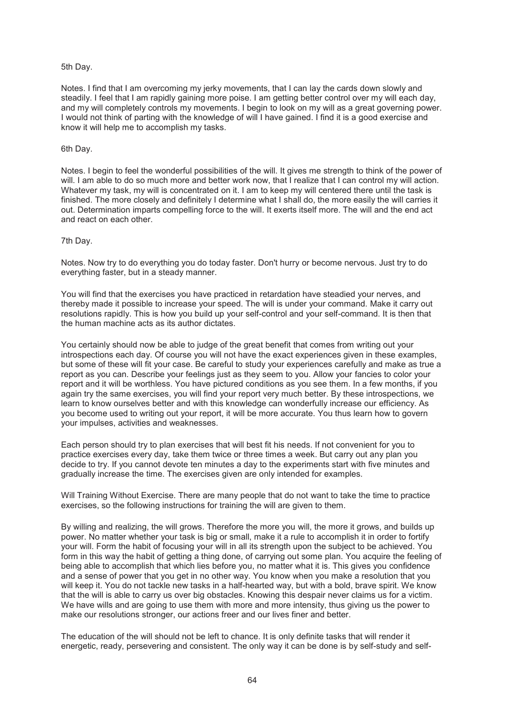#### 5th Day.

Notes. I find that I am overcoming my jerky movements, that I can lay the cards down slowly and steadily. I feel that I am rapidly gaining more poise. I am getting better control over my will each day, and my will completely controls my movements. I begin to look on my will as a great governing power. I would not think of parting with the knowledge of will I have gained. I find it is a good exercise and know it will help me to accomplish my tasks.

#### 6th Day.

Notes. I begin to feel the wonderful possibilities of the will. It gives me strength to think of the power of will. I am able to do so much more and better work now, that I realize that I can control my will action. Whatever my task, my will is concentrated on it. I am to keep my will centered there until the task is finished. The more closely and definitely I determine what I shall do, the more easily the will carries it out. Determination imparts compelling force to the will. It exerts itself more. The will and the end act and react on each other.

#### 7th Day.

Notes. Now try to do everything you do today faster. Don't hurry or become nervous. Just try to do everything faster, but in a steady manner.

You will find that the exercises you have practiced in retardation have steadied your nerves, and thereby made it possible to increase your speed. The will is under your command. Make it carry out resolutions rapidly. This is how you build up your self-control and your self-command. It is then that the human machine acts as its author dictates.

You certainly should now be able to judge of the great benefit that comes from writing out your introspections each day. Of course you will not have the exact experiences given in these examples, but some of these will fit your case. Be careful to study your experiences carefully and make as true a report as you can. Describe your feelings just as they seem to you. Allow your fancies to color your report and it will be worthless. You have pictured conditions as you see them. In a few months, if you again try the same exercises, you will find your report very much better. By these introspections, we learn to know ourselves better and with this knowledge can wonderfully increase our efficiency. As you become used to writing out your report, it will be more accurate. You thus learn how to govern your impulses, activities and weaknesses.

Each person should try to plan exercises that will best fit his needs. If not convenient for you to practice exercises every day, take them twice or three times a week. But carry out any plan you decide to try. If you cannot devote ten minutes a day to the experiments start with five minutes and gradually increase the time. The exercises given are only intended for examples.

Will Training Without Exercise. There are many people that do not want to take the time to practice exercises, so the following instructions for training the will are given to them.

By willing and realizing, the will grows. Therefore the more you will, the more it grows, and builds up power. No matter whether your task is big or small, make it a rule to accomplish it in order to fortify your will. Form the habit of focusing your will in all its strength upon the subject to be achieved. You form in this way the habit of getting a thing done, of carrying out some plan. You acquire the feeling of being able to accomplish that which lies before you, no matter what it is. This gives you confidence and a sense of power that you get in no other way. You know when you make a resolution that you will keep it. You do not tackle new tasks in a half-hearted way, but with a bold, brave spirit. We know that the will is able to carry us over big obstacles. Knowing this despair never claims us for a victim. We have wills and are going to use them with more and more intensity, thus giving us the power to make our resolutions stronger, our actions freer and our lives finer and better.

The education of the will should not be left to chance. It is only definite tasks that will render it energetic, ready, persevering and consistent. The only way it can be done is by self-study and self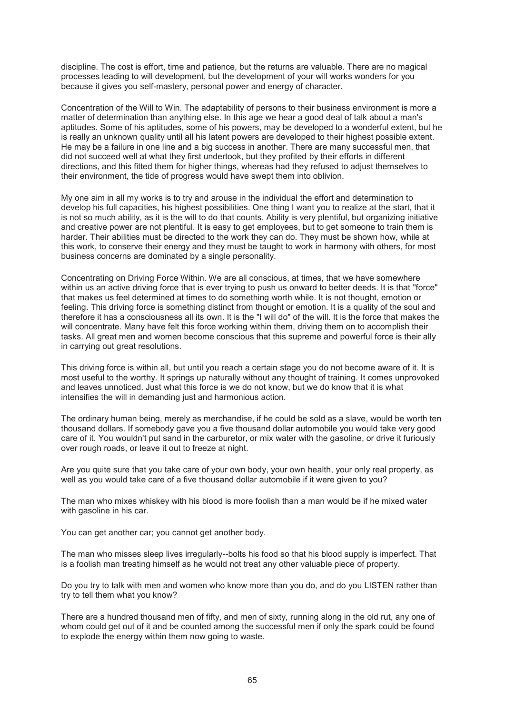discipline. The cost is effort, time and patience, but the returns are valuable. There are no magical processes leading to will development, but the development of your will works wonders for you because it gives you self-mastery, personal power and energy of character.

Concentration of the Will to Win. The adaptability of persons to their business environment is more a matter of determination than anything else. In this age we hear a good deal of talk about a man's aptitudes. Some of his aptitudes, some of his powers, may be developed to a wonderful extent, but he is really an unknown quality until all his latent powers are developed to their highest possible extent. He may be a failure in one line and a big success in another. There are many successful men, that did not succeed well at what they first undertook, but they profited by their efforts in different directions, and this fitted them for higher things, whereas had they refused to adjust themselves to their environment, the tide of progress would have swept them into oblivion.

My one aim in all my works is to try and arouse in the individual the effort and determination to develop his full capacities, his highest possibilities. One thing I want you to realize at the start, that it is not so much ability, as it is the will to do that counts. Ability is very plentiful, but organizing initiative and creative power are not plentiful. It is easy to get employees, but to get someone to train them is harder. Their abilities must be directed to the work they can do. They must be shown how, while at this work, to conserve their energy and they must be taught to work in harmony with others, for most business concerns are dominated by a single personality.

Concentrating on Driving Force Within. We are all conscious, at times, that we have somewhere within us an active driving force that is ever trying to push us onward to better deeds. It is that "force" that makes us feel determined at times to do something worth while. It is not thought, emotion or feeling. This driving force is something distinct from thought or emotion. It is a quality of the soul and therefore it has a consciousness all its own. It is the "I will do" of the will. It is the force that makes the will concentrate. Many have felt this force working within them, driving them on to accomplish their tasks. All great men and women become conscious that this supreme and powerful force is their ally in carrying out great resolutions.

This driving force is within all, but until you reach a certain stage you do not become aware of it. It is most useful to the worthy. It springs up naturally without any thought of training. It comes unprovoked and leaves unnoticed. Just what this force is we do not know, but we do know that it is what intensifies the will in demanding just and harmonious action.

The ordinary human being, merely as merchandise, if he could be sold as a slave, would be worth ten thousand dollars. If somebody gave you a five thousand dollar automobile you would take very good care of it. You wouldn't put sand in the carburetor, or mix water with the gasoline, or drive it furiously over rough roads, or leave it out to freeze at night.

Are you quite sure that you take care of your own body, your own health, your only real property, as well as you would take care of a five thousand dollar automobile if it were given to you?

The man who mixes whiskey with his blood is more foolish than a man would be if he mixed water with gasoline in his car.

You can get another car; you cannot get another body.

The man who misses sleep lives irregularly--bolts his food so that his blood supply is imperfect. That is a foolish man treating himself as he would not treat any other valuable piece of property.

Do you try to talk with men and women who know more than you do, and do you LISTEN rather than try to tell them what you know?

There are a hundred thousand men of fifty, and men of sixty, running along in the old rut, any one of whom could get out of it and be counted among the successful men if only the spark could be found to explode the energy within them now going to waste.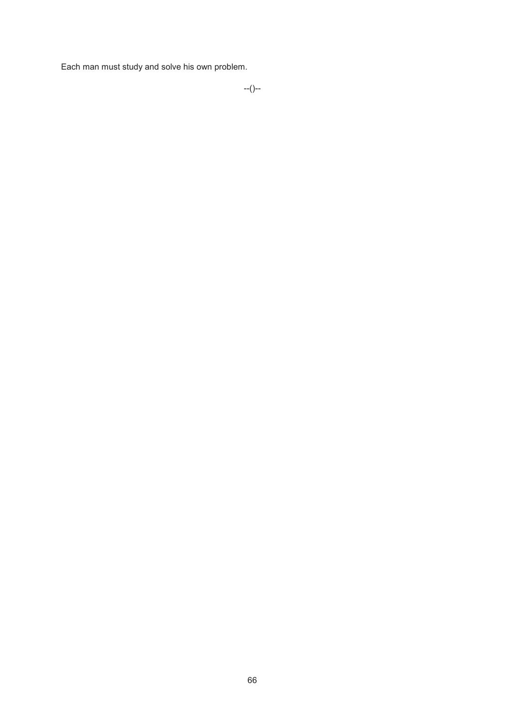Each man must study and solve his own problem.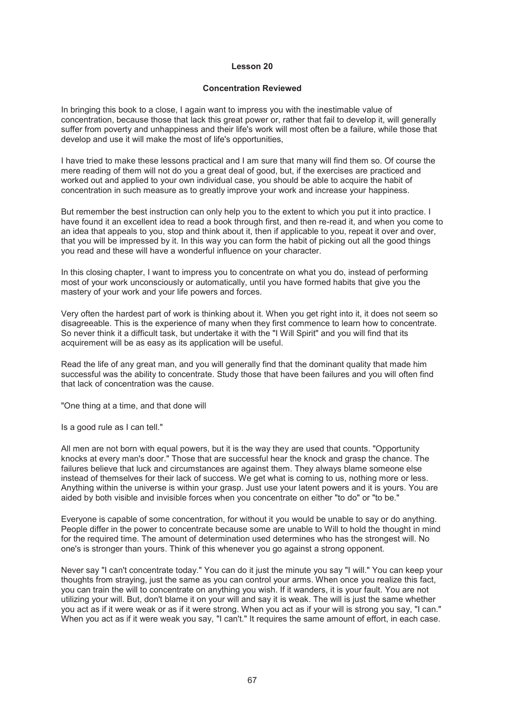#### **Concentration Reviewed**

In bringing this book to a close, I again want to impress you with the inestimable value of concentration, because those that lack this great power or, rather that fail to develop it, will generally suffer from poverty and unhappiness and their life's work will most often be a failure, while those that develop and use it will make the most of life's opportunities,

I have tried to make these lessons practical and I am sure that many will find them so. Of course the mere reading of them will not do you a great deal of good, but, if the exercises are practiced and worked out and applied to your own individual case, you should be able to acquire the habit of concentration in such measure as to greatly improve your work and increase your happiness.

But remember the best instruction can only help you to the extent to which you put it into practice. I have found it an excellent idea to read a book through first, and then re-read it, and when you come to an idea that appeals to you, stop and think about it, then if applicable to you, repeat it over and over, that you will be impressed by it. In this way you can form the habit of picking out all the good things you read and these will have a wonderful influence on your character.

In this closing chapter, I want to impress you to concentrate on what you do, instead of performing most of your work unconsciously or automatically, until you have formed habits that give you the mastery of your work and your life powers and forces.

Very often the hardest part of work is thinking about it. When you get right into it, it does not seem so disagreeable. This is the experience of many when they first commence to learn how to concentrate. So never think it a difficult task, but undertake it with the "I Will Spirit" and you will find that its acquirement will be as easy as its application will be useful.

Read the life of any great man, and you will generally find that the dominant quality that made him successful was the ability to concentrate. Study those that have been failures and you will often find that lack of concentration was the cause.

"One thing at a time, and that done will

Is a good rule as I can tell."

All men are not born with equal powers, but it is the way they are used that counts. "Opportunity knocks at every man's door." Those that are successful hear the knock and grasp the chance. The failures believe that luck and circumstances are against them. They always blame someone else instead of themselves for their lack of success. We get what is coming to us, nothing more or less. Anything within the universe is within your grasp. Just use your latent powers and it is yours. You are aided by both visible and invisible forces when you concentrate on either "to do" or "to be."

Everyone is capable of some concentration, for without it you would be unable to say or do anything. People differ in the power to concentrate because some are unable to Will to hold the thought in mind for the required time. The amount of determination used determines who has the strongest will. No one's is stronger than yours. Think of this whenever you go against a strong opponent.

Never say "I can't concentrate today." You can do it just the minute you say "I will." You can keep your thoughts from straying, just the same as you can control your arms. When once you realize this fact, you can train the will to concentrate on anything you wish. If it wanders, it is your fault. You are not utilizing your will. But, don't blame it on your will and say it is weak. The will is just the same whether you act as if it were weak or as if it were strong. When you act as if your will is strong you say, "I can." When you act as if it were weak you say, "I can't." It requires the same amount of effort, in each case.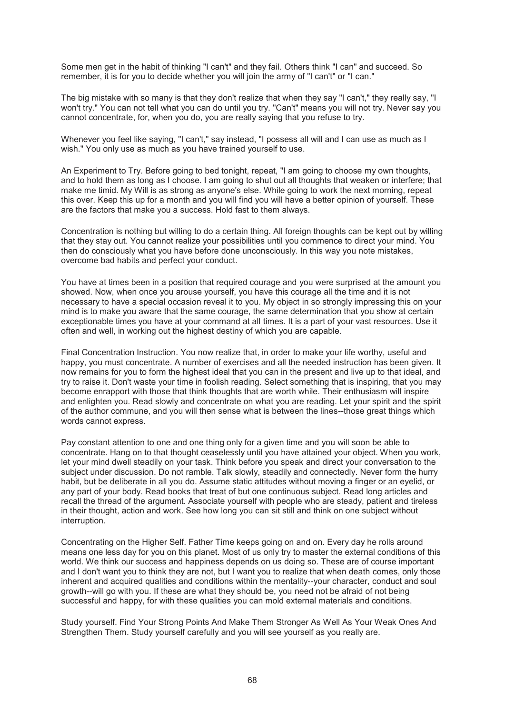Some men get in the habit of thinking "I can't" and they fail. Others think "I can" and succeed. So remember, it is for you to decide whether you will join the army of "I can't" or "I can."

The big mistake with so many is that they don't realize that when they say "I can't," they really say, "I won't try." You can not tell what you can do until you try. "Can't" means you will not try. Never say you cannot concentrate, for, when you do, you are really saying that you refuse to try.

Whenever you feel like saying, "I can't," say instead, "I possess all will and I can use as much as I wish." You only use as much as you have trained yourself to use.

An Experiment to Try. Before going to bed tonight, repeat, "I am going to choose my own thoughts, and to hold them as long as I choose. I am going to shut out all thoughts that weaken or interfere; that make me timid. My Will is as strong as anyone's else. While going to work the next morning, repeat this over. Keep this up for a month and you will find you will have a better opinion of yourself. These are the factors that make you a success. Hold fast to them always.

Concentration is nothing but willing to do a certain thing. All foreign thoughts can be kept out by willing that they stay out. You cannot realize your possibilities until you commence to direct your mind. You then do consciously what you have before done unconsciously. In this way you note mistakes, overcome bad habits and perfect your conduct.

You have at times been in a position that required courage and you were surprised at the amount you showed. Now, when once you arouse yourself, you have this courage all the time and it is not necessary to have a special occasion reveal it to you. My object in so strongly impressing this on your mind is to make you aware that the same courage, the same determination that you show at certain exceptionable times you have at your command at all times. It is a part of your vast resources. Use it often and well, in working out the highest destiny of which you are capable.

Final Concentration Instruction. You now realize that, in order to make your life worthy, useful and happy, you must concentrate. A number of exercises and all the needed instruction has been given. It now remains for you to form the highest ideal that you can in the present and live up to that ideal, and try to raise it. Don't waste your time in foolish reading. Select something that is inspiring, that you may become enrapport with those that think thoughts that are worth while. Their enthusiasm will inspire and enlighten you. Read slowly and concentrate on what you are reading. Let your spirit and the spirit of the author commune, and you will then sense what is between the lines--those great things which words cannot express.

Pay constant attention to one and one thing only for a given time and you will soon be able to concentrate. Hang on to that thought ceaselessly until you have attained your object. When you work, let your mind dwell steadily on your task. Think before you speak and direct your conversation to the subject under discussion. Do not ramble. Talk slowly, steadily and connectedly. Never form the hurry habit, but be deliberate in all you do. Assume static attitudes without moving a finger or an evelid, or any part of your body. Read books that treat of but one continuous subject. Read long articles and recall the thread of the argument. Associate yourself with people who are steady, patient and tireless in their thought, action and work. See how long you can sit still and think on one subject without interruption.

Concentrating on the Higher Self. Father Time keeps going on and on. Every day he rolls around means one less day for you on this planet. Most of us only try to master the external conditions of this world. We think our success and happiness depends on us doing so. These are of course important and I don't want you to think they are not, but I want you to realize that when death comes, only those inherent and acquired qualities and conditions within the mentality--your character, conduct and soul growth--will go with you. If these are what they should be, you need not be afraid of not being successful and happy, for with these qualities you can mold external materials and conditions.

Study yourself. Find Your Strong Points And Make Them Stronger As Well As Your Weak Ones And Strengthen Them. Study yourself carefully and you will see yourself as you really are.